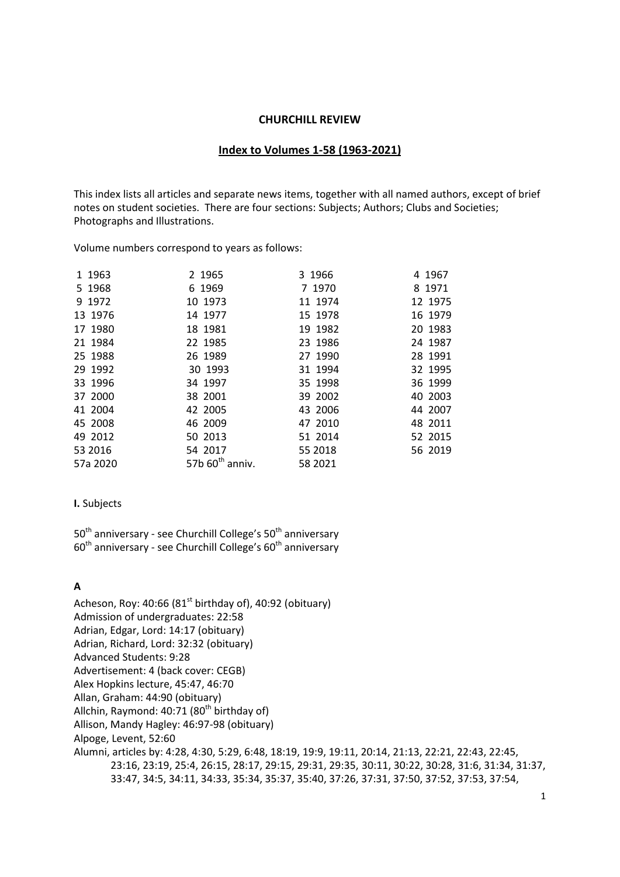#### **CHURCHILL REVIEW**

#### **Index to Volumes 1-58 (1963-2021)**

This index lists all articles and separate news items, together with all named authors, except of brief notes on student societies. There are four sections: [Subjects;](#page-0-0) [Authors;](#page-18-0) [Clubs and Societies;](#page-42-0) [Photographs and Illustrations.](#page-45-0)

Volume numbers correspond to years as follows:

| 1 1963   | 2 1965                      | 3 1966  | 4 1967  |
|----------|-----------------------------|---------|---------|
| 5 1968   | 6 1969                      | 7 1970  | 8 1971  |
| 9 1972   | 10 1973                     | 11 1974 | 12 1975 |
| 13 1976  | 14 1977                     | 15 1978 | 16 1979 |
| 17 1980  | 18 1981                     | 19 1982 | 20 1983 |
| 21 1984  | 22 1985                     | 23 1986 | 24 1987 |
| 25 1988  | 26 1989                     | 27 1990 | 28 1991 |
| 29 1992  | 30 1993                     | 31 1994 | 32 1995 |
| 33 1996  | 34 1997                     | 35 1998 | 36 1999 |
| 37 2000  | 38 2001                     | 39 2002 | 40 2003 |
| 41 2004  | 42 2005                     | 43 2006 | 44 2007 |
| 45 2008  | 46 2009                     | 47 2010 | 48 2011 |
| 49 2012  | 50 2013                     | 51 2014 | 52 2015 |
| 53 2016  | 54 2017                     | 55 2018 | 56 2019 |
| 57a 2020 | 57b $60^{\text{th}}$ anniv. | 58 2021 |         |
|          |                             |         |         |

#### <span id="page-0-0"></span>**I.** Subjects

50<sup>th</sup> anniversary - see Churchill College's 50<sup>th</sup> anniversary  $60<sup>th</sup>$  anniversary - see Churchill College's  $60<sup>th</sup>$  anniversary

#### **A**

Acheson, Roy:  $40:66$  ( $81<sup>st</sup>$  birthday of),  $40:92$  (obituary) Admission of undergraduates: 22:58 Adrian, Edgar, Lord: 14:17 (obituary) Adrian, Richard, Lord: 32:32 (obituary) Advanced Students: 9:28 Advertisement: 4 (back cover: CEGB) Alex Hopkins lecture, 45:47, 46:70 Allan, Graham: 44:90 (obituary) Allchin, Raymond:  $40:71$  ( $80<sup>th</sup>$  birthday of) Allison, Mandy Hagley: 46:97-98 (obituary) Alpoge, Levent, 52:60 Alumni, articles by: 4:28, 4:30, 5:29, 6:48, 18:19, 19:9, 19:11, 20:14, 21:13, 22:21, 22:43, 22:45, 23:16, 23:19, 25:4, 26:15, 28:17, 29:15, 29:31, 29:35, 30:11, 30:22, 30:28, 31:6, 31:34, 31:37, 33:47, 34:5, 34:11, 34:33, 35:34, 35:37, 35:40, 37:26, 37:31, 37:50, 37:52, 37:53, 37:54,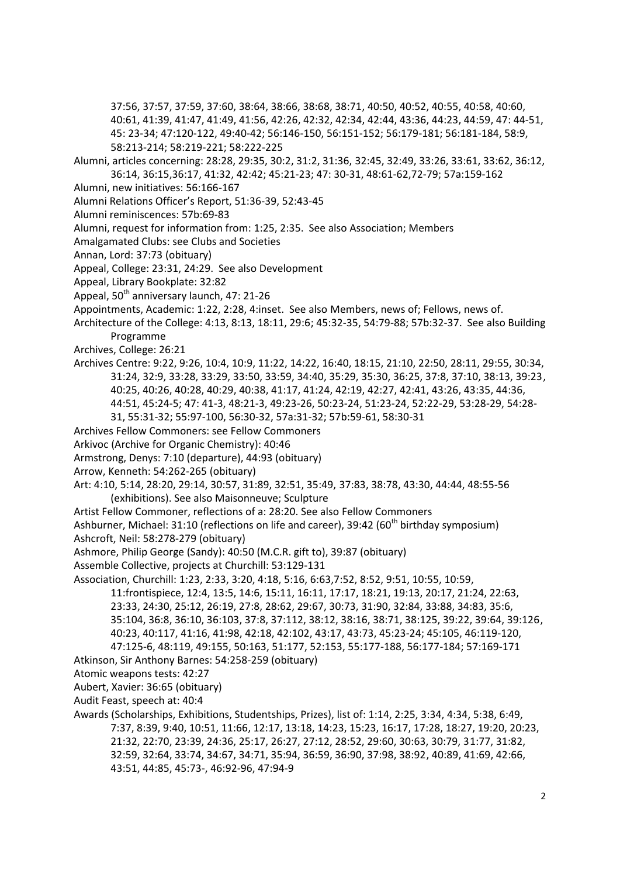37:56, 37:57, 37:59, 37:60, 38:64, 38:66, 38:68, 38:71, 40:50, 40:52, 40:55, 40:58, 40:60, 40:61, 41:39, 41:47, 41:49, 41:56, 42:26, 42:32, 42:34, 42:44, 43:36, 44:23, 44:59, 47: 44-51, 45: 23-34; 47:120-122, 49:40-42; 56:146-150, 56:151-152; 56:179-181; 56:181-184, 58:9, 58:213-214; 58:219-221; 58:222-225

- Alumni, articles concerning: 28:28, 29:35, 30:2, 31:2, 31:36, 32:45, 32:49, 33:26, 33:61, 33:62, 36:12, 36:14, 36:15,36:17, 41:32, 42:42; 45:21-23; 47: 30-31, 48:61-62,72-79; 57a:159-162
- Alumni, new initiatives: 56:166-167
- Alumni Relations Officer's Report, 51:36-39, 52:43-45
- Alumni reminiscences: 57b:69-83
- Alumni, request for information from: 1:25, 2:35. See also Association; Members
- Amalgamated Clubs: see Clubs and Societies
- Annan, Lord: 37:73 (obituary)
- Appeal, College: 23:31, 24:29. See also Development
- Appeal, Library Bookplate: 32:82
- Appeal,  $50<sup>th</sup>$  anniversary launch, 47: 21-26
- Appointments, Academic: 1:22, 2:28, 4:inset. See also Members, news of; Fellows, news of.
- Architecture of the College: 4:13, 8:13, 18:11, 29:6; 45:32-35, 54:79-88; 57b:32-37. See also Building Programme
- Archives, College: 26:21
- Archives Centre: 9:22, 9:26, 10:4, 10:9, 11:22, 14:22, 16:40, 18:15, 21:10, 22:50, 28:11, 29:55, 30:34, 31:24, 32:9, 33:28, 33:29, 33:50, 33:59, 34:40, 35:29, 35:30, 36:25, 37:8, 37:10, 38:13, 39:23, 40:25, 40:26, 40:28, 40:29, 40:38, 41:17, 41:24, 42:19, 42:27, 42:41, 43:26, 43:35, 44:36, 44:51, 45:24-5; 47: 41-3, 48:21-3, 49:23-26, 50:23-24, 51:23-24, 52:22-29, 53:28-29, 54:28- 31, 55:31-32; 55:97-100, 56:30-32, 57a:31-32; 57b:59-61, 58:30-31
- Archives Fellow Commoners: see Fellow Commoners
- Arkivoc (Archive for Organic Chemistry): 40:46
- Armstrong, Denys: 7:10 (departure), 44:93 (obituary)
- Arrow, Kenneth: 54:262-265 (obituary)
- Art: 4:10, 5:14, 28:20, 29:14, 30:57, 31:89, 32:51, 35:49, 37:83, 38:78, 43:30, 44:44, 48:55-56 (exhibitions). See also Maisonneuve; Sculpture
- Artist Fellow Commoner, reflections of a: 28:20. See also Fellow Commoners

Ashburner, Michael: 31:10 (reflections on life and career), 39:42 (60<sup>th</sup> birthday symposium) Ashcroft, Neil: 58:278-279 (obituary)

- Ashmore, Philip George (Sandy): 40:50 (M.C.R. gift to), 39:87 (obituary)
- Assemble Collective, projects at Churchill: 53:129-131
- Association, Churchill: 1:23, 2:33, 3:20, 4:18, 5:16, 6:63,7:52, 8:52, 9:51, 10:55, 10:59,

11:frontispiece, 12:4, 13:5, 14:6, 15:11, 16:11, 17:17, 18:21, 19:13, 20:17, 21:24, 22:63, 23:33, 24:30, 25:12, 26:19, 27:8, 28:62, 29:67, 30:73, 31:90, 32:84, 33:88, 34:83, 35:6, 35:104, 36:8, 36:10, 36:103, 37:8, 37:112, 38:12, 38:16, 38:71, 38:125, 39:22, 39:64, 39:126, 40:23, 40:117, 41:16, 41:98, 42:18, 42:102, 43:17, 43:73, 45:23-24; 45:105, 46:119-120, 47:125-6, 48:119, 49:155, 50:163, 51:177, 52:153, 55:177-188, 56:177-184; 57:169-171

- Atkinson, Sir Anthony Barnes: 54:258-259 (obituary)
- Atomic weapons tests: 42:27
- Aubert, Xavier: 36:65 (obituary)

Audit Feast, speech at: 40:4

Awards (Scholarships, Exhibitions, Studentships, Prizes), list of: 1:14, 2:25, 3:34, 4:34, 5:38, 6:49, 7:37, 8:39, 9:40, 10:51, 11:66, 12:17, 13:18, 14:23, 15:23, 16:17, 17:28, 18:27, 19:20, 20:23, 21:32, 22:70, 23:39, 24:36, 25:17, 26:27, 27:12, 28:52, 29:60, 30:63, 30:79, 31:77, 31:82, 32:59, 32:64, 33:74, 34:67, 34:71, 35:94, 36:59, 36:90, 37:98, 38:92, 40:89, 41:69, 42:66, 43:51, 44:85, 45:73-, 46:92-96, 47:94-9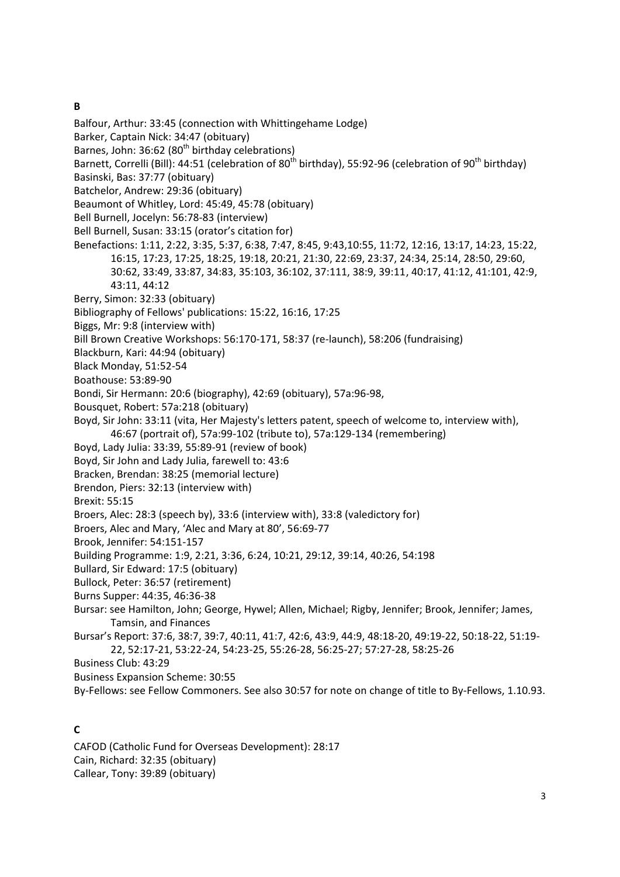## **B**

- Balfour, Arthur: 33:45 (connection with Whittingehame Lodge)
- Barker, Captain Nick: 34:47 (obituary)
- Barnes, John: 36:62 ( $80<sup>th</sup>$  birthday celebrations)
- Barnett, Correlli (Bill): 44:51 (celebration of 80<sup>th</sup> birthday), 55:92-96 (celebration of 90<sup>th</sup> birthday)
- Basinski, Bas: 37:77 (obituary)
- Batchelor, Andrew: 29:36 (obituary)
- Beaumont of Whitley, Lord: 45:49, 45:78 (obituary)
- Bell Burnell, Jocelyn: 56:78-83 (interview)
- Bell Burnell, Susan: 33:15 (orator's citation for)
- Benefactions: 1:11, 2:22, 3:35, 5:37, 6:38, 7:47, 8:45, 9:43,10:55, 11:72, 12:16, 13:17, 14:23, 15:22, 16:15, 17:23, 17:25, 18:25, 19:18, 20:21, 21:30, 22:69, 23:37, 24:34, 25:14, 28:50, 29:60, 30:62, 33:49, 33:87, 34:83, 35:103, 36:102, 37:111, 38:9, 39:11, 40:17, 41:12, 41:101, 42:9, 43:11, 44:12
- Berry, Simon: 32:33 (obituary)
- Bibliography of Fellows' publications: 15:22, 16:16, 17:25
- Biggs, Mr: 9:8 (interview with)
- Bill Brown Creative Workshops: 56:170-171, 58:37 (re-launch), 58:206 (fundraising)
- Blackburn, Kari: 44:94 (obituary)
- Black Monday, 51:52-54
- Boathouse: 53:89-90
- Bondi, Sir Hermann: 20:6 (biography), 42:69 (obituary), 57a:96-98,
- Bousquet, Robert: 57a:218 (obituary)
- Boyd, Sir John: 33:11 (vita, Her Majesty's letters patent, speech of welcome to, interview with), 46:67 (portrait of), 57a:99-102 (tribute to), 57a:129-134 (remembering)
- Boyd, Lady Julia: 33:39, 55:89-91 (review of book)
- Boyd, Sir John and Lady Julia, farewell to: 43:6
- Bracken, Brendan: 38:25 (memorial lecture)
- Brendon, Piers: 32:13 (interview with)
- Brexit: 55:15
- Broers, Alec: 28:3 (speech by), 33:6 (interview with), 33:8 (valedictory for)
- Broers, Alec and Mary, 'Alec and Mary at 80', 56:69-77
- Brook, Jennifer: 54:151-157
- Building Programme: 1:9, 2:21, 3:36, 6:24, 10:21, 29:12, 39:14, 40:26, 54:198
- Bullard, Sir Edward: 17:5 (obituary)
- Bullock, Peter: 36:57 (retirement)
- Burns Supper: 44:35, 46:36-38
- Bursar: see Hamilton, John; George, Hywel; Allen, Michael; Rigby, Jennifer; Brook, Jennifer; James, Tamsin, and Finances
- Bursar's Report: 37:6, 38:7, 39:7, 40:11, 41:7, 42:6, 43:9, 44:9, 48:18-20, 49:19-22, 50:18-22, 51:19- 22, 52:17-21, 53:22-24, 54:23-25, 55:26-28, 56:25-27; 57:27-28, 58:25-26

Business Club: 43:29

- Business Expansion Scheme: 30:55
- By-Fellows: see Fellow Commoners. See also 30:57 for note on change of title to By-Fellows, 1.10.93.

## **C**

CAFOD (Catholic Fund for Overseas Development): 28:17 Cain, Richard: 32:35 (obituary) Callear, Tony: 39:89 (obituary)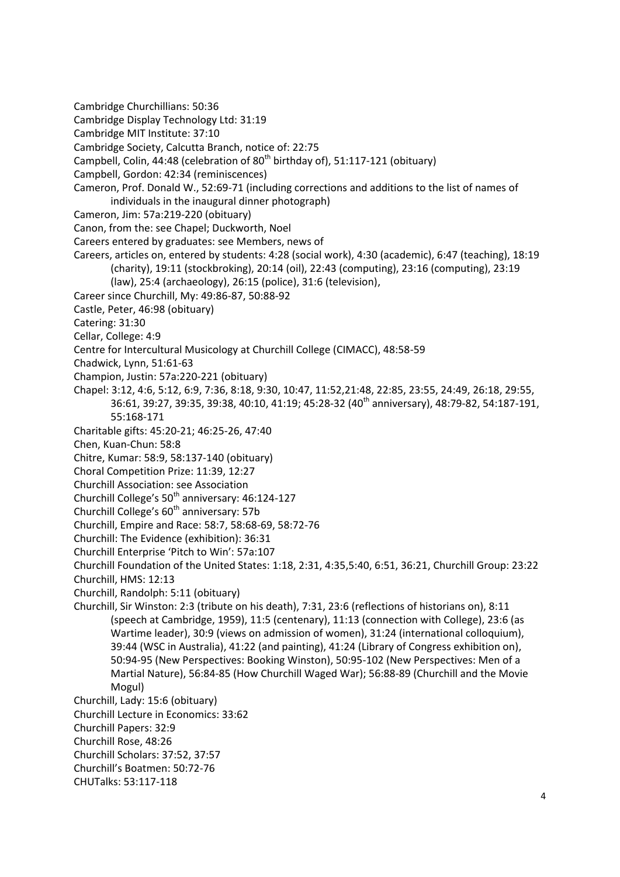Cambridge Churchillians: 50:36 Cambridge Display Technology Ltd: 31:19 Cambridge MIT Institute: 37:10 Cambridge Society, Calcutta Branch, notice of: 22:75 Campbell, Colin, 44:48 (celebration of  $80<sup>th</sup>$  birthday of), 51:117-121 (obituary) Campbell, Gordon: 42:34 (reminiscences) Cameron, Prof. Donald W., 52:69-71 (including corrections and additions to the list of names of individuals in the inaugural dinner photograph) Cameron, Jim: 57a:219-220 (obituary) Canon, from the: see Chapel; Duckworth, Noel Careers entered by graduates: see Members, news of Careers, articles on, entered by students: 4:28 (social work), 4:30 (academic), 6:47 (teaching), 18:19 (charity), 19:11 (stockbroking), 20:14 (oil), 22:43 (computing), 23:16 (computing), 23:19 (law), 25:4 (archaeology), 26:15 (police), 31:6 (television), Career since Churchill, My: 49:86-87, 50:88-92 Castle, Peter, 46:98 (obituary) Catering: 31:30 Cellar, College: 4:9 Centre for Intercultural Musicology at Churchill College (CIMACC), 48:58-59 Chadwick, Lynn, 51:61-63 Champion, Justin: 57a:220-221 (obituary) Chapel: 3:12, 4:6, 5:12, 6:9, 7:36, 8:18, 9:30, 10:47, 11:52,21:48, 22:85, 23:55, 24:49, 26:18, 29:55, 36:61, 39:27, 39:35, 39:38, 40:10, 41:19; 45:28-32 (40<sup>th</sup> anniversary), 48:79-82, 54:187-191, 55:168-171 Charitable gifts: 45:20-21; 46:25-26, 47:40 Chen, Kuan-Chun: 58:8 Chitre, Kumar: 58:9, 58:137-140 (obituary) Choral Competition Prize: 11:39, 12:27 Churchill Association: see Association Churchill College's 50<sup>th</sup> anniversary: 46:124-127 Churchill College's  $60<sup>th</sup>$  anniversary: 57b Churchill, Empire and Race: 58:7, 58:68-69, 58:72-76 Churchill: The Evidence (exhibition): 36:31 Churchill Enterprise 'Pitch to Win': 57a:107 Churchill Foundation of the United States: 1:18, 2:31, 4:35,5:40, 6:51, 36:21, Churchill Group: 23:22 Churchill, HMS: 12:13 Churchill, Randolph: 5:11 (obituary) Churchill, Sir Winston: 2:3 (tribute on his death), 7:31, 23:6 (reflections of historians on), 8:11 (speech at Cambridge, 1959), 11:5 (centenary), 11:13 (connection with College), 23:6 (as Wartime leader), 30:9 (views on admission of women), 31:24 (international colloquium), 39:44 (WSC in Australia), 41:22 (and painting), 41:24 (Library of Congress exhibition on), 50:94-95 (New Perspectives: Booking Winston), 50:95-102 (New Perspectives: Men of a Martial Nature), 56:84-85 (How Churchill Waged War); 56:88-89 (Churchill and the Movie Mogul) Churchill, Lady: 15:6 (obituary) Churchill Lecture in Economics: 33:62 Churchill Papers: 32:9 Churchill Rose, 48:26 Churchill Scholars: 37:52, 37:57 Churchill's Boatmen: 50:72-76

CHUTalks: 53:117-118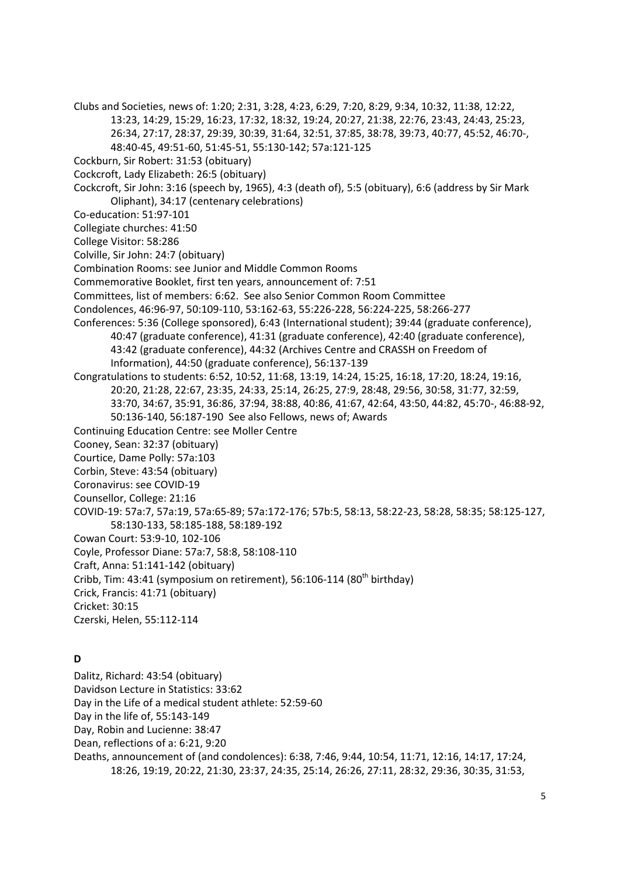Clubs and Societies, news of: 1:20; 2:31, 3:28, 4:23, 6:29, 7:20, 8:29, 9:34, 10:32, 11:38, 12:22, 13:23, 14:29, 15:29, 16:23, 17:32, 18:32, 19:24, 20:27, 21:38, 22:76, 23:43, 24:43, 25:23, 26:34, 27:17, 28:37, 29:39, 30:39, 31:64, 32:51, 37:85, 38:78, 39:73, 40:77, 45:52, 46:70-, 48:40-45, 49:51-60, 51:45-51, 55:130-142; 57a:121-125 Cockburn, Sir Robert: 31:53 (obituary) Cockcroft, Lady Elizabeth: 26:5 (obituary) Cockcroft, Sir John: 3:16 (speech by, 1965), 4:3 (death of), 5:5 (obituary), 6:6 (address by Sir Mark Oliphant), 34:17 (centenary celebrations) Co-education: 51:97-101 Collegiate churches: 41:50 College Visitor: 58:286 Colville, Sir John: 24:7 (obituary) Combination Rooms: see Junior and Middle Common Rooms Commemorative Booklet, first ten years, announcement of: 7:51 Committees, list of members: 6:62. See also Senior Common Room Committee Condolences, 46:96-97, 50:109-110, 53:162-63, 55:226-228, 56:224-225, 58:266-277 Conferences: 5:36 (College sponsored), 6:43 (International student); 39:44 (graduate conference), 40:47 (graduate conference), 41:31 (graduate conference), 42:40 (graduate conference), 43:42 (graduate conference), 44:32 (Archives Centre and CRASSH on Freedom of Information), 44:50 (graduate conference), 56:137-139 Congratulations to students: 6:52, 10:52, 11:68, 13:19, 14:24, 15:25, 16:18, 17:20, 18:24, 19:16, 20:20, 21:28, 22:67, 23:35, 24:33, 25:14, 26:25, 27:9, 28:48, 29:56, 30:58, 31:77, 32:59, 33:70, 34:67, 35:91, 36:86, 37:94, 38:88, 40:86, 41:67, 42:64, 43:50, 44:82, 45:70-, 46:88-92, 50:136-140, 56:187-190 See also Fellows, news of; Awards Continuing Education Centre: see Moller Centre Cooney, Sean: 32:37 (obituary) Courtice, Dame Polly: 57a:103 Corbin, Steve: 43:54 (obituary) Coronavirus: see COVID-19 Counsellor, College: 21:16 COVID-19: 57a:7, 57a:19, 57a:65-89; 57a:172-176; 57b:5, 58:13, 58:22-23, 58:28, 58:35; 58:125-127, 58:130-133, 58:185-188, 58:189-192 Cowan Court: 53:9-10, 102-106 Coyle, Professor Diane: 57a:7, 58:8, 58:108-110 Craft, Anna: 51:141-142 (obituary) Cribb, Tim: 43:41 (symposium on retirement), 56:106-114 (80<sup>th</sup> birthday) Crick, Francis: 41:71 (obituary) Cricket: 30:15 Czerski, Helen, 55:112-114

## **D**

Dalitz, Richard: 43:54 (obituary)

Davidson Lecture in Statistics: 33:62

Day in the Life of a medical student athlete: 52:59-60

Day in the life of, 55:143-149

Day, Robin and Lucienne: 38:47

Dean, reflections of a: 6:21, 9:20

Deaths, announcement of (and condolences): 6:38, 7:46, 9:44, 10:54, 11:71, 12:16, 14:17, 17:24, 18:26, 19:19, 20:22, 21:30, 23:37, 24:35, 25:14, 26:26, 27:11, 28:32, 29:36, 30:35, 31:53,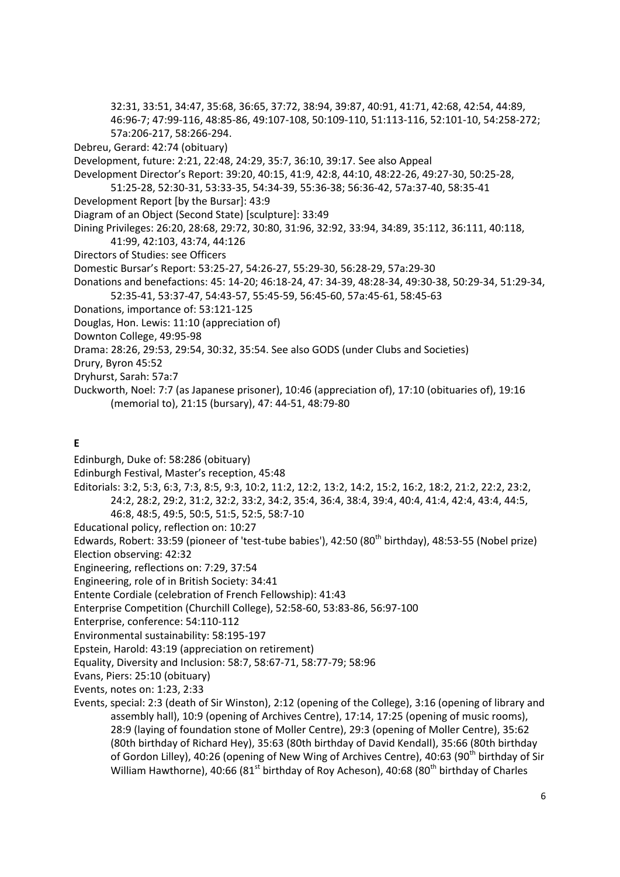32:31, 33:51, 34:47, 35:68, 36:65, 37:72, 38:94, 39:87, 40:91, 41:71, 42:68, 42:54, 44:89, 46:96-7; 47:99-116, 48:85-86, 49:107-108, 50:109-110, 51:113-116, 52:101-10, 54:258-272; 57a:206-217, 58:266-294.

Debreu, Gerard: 42:74 (obituary)

Development, future: 2:21, 22:48, 24:29, 35:7, 36:10, 39:17. See also Appeal

Development Director's Report: 39:20, 40:15, 41:9, 42:8, 44:10, 48:22-26, 49:27-30, 50:25-28, 51:25-28, 52:30-31, 53:33-35, 54:34-39, 55:36-38; 56:36-42, 57a:37-40, 58:35-41

- Development Report [by the Bursar]: 43:9
- Diagram of an Object (Second State) [sculpture]: 33:49
- Dining Privileges: 26:20, 28:68, 29:72, 30:80, 31:96, 32:92, 33:94, 34:89, 35:112, 36:111, 40:118,
- 41:99, 42:103, 43:74, 44:126 Directors of Studies: see Officers
- Domestic Bursar's Report: 53:25-27, 54:26-27, 55:29-30, 56:28-29, 57a:29-30
- Donations and benefactions: 45: 14-20; 46:18-24, 47: 34-39, 48:28-34, 49:30-38, 50:29-34, 51:29-34, 52:35-41, 53:37-47, 54:43-57, 55:45-59, 56:45-60, 57a:45-61, 58:45-63
- Donations, importance of: 53:121-125
- Douglas, Hon. Lewis: 11:10 (appreciation of)
- Downton College, 49:95-98

Drama: 28:26, 29:53, 29:54, 30:32, 35:54. See also GODS (under Clubs and Societies)

- Drury, Byron 45:52
- Dryhurst, Sarah: 57a:7
- Duckworth, Noel: 7:7 (as Japanese prisoner), 10:46 (appreciation of), 17:10 (obituaries of), 19:16 (memorial to), 21:15 (bursary), 47: 44-51, 48:79-80

#### **E**

- Edinburgh, Duke of: 58:286 (obituary)
- Edinburgh Festival, Master's reception, 45:48
- Editorials: 3:2, 5:3, 6:3, 7:3, 8:5, 9:3, 10:2, 11:2, 12:2, 13:2, 14:2, 15:2, 16:2, 18:2, 21:2, 22:2, 23:2, 24:2, 28:2, 29:2, 31:2, 32:2, 33:2, 34:2, 35:4, 36:4, 38:4, 39:4, 40:4, 41:4, 42:4, 43:4, 44:5, 46:8, 48:5, 49:5, 50:5, 51:5, 52:5, 58:7-10
- Educational policy, reflection on: 10:27
- Edwards, Robert: 33:59 (pioneer of 'test-tube babies'), 42:50 (80<sup>th</sup> birthday), 48:53-55 (Nobel prize)
- Election observing: 42:32
- Engineering, reflections on: 7:29, 37:54
- Engineering, role of in British Society: 34:41
- Entente Cordiale (celebration of French Fellowship): 41:43
- Enterprise Competition (Churchill College), 52:58-60, 53:83-86, 56:97-100
- Enterprise, conference: 54:110-112
- Environmental sustainability: 58:195-197
- Epstein, Harold: 43:19 (appreciation on retirement)
- Equality, Diversity and Inclusion: 58:7, 58:67-71, 58:77-79; 58:96
- Evans, Piers: 25:10 (obituary)
- Events, notes on: 1:23, 2:33
- Events, special: 2:3 (death of Sir Winston), 2:12 (opening of the College), 3:16 (opening of library and assembly hall), 10:9 (opening of Archives Centre), 17:14, 17:25 (opening of music rooms), 28:9 (laying of foundation stone of Moller Centre), 29:3 (opening of Moller Centre), 35:62 (80th birthday of Richard Hey), 35:63 (80th birthday of David Kendall), 35:66 (80th birthday of Gordon Lilley), 40:26 (opening of New Wing of Archives Centre), 40:63 (90<sup>th</sup> birthday of Sir William Hawthorne), 40:66 (81<sup>st</sup> birthday of Roy Acheson), 40:68 (80<sup>th</sup> birthday of Charles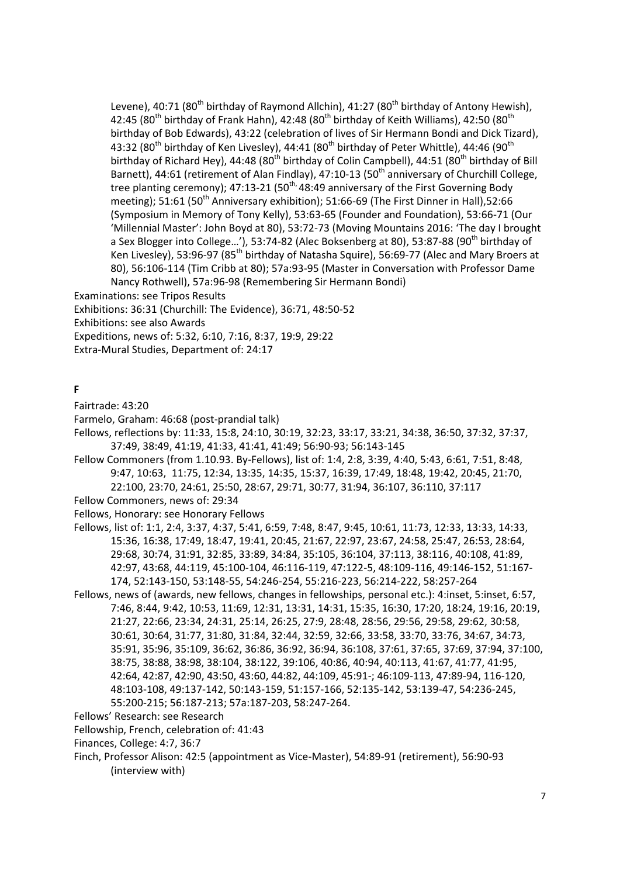Levene), 40:71 (80<sup>th</sup> birthday of Raymond Allchin), 41:27 (80<sup>th</sup> birthday of Antony Hewish), 42:45 (80<sup>th</sup> birthday of Frank Hahn), 42:48 (80<sup>th</sup> birthday of Keith Williams), 42:50 (80<sup>th</sup> birthday of Bob Edwards), 43:22 (celebration of lives of Sir Hermann Bondi and Dick Tizard), 43:32 (80<sup>th</sup> birthday of Ken Livesley), 44:41 (80<sup>th</sup> birthday of Peter Whittle), 44:46 (90<sup>th</sup> birthday of Richard Hey), 44:48 (80<sup>th</sup> birthday of Colin Campbell), 44:51 (80<sup>th</sup> birthday of Bill Barnett), 44:61 (retirement of Alan Findlay), 47:10-13 (50<sup>th</sup> anniversary of Churchill College, tree planting ceremony); 47:13-21 (50<sup>th,</sup> 48:49 anniversary of the First Governing Body meeting);  $51:61$  ( $50<sup>th</sup>$  Anniversary exhibition);  $51:66-69$  (The First Dinner in Hall),  $52:66$ (Symposium in Memory of Tony Kelly), 53:63-65 (Founder and Foundation), 53:66-71 (Our 'Millennial Master': John Boyd at 80), 53:72-73 (Moving Mountains 2016: 'The day I brought a Sex Blogger into College...'), 53:74-82 (Alec Boksenberg at 80), 53:87-88 (90<sup>th</sup> birthday of Ken Livesley), 53:96-97 (85<sup>th</sup> birthday of Natasha Squire), 56:69-77 (Alec and Mary Broers at 80), 56:106-114 (Tim Cribb at 80); 57a:93-95 (Master in Conversation with Professor Dame Nancy Rothwell), 57a:96-98 (Remembering Sir Hermann Bondi)

Examinations: see Tripos Results

Exhibitions: 36:31 (Churchill: The Evidence), 36:71, 48:50-52

Exhibitions: see also Awards

Expeditions, news of: 5:32, 6:10, 7:16, 8:37, 19:9, 29:22

Extra-Mural Studies, Department of: 24:17

#### **F**

Fairtrade: 43:20

Farmelo, Graham: 46:68 (post-prandial talk)

Fellows, reflections by: 11:33, 15:8, 24:10, 30:19, 32:23, 33:17, 33:21, 34:38, 36:50, 37:32, 37:37, 37:49, 38:49, 41:19, 41:33, 41:41, 41:49; 56:90-93; 56:143-145

Fellow Commoners (from 1.10.93. By-Fellows), list of: 1:4, 2:8, 3:39, 4:40, 5:43, 6:61, 7:51, 8:48, 9:47, 10:63, 11:75, 12:34, 13:35, 14:35, 15:37, 16:39, 17:49, 18:48, 19:42, 20:45, 21:70, 22:100, 23:70, 24:61, 25:50, 28:67, 29:71, 30:77, 31:94, 36:107, 36:110, 37:117

Fellow Commoners, news of: 29:34

Fellows, Honorary: see Honorary Fellows

Fellows, list of: 1:1, 2:4, 3:37, 4:37, 5:41, 6:59, 7:48, 8:47, 9:45, 10:61, 11:73, 12:33, 13:33, 14:33, 15:36, 16:38, 17:49, 18:47, 19:41, 20:45, 21:67, 22:97, 23:67, 24:58, 25:47, 26:53, 28:64, 29:68, 30:74, 31:91, 32:85, 33:89, 34:84, 35:105, 36:104, 37:113, 38:116, 40:108, 41:89, 42:97, 43:68, 44:119, 45:100-104, 46:116-119, 47:122-5, 48:109-116, 49:146-152, 51:167- 174, 52:143-150, 53:148-55, 54:246-254, 55:216-223, 56:214-222, 58:257-264

Fellows, news of (awards, new fellows, changes in fellowships, personal etc.): 4:inset, 5:inset, 6:57, 7:46, 8:44, 9:42, 10:53, 11:69, 12:31, 13:31, 14:31, 15:35, 16:30, 17:20, 18:24, 19:16, 20:19, 21:27, 22:66, 23:34, 24:31, 25:14, 26:25, 27:9, 28:48, 28:56, 29:56, 29:58, 29:62, 30:58, 30:61, 30:64, 31:77, 31:80, 31:84, 32:44, 32:59, 32:66, 33:58, 33:70, 33:76, 34:67, 34:73, 35:91, 35:96, 35:109, 36:62, 36:86, 36:92, 36:94, 36:108, 37:61, 37:65, 37:69, 37:94, 37:100, 38:75, 38:88, 38:98, 38:104, 38:122, 39:106, 40:86, 40:94, 40:113, 41:67, 41:77, 41:95, 42:64, 42:87, 42:90, 43:50, 43:60, 44:82, 44:109, 45:91-; 46:109-113, 47:89-94, 116-120, 48:103-108, 49:137-142, 50:143-159, 51:157-166, 52:135-142, 53:139-47, 54:236-245, 55:200-215; 56:187-213; 57a:187-203, 58:247-264.

Fellows' Research: see Research

Fellowship, French, celebration of: 41:43

Finances, College: 4:7, 36:7

Finch, Professor Alison: 42:5 (appointment as Vice-Master), 54:89-91 (retirement), 56:90-93 (interview with)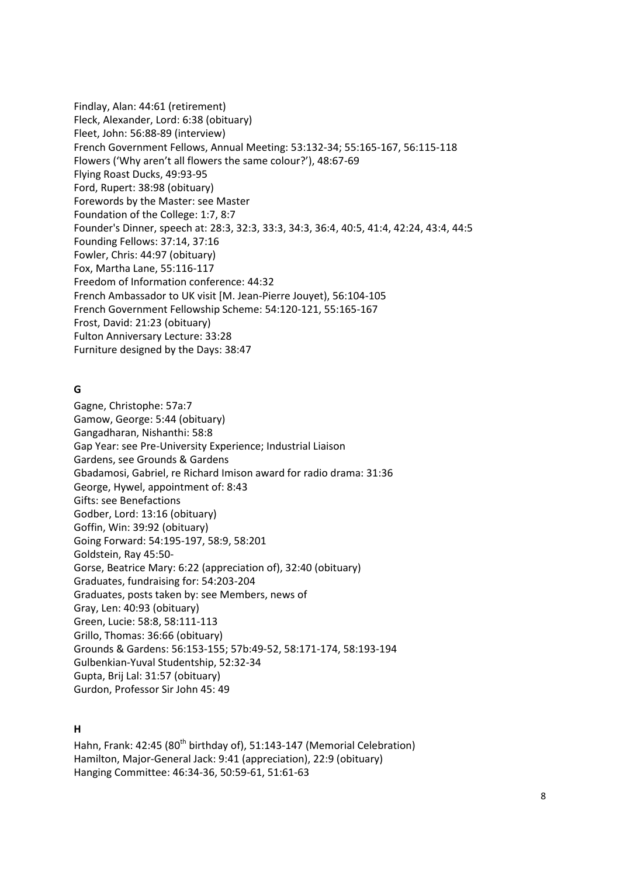Findlay, Alan: 44:61 (retirement) Fleck, Alexander, Lord: 6:38 (obituary) Fleet, John: 56:88-89 (interview) French Government Fellows, Annual Meeting: 53:132-34; 55:165-167, 56:115-118 Flowers ('Why aren't all flowers the same colour?'), 48:67-69 Flying Roast Ducks, 49:93-95 Ford, Rupert: 38:98 (obituary) Forewords by the Master: see Master Foundation of the College: 1:7, 8:7 Founder's Dinner, speech at: 28:3, 32:3, 33:3, 34:3, 36:4, 40:5, 41:4, 42:24, 43:4, 44:5 Founding Fellows: 37:14, 37:16 Fowler, Chris: 44:97 (obituary) Fox, Martha Lane, 55:116-117 Freedom of Information conference: 44:32 French Ambassador to UK visit [M. Jean-Pierre Jouyet), 56:104-105 French Government Fellowship Scheme: 54:120-121, 55:165-167 Frost, David: 21:23 (obituary) Fulton Anniversary Lecture: 33:28 Furniture designed by the Days: 38:47

#### **G**

Gagne, Christophe: 57a:7 Gamow, George: 5:44 (obituary) Gangadharan, Nishanthi: 58:8 Gap Year: see Pre-University Experience; Industrial Liaison Gardens, see Grounds & Gardens Gbadamosi, Gabriel, re Richard Imison award for radio drama: 31:36 George, Hywel, appointment of: 8:43 Gifts: see Benefactions Godber, Lord: 13:16 (obituary) Goffin, Win: 39:92 (obituary) Going Forward: 54:195-197, 58:9, 58:201 Goldstein, Ray 45:50- Gorse, Beatrice Mary: 6:22 (appreciation of), 32:40 (obituary) Graduates, fundraising for: 54:203-204 Graduates, posts taken by: see Members, news of Gray, Len: 40:93 (obituary) Green, Lucie: 58:8, 58:111-113 Grillo, Thomas: 36:66 (obituary) Grounds & Gardens: 56:153-155; 57b:49-52, 58:171-174, 58:193-194 Gulbenkian-Yuval Studentship, 52:32-34 Gupta, Brij Lal: 31:57 (obituary) Gurdon, Professor Sir John 45: 49

#### **H**

Hahn, Frank: 42:45 (80<sup>th</sup> birthday of), 51:143-147 (Memorial Celebration) Hamilton, Major-General Jack: 9:41 (appreciation), 22:9 (obituary) Hanging Committee: 46:34-36, 50:59-61, 51:61-63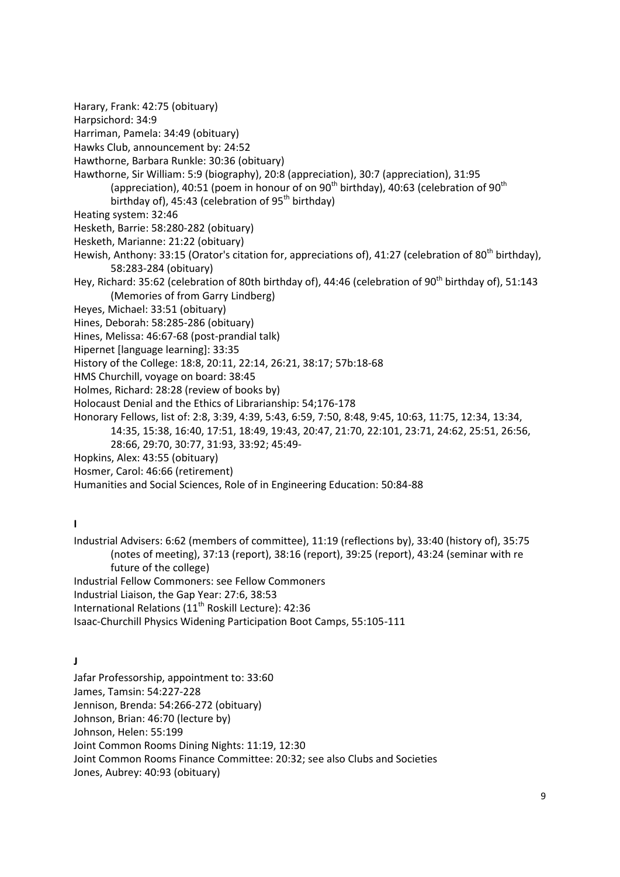Harary, Frank: 42:75 (obituary)

Harpsichord: 34:9

Harriman, Pamela: 34:49 (obituary)

Hawks Club, announcement by: 24:52

Hawthorne, Barbara Runkle: 30:36 (obituary)

Hawthorne, Sir William: 5:9 (biography), 20:8 (appreciation), 30:7 (appreciation), 31:95 (appreciation), 40:51 (poem in honour of on 90<sup>th</sup> birthday), 40:63 (celebration of 90<sup>th</sup> birthday of), 45:43 (celebration of  $95<sup>th</sup>$  birthday)

Heating system: 32:46

Hesketh, Barrie: 58:280-282 (obituary)

Hesketh, Marianne: 21:22 (obituary)

Hewish, Anthony: 33:15 (Orator's citation for, appreciations of), 41:27 (celebration of 80<sup>th</sup> birthday), 58:283-284 (obituary)

Hey, Richard: 35:62 (celebration of 80th birthday of), 44:46 (celebration of 90<sup>th</sup> birthday of), 51:143 (Memories of from Garry Lindberg)

Heyes, Michael: 33:51 (obituary)

Hines, Deborah: 58:285-286 (obituary)

Hines, Melissa: 46:67-68 (post-prandial talk)

Hipernet [language learning]: 33:35

History of the College: 18:8, 20:11, 22:14, 26:21, 38:17; 57b:18-68

HMS Churchill, voyage on board: 38:45

Holmes, Richard: 28:28 (review of books by)

Holocaust Denial and the Ethics of Librarianship: 54;176-178

Honorary Fellows, list of: 2:8, 3:39, 4:39, 5:43, 6:59, 7:50, 8:48, 9:45, 10:63, 11:75, 12:34, 13:34,

14:35, 15:38, 16:40, 17:51, 18:49, 19:43, 20:47, 21:70, 22:101, 23:71, 24:62, 25:51, 26:56,

28:66, 29:70, 30:77, 31:93, 33:92; 45:49-

Hopkins, Alex: 43:55 (obituary)

Hosmer, Carol: 46:66 (retirement)

Humanities and Social Sciences, Role of in Engineering Education: 50:84-88

**I**

Industrial Advisers: 6:62 (members of committee), 11:19 (reflections by), 33:40 (history of), 35:75 (notes of meeting), 37:13 (report), 38:16 (report), 39:25 (report), 43:24 (seminar with re future of the college) Industrial Fellow Commoners: see Fellow Commoners Industrial Liaison, the Gap Year: 27:6, 38:53

International Relations (11<sup>th</sup> Roskill Lecture): 42:36

Isaac-Churchill Physics Widening Participation Boot Camps, 55:105-111

**J**

Jafar Professorship, appointment to: 33:60 James, Tamsin: 54:227-228 Jennison, Brenda: 54:266-272 (obituary) Johnson, Brian: 46:70 (lecture by) Johnson, Helen: 55:199 Joint Common Rooms Dining Nights: 11:19, 12:30 Joint Common Rooms Finance Committee: 20:32; see also Clubs and Societies Jones, Aubrey: 40:93 (obituary)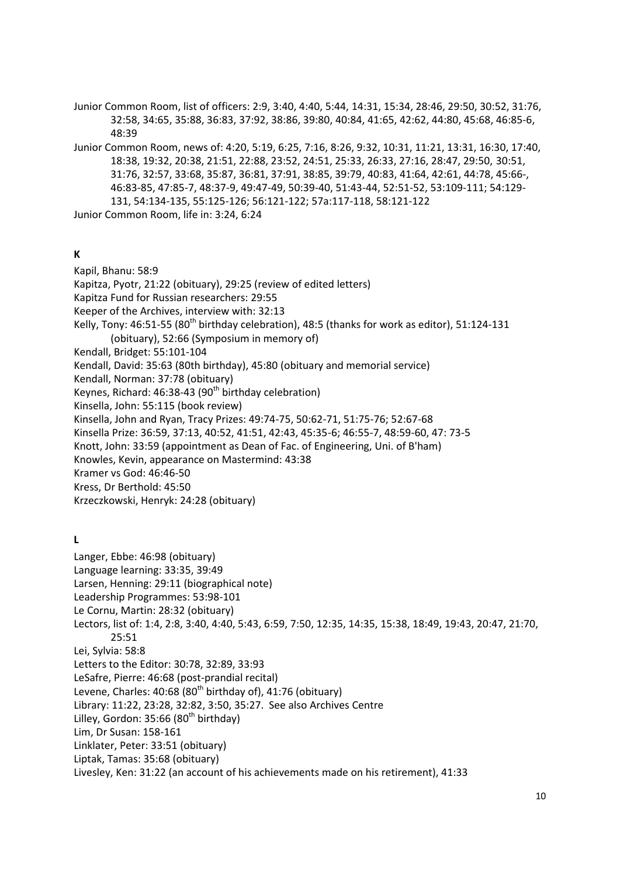Junior Common Room, list of officers: 2:9, 3:40, 4:40, 5:44, 14:31, 15:34, 28:46, 29:50, 30:52, 31:76, 32:58, 34:65, 35:88, 36:83, 37:92, 38:86, 39:80, 40:84, 41:65, 42:62, 44:80, 45:68, 46:85-6, 48:39

Junior Common Room, news of: 4:20, 5:19, 6:25, 7:16, 8:26, 9:32, 10:31, 11:21, 13:31, 16:30, 17:40, 18:38, 19:32, 20:38, 21:51, 22:88, 23:52, 24:51, 25:33, 26:33, 27:16, 28:47, 29:50, 30:51, 31:76, 32:57, 33:68, 35:87, 36:81, 37:91, 38:85, 39:79, 40:83, 41:64, 42:61, 44:78, 45:66-, 46:83-85, 47:85-7, 48:37-9, 49:47-49, 50:39-40, 51:43-44, 52:51-52, 53:109-111; 54:129- 131, 54:134-135, 55:125-126; 56:121-122; 57a:117-118, 58:121-122

Junior Common Room, life in: 3:24, 6:24

#### **K**

Kapil, Bhanu: 58:9 Kapitza, Pyotr, 21:22 (obituary), 29:25 (review of edited letters) Kapitza Fund for Russian researchers: 29:55 Keeper of the Archives, interview with: 32:13 Kelly, Tony:  $46:51-55$  (80<sup>th</sup> birthday celebration), 48:5 (thanks for work as editor), 51:124-131 (obituary), 52:66 (Symposium in memory of) Kendall, Bridget: 55:101-104 Kendall, David: 35:63 (80th birthday), 45:80 (obituary and memorial service) Kendall, Norman: 37:78 (obituary) Keynes, Richard: 46:38-43 (90<sup>th</sup> birthday celebration) Kinsella, John: 55:115 (book review) Kinsella, John and Ryan, Tracy Prizes: 49:74-75, 50:62-71, 51:75-76; 52:67-68 Kinsella Prize: 36:59, 37:13, 40:52, 41:51, 42:43, 45:35-6; 46:55-7, 48:59-60, 47: 73-5 Knott, John: 33:59 (appointment as Dean of Fac. of Engineering, Uni. of B'ham) Knowles, Kevin, appearance on Mastermind: 43:38 Kramer vs God: 46:46-50 Kress, Dr Berthold: 45:50 Krzeczkowski, Henryk: 24:28 (obituary) **L** Langer, Ebbe: 46:98 (obituary) Language learning: 33:35, 39:49 Larsen, Henning: 29:11 (biographical note) Leadership Programmes: 53:98-101 Le Cornu, Martin: 28:32 (obituary) Lectors, list of: 1:4, 2:8, 3:40, 4:40, 5:43, 6:59, 7:50, 12:35, 14:35, 15:38, 18:49, 19:43, 20:47, 21:70, 25:51 Lei, Sylvia: 58:8 Letters to the Editor: 30:78, 32:89, 33:93 LeSafre, Pierre: 46:68 (post-prandial recital) Levene, Charles:  $40:68$  ( $80<sup>th</sup>$  birthday of),  $41:76$  (obituary)

Library: 11:22, 23:28, 32:82, 3:50, 35:27. See also Archives Centre

Lilley, Gordon:  $35:66$  ( $80<sup>th</sup>$  birthday)

Lim, Dr Susan: 158-161

Linklater, Peter: 33:51 (obituary)

Liptak, Tamas: 35:68 (obituary)

Livesley, Ken: 31:22 (an account of his achievements made on his retirement), 41:33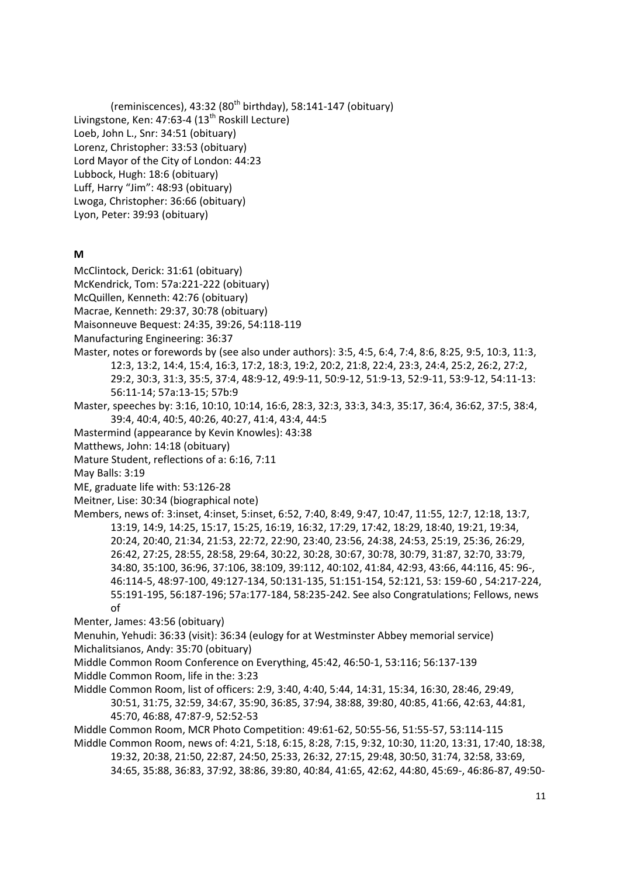(reminiscences), 43:32 ( $80<sup>th</sup>$  birthday), 58:141-147 (obituary) Livingstone, Ken: 47:63-4 (13<sup>th</sup> Roskill Lecture) Loeb, John L., Snr: 34:51 (obituary) Lorenz, Christopher: 33:53 (obituary) Lord Mayor of the City of London: 44:23 Lubbock, Hugh: 18:6 (obituary) Luff, Harry "Jim": 48:93 (obituary) Lwoga, Christopher: 36:66 (obituary) Lyon, Peter: 39:93 (obituary)

#### **M**

McClintock, Derick: 31:61 (obituary)

McKendrick, Tom: 57a:221-222 (obituary)

McQuillen, Kenneth: 42:76 (obituary)

Macrae, Kenneth: 29:37, 30:78 (obituary)

Maisonneuve Bequest: 24:35, 39:26, 54:118-119

Manufacturing Engineering: 36:37

- Master, notes or forewords by (see also under authors): 3:5, 4:5, 6:4, 7:4, 8:6, 8:25, 9:5, 10:3, 11:3, 12:3, 13:2, 14:4, 15:4, 16:3, 17:2, 18:3, 19:2, 20:2, 21:8, 22:4, 23:3, 24:4, 25:2, 26:2, 27:2, 29:2, 30:3, 31:3, 35:5, 37:4, 48:9-12, 49:9-11, 50:9-12, 51:9-13, 52:9-11, 53:9-12, 54:11-13: 56:11-14; 57a:13-15; 57b:9
- Master, speeches by: 3:16, 10:10, 10:14, 16:6, 28:3, 32:3, 33:3, 34:3, 35:17, 36:4, 36:62, 37:5, 38:4, 39:4, 40:4, 40:5, 40:26, 40:27, 41:4, 43:4, 44:5
- Mastermind (appearance by Kevin Knowles): 43:38

Matthews, John: 14:18 (obituary)

Mature Student, reflections of a: 6:16, 7:11

May Balls: 3:19

ME, graduate life with: 53:126-28

Meitner, Lise: 30:34 (biographical note)

Members, news of: 3:inset, 4:inset, 5:inset, 6:52, 7:40, 8:49, 9:47, 10:47, 11:55, 12:7, 12:18, 13:7, 13:19, 14:9, 14:25, 15:17, 15:25, 16:19, 16:32, 17:29, 17:42, 18:29, 18:40, 19:21, 19:34, 20:24, 20:40, 21:34, 21:53, 22:72, 22:90, 23:40, 23:56, 24:38, 24:53, 25:19, 25:36, 26:29, 26:42, 27:25, 28:55, 28:58, 29:64, 30:22, 30:28, 30:67, 30:78, 30:79, 31:87, 32:70, 33:79, 34:80, 35:100, 36:96, 37:106, 38:109, 39:112, 40:102, 41:84, 42:93, 43:66, 44:116, 45: 96-, 46:114-5, 48:97-100, 49:127-134, 50:131-135, 51:151-154, 52:121, 53: 159-60 , 54:217-224, 55:191-195, 56:187-196; 57a:177-184, 58:235-242. See also Congratulations; Fellows, news of

Menter, James: 43:56 (obituary)

Menuhin, Yehudi: 36:33 (visit): 36:34 (eulogy for at Westminster Abbey memorial service) Michalitsianos, Andy: 35:70 (obituary)

Middle Common Room Conference on Everything, 45:42, 46:50-1, 53:116; 56:137-139

Middle Common Room, life in the: 3:23

Middle Common Room, list of officers: 2:9, 3:40, 4:40, 5:44, 14:31, 15:34, 16:30, 28:46, 29:49, 30:51, 31:75, 32:59, 34:67, 35:90, 36:85, 37:94, 38:88, 39:80, 40:85, 41:66, 42:63, 44:81, 45:70, 46:88, 47:87-9, 52:52-53

Middle Common Room, MCR Photo Competition: 49:61-62, 50:55-56, 51:55-57, 53:114-115

Middle Common Room, news of: 4:21, 5:18, 6:15, 8:28, 7:15, 9:32, 10:30, 11:20, 13:31, 17:40, 18:38, 19:32, 20:38, 21:50, 22:87, 24:50, 25:33, 26:32, 27:15, 29:48, 30:50, 31:74, 32:58, 33:69,

34:65, 35:88, 36:83, 37:92, 38:86, 39:80, 40:84, 41:65, 42:62, 44:80, 45:69-, 46:86-87, 49:50-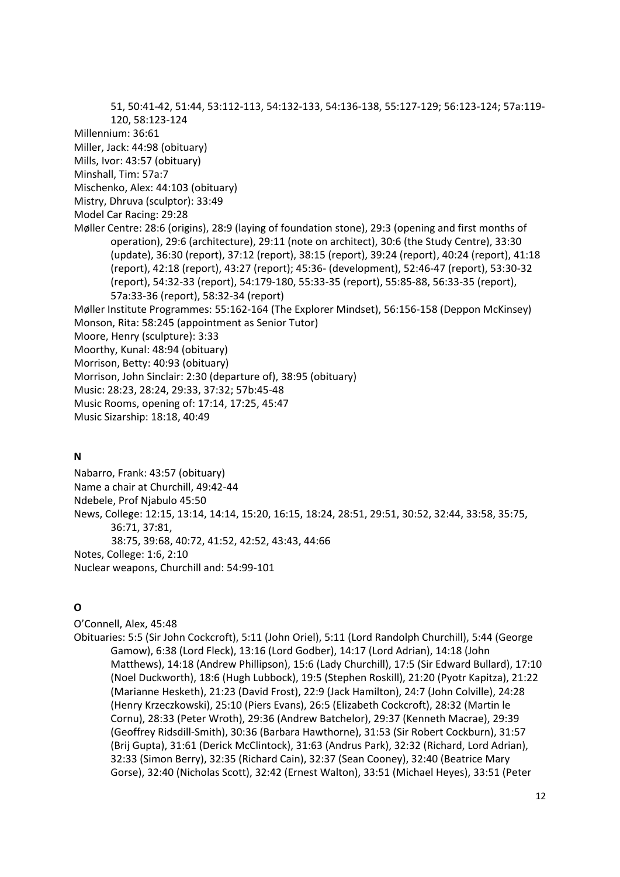51, 50:41-42, 51:44, 53:112-113, 54:132-133, 54:136-138, 55:127-129; 56:123-124; 57a:119- 120, 58:123-124 Millennium: 36:61 Miller, Jack: 44:98 (obituary) Mills, Ivor: 43:57 (obituary) Minshall, Tim: 57a:7 Mischenko, Alex: 44:103 (obituary) Mistry, Dhruva (sculptor): 33:49 Model Car Racing: 29:28 Møller Centre: 28:6 (origins), 28:9 (laying of foundation stone), 29:3 (opening and first months of operation), 29:6 (architecture), 29:11 (note on architect), 30:6 (the Study Centre), 33:30 (update), 36:30 (report), 37:12 (report), 38:15 (report), 39:24 (report), 40:24 (report), 41:18 (report), 42:18 (report), 43:27 (report); 45:36- (development), 52:46-47 (report), 53:30-32 (report), 54:32-33 (report), 54:179-180, 55:33-35 (report), 55:85-88, 56:33-35 (report), 57a:33-36 (report), 58:32-34 (report) Møller Institute Programmes: 55:162-164 (The Explorer Mindset), 56:156-158 (Deppon McKinsey) Monson, Rita: 58:245 (appointment as Senior Tutor) Moore, Henry (sculpture): 3:33 Moorthy, Kunal: 48:94 (obituary) Morrison, Betty: 40:93 (obituary) Morrison, John Sinclair: 2:30 (departure of), 38:95 (obituary) Music: 28:23, 28:24, 29:33, 37:32; 57b:45-48 Music Rooms, opening of: 17:14, 17:25, 45:47 Music Sizarship: 18:18, 40:49

#### **N**

Nabarro, Frank: 43:57 (obituary) Name a chair at Churchill, 49:42-44 Ndebele, Prof Njabulo 45:50 News, College: 12:15, 13:14, 14:14, 15:20, 16:15, 18:24, 28:51, 29:51, 30:52, 32:44, 33:58, 35:75, 36:71, 37:81, 38:75, 39:68, 40:72, 41:52, 42:52, 43:43, 44:66 Notes, College: 1:6, 2:10 Nuclear weapons, Churchill and: 54:99-101

## **O**

O'Connell, Alex, 45:48 Obituaries: 5:5 (Sir John Cockcroft), 5:11 (John Oriel), 5:11 (Lord Randolph Churchill), 5:44 (George Gamow), 6:38 (Lord Fleck), 13:16 (Lord Godber), 14:17 (Lord Adrian), 14:18 (John Matthews), 14:18 (Andrew Phillipson), 15:6 (Lady Churchill), 17:5 (Sir Edward Bullard), 17:10 (Noel Duckworth), 18:6 (Hugh Lubbock), 19:5 (Stephen Roskill), 21:20 (Pyotr Kapitza), 21:22 (Marianne Hesketh), 21:23 (David Frost), 22:9 (Jack Hamilton), 24:7 (John Colville), 24:28 (Henry Krzeczkowski), 25:10 (Piers Evans), 26:5 (Elizabeth Cockcroft), 28:32 (Martin le Cornu), 28:33 (Peter Wroth), 29:36 (Andrew Batchelor), 29:37 (Kenneth Macrae), 29:39 (Geoffrey Ridsdill-Smith), 30:36 (Barbara Hawthorne), 31:53 (Sir Robert Cockburn), 31:57 (Brij Gupta), 31:61 (Derick McClintock), 31:63 (Andrus Park), 32:32 (Richard, Lord Adrian), 32:33 (Simon Berry), 32:35 (Richard Cain), 32:37 (Sean Cooney), 32:40 (Beatrice Mary Gorse), 32:40 (Nicholas Scott), 32:42 (Ernest Walton), 33:51 (Michael Heyes), 33:51 (Peter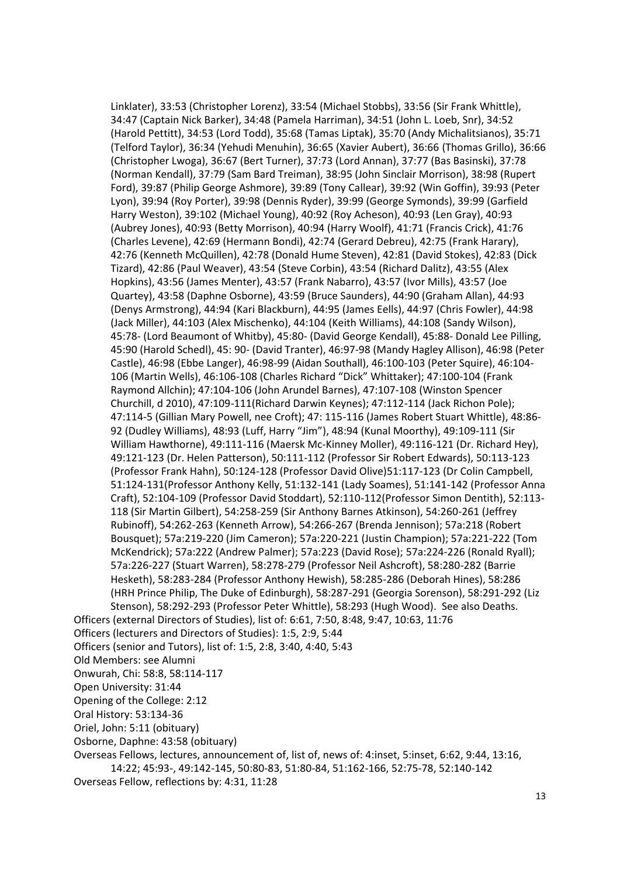Linklater), 33:53 (Christopher Lorenz), 33:54 (Michael Stobbs), 33:56 (Sir Frank Whittle), 34:47 (Captain Nick Barker), 34:48 (Pamela Harriman), 34:51 (John L. Loeb, Snr), 34:52 (Harold Pettitt), 34:53 (Lord Todd), 35:68 (Tamas Liptak), 35:70 (Andy Michalitsianos), 35:71 (Telford Taylor), 36:34 (Yehudi Menuhin), 36:65 (Xavier Aubert), 36:66 (Thomas Grillo), 36:66 (Christopher Lwoga), 36:67 (Bert Turner), 37:73 (Lord Annan), 37:77 (Bas Basinski), 37:78 (Norman Kendall), 37:79 (Sam Bard Treiman), 38:95 (John Sinclair Morrison), 38:98 (Rupert Ford), 39:87 (Philip George Ashmore), 39:89 (Tony Callear), 39:92 (Win Goffin), 39:93 (Peter Lyon), 39:94 (Roy Porter), 39:98 (Dennis Ryder), 39:99 (George Symonds), 39:99 (Garfield Harry Weston), 39:102 (Michael Young), 40:92 (Roy Acheson), 40:93 (Len Gray), 40:93 (Aubrey Jones), 40:93 (Betty Morrison), 40:94 (Harry Woolf), 41:71 (Francis Crick), 41:76 (Charles Levene), 42:69 (Hermann Bondi), 42:74 (Gerard Debreu), 42:75 (Frank Harary), 42:76 (Kenneth McQuillen), 42:78 (Donald Hume Steven), 42:81 (David Stokes), 42:83 (Dick Tizard), 42:86 (Paul Weaver), 43:54 (Steve Corbin), 43:54 (Richard Dalitz), 43:55 (Alex Hopkins), 43:56 (James Menter), 43:57 (Frank Nabarro), 43:57 (Ivor Mills), 43:57 (Joe Quartey), 43:58 (Daphne Osborne), 43:59 (Bruce Saunders), 44:90 (Graham Allan), 44:93 (Denys Armstrong), 44:94 (Kari Blackburn), 44:95 (James Eells), 44:97 (Chris Fowler), 44:98 (Jack Miller), 44:103 (Alex Mischenko), 44:104 (Keith Williams), 44:108 (Sandy Wilson), 45:78- (Lord Beaumont of Whitby), 45:80- (David George Kendall), 45:88- Donald Lee Pilling, 45:90 (Harold Schedl), 45: 90- (David Tranter), 46:97-98 (Mandy Hagley Allison), 46:98 (Peter Castle), 46:98 (Ebbe Langer), 46:98-99 (Aidan Southall), 46:100-103 (Peter Squire), 46:104- 106 (Martin Wells), 46:106-108 (Charles Richard "Dick" Whittaker); 47:100-104 (Frank Raymond Allchin); 47:104-106 (John Arundel Barnes), 47:107-108 (Winston Spencer Churchill, d 2010), 47:109-111(Richard Darwin Keynes); 47:112-114 (Jack Richon Pole); 47:114-5 (Gillian Mary Powell, nee Croft); 47: 115-116 (James Robert Stuart Whittle), 48:86- 92 (Dudley Williams), 48:93 (Luff, Harry "Jim"), 48:94 (Kunal Moorthy), 49:109-111 (Sir William Hawthorne), 49:111-116 (Maersk Mc-Kinney Moller), 49:116-121 (Dr. Richard Hey), 49:121-123 (Dr. Helen Patterson), 50:111-112 (Professor Sir Robert Edwards), 50:113-123 (Professor Frank Hahn), 50:124-128 (Professor David Olive)51:117-123 (Dr Colin Campbell, 51:124-131(Professor Anthony Kelly, 51:132-141 (Lady Soames), 51:141-142 (Professor Anna Craft), 52:104-109 (Professor David Stoddart), 52:110-112(Professor Simon Dentith), 52:113- 118 (Sir Martin Gilbert), 54:258-259 (Sir Anthony Barnes Atkinson), 54:260-261 (Jeffrey Rubinoff), 54:262-263 (Kenneth Arrow), 54:266-267 (Brenda Jennison); 57a:218 (Robert Bousquet); 57a:219-220 (Jim Cameron); 57a:220-221 (Justin Champion); 57a:221-222 (Tom McKendrick); 57a:222 (Andrew Palmer); 57a:223 (David Rose); 57a:224-226 (Ronald Ryall); 57a:226-227 (Stuart Warren), 58:278-279 (Professor Neil Ashcroft), 58:280-282 (Barrie Hesketh), 58:283-284 (Professor Anthony Hewish), 58:285-286 (Deborah Hines), 58:286 (HRH Prince Philip, The Duke of Edinburgh), 58:287-291 (Georgia Sorenson), 58:291-292 (Liz Stenson), 58:292-293 (Professor Peter Whittle), 58:293 (Hugh Wood). See also Deaths. Officers (external Directors of Studies), list of: 6:61, 7:50, 8:48, 9:47, 10:63, 11:76 Officers (lecturers and Directors of Studies): 1:5, 2:9, 5:44 Officers (senior and Tutors), list of: 1:5, 2:8, 3:40, 4:40, 5:43 Old Members: see Alumni Onwurah, Chi: 58:8, 58:114-117 Open University: 31:44 Opening of the College: 2:12 Oral History: 53:134-36 Oriel, John: 5:11 (obituary) Osborne, Daphne: 43:58 (obituary) Overseas Fellows, lectures, announcement of, list of, news of: 4:inset, 5:inset, 6:62, 9:44, 13:16, 14:22; 45:93-, 49:142-145, 50:80-83, 51:80-84, 51:162-166, 52:75-78, 52:140-142

Overseas Fellow, reflections by: 4:31, 11:28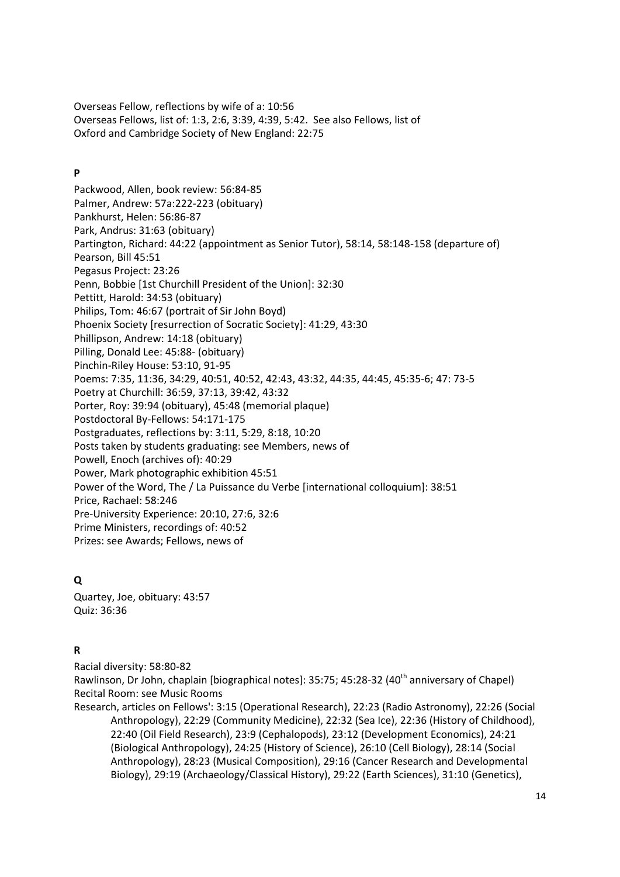Overseas Fellow, reflections by wife of a: 10:56 Overseas Fellows, list of: 1:3, 2:6, 3:39, 4:39, 5:42. See also Fellows, list of Oxford and Cambridge Society of New England: 22:75

## **P**

Packwood, Allen, book review: 56:84-85 Palmer, Andrew: 57a:222-223 (obituary) Pankhurst, Helen: 56:86-87 Park, Andrus: 31:63 (obituary) Partington, Richard: 44:22 (appointment as Senior Tutor), 58:14, 58:148-158 (departure of) Pearson, Bill 45:51 Pegasus Project: 23:26 Penn, Bobbie [1st Churchill President of the Union]: 32:30 Pettitt, Harold: 34:53 (obituary) Philips, Tom: 46:67 (portrait of Sir John Boyd) Phoenix Society [resurrection of Socratic Society]: 41:29, 43:30 Phillipson, Andrew: 14:18 (obituary) Pilling, Donald Lee: 45:88- (obituary) Pinchin-Riley House: 53:10, 91-95 Poems: 7:35, 11:36, 34:29, 40:51, 40:52, 42:43, 43:32, 44:35, 44:45, 45:35-6; 47: 73-5 Poetry at Churchill: 36:59, 37:13, 39:42, 43:32 Porter, Roy: 39:94 (obituary), 45:48 (memorial plaque) Postdoctoral By-Fellows: 54:171-175 Postgraduates, reflections by: 3:11, 5:29, 8:18, 10:20 Posts taken by students graduating: see Members, news of Powell, Enoch (archives of): 40:29 Power, Mark photographic exhibition 45:51 Power of the Word, The / La Puissance du Verbe [international colloquium]: 38:51 Price, Rachael: 58:246 Pre-University Experience: 20:10, 27:6, 32:6 Prime Ministers, recordings of: 40:52 Prizes: see Awards; Fellows, news of

# **Q**

Quartey, Joe, obituary: 43:57 Quiz: 36:36

# **R**

Racial diversity: 58:80-82

Rawlinson, Dr John, chaplain [biographical notes]: 35:75; 45:28-32 (40<sup>th</sup> anniversary of Chapel) Recital Room: see Music Rooms

Research, articles on Fellows': 3:15 (Operational Research), 22:23 (Radio Astronomy), 22:26 (Social Anthropology), 22:29 (Community Medicine), 22:32 (Sea Ice), 22:36 (History of Childhood), 22:40 (Oil Field Research), 23:9 (Cephalopods), 23:12 (Development Economics), 24:21 (Biological Anthropology), 24:25 (History of Science), 26:10 (Cell Biology), 28:14 (Social Anthropology), 28:23 (Musical Composition), 29:16 (Cancer Research and Developmental Biology), 29:19 (Archaeology/Classical History), 29:22 (Earth Sciences), 31:10 (Genetics),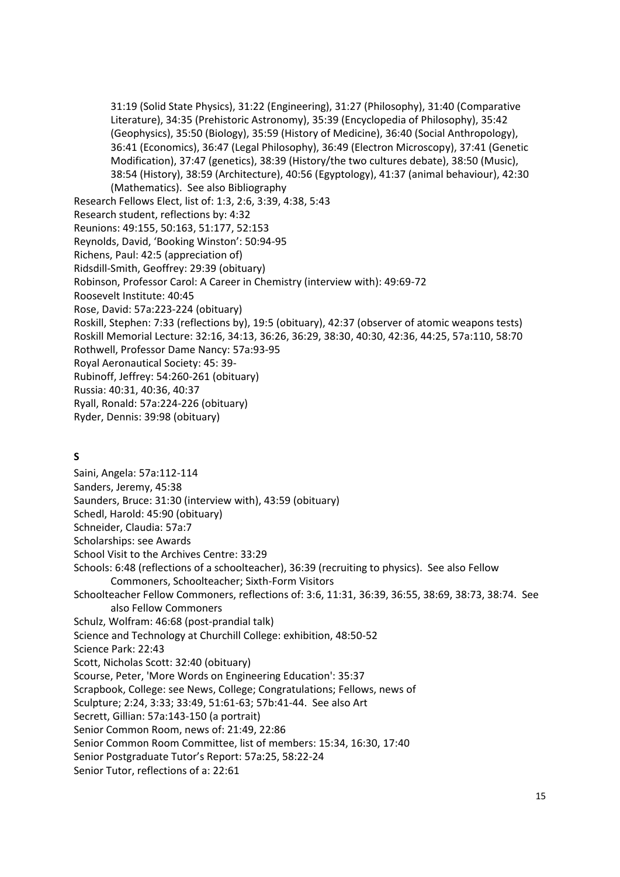31:19 (Solid State Physics), 31:22 (Engineering), 31:27 (Philosophy), 31:40 (Comparative Literature), 34:35 (Prehistoric Astronomy), 35:39 (Encyclopedia of Philosophy), 35:42 (Geophysics), 35:50 (Biology), 35:59 (History of Medicine), 36:40 (Social Anthropology), 36:41 (Economics), 36:47 (Legal Philosophy), 36:49 (Electron Microscopy), 37:41 (Genetic Modification), 37:47 (genetics), 38:39 (History/the two cultures debate), 38:50 (Music), 38:54 (History), 38:59 (Architecture), 40:56 (Egyptology), 41:37 (animal behaviour), 42:30 (Mathematics). See also Bibliography Research Fellows Elect, list of: 1:3, 2:6, 3:39, 4:38, 5:43 Research student, reflections by: 4:32 Reunions: 49:155, 50:163, 51:177, 52:153 Reynolds, David, 'Booking Winston': 50:94-95 Richens, Paul: 42:5 (appreciation of) Ridsdill-Smith, Geoffrey: 29:39 (obituary) Robinson, Professor Carol: A Career in Chemistry (interview with): 49:69-72 Roosevelt Institute: 40:45 Rose, David: 57a:223-224 (obituary) Roskill, Stephen: 7:33 (reflections by), 19:5 (obituary), 42:37 (observer of atomic weapons tests) Roskill Memorial Lecture: 32:16, 34:13, 36:26, 36:29, 38:30, 40:30, 42:36, 44:25, 57a:110, 58:70 Rothwell, Professor Dame Nancy: 57a:93-95 Royal Aeronautical Society: 45: 39- Rubinoff, Jeffrey: 54:260-261 (obituary) Russia: 40:31, 40:36, 40:37 Ryall, Ronald: 57a:224-226 (obituary) Ryder, Dennis: 39:98 (obituary)

## **S**

Saini, Angela: 57a:112-114 Sanders, Jeremy, 45:38 Saunders, Bruce: 31:30 (interview with), 43:59 (obituary) Schedl, Harold: 45:90 (obituary) Schneider, Claudia: 57a:7 Scholarships: see Awards School Visit to the Archives Centre: 33:29 Schools: 6:48 (reflections of a schoolteacher), 36:39 (recruiting to physics). See also Fellow Commoners, Schoolteacher; Sixth-Form Visitors Schoolteacher Fellow Commoners, reflections of: 3:6, 11:31, 36:39, 36:55, 38:69, 38:73, 38:74. See also Fellow Commoners Schulz, Wolfram: 46:68 (post-prandial talk) Science and Technology at Churchill College: exhibition, 48:50-52 Science Park: 22:43 Scott, Nicholas Scott: 32:40 (obituary) Scourse, Peter, 'More Words on Engineering Education': 35:37 Scrapbook, College: see News, College; Congratulations; Fellows, news of Sculpture; 2:24, 3:33; 33:49, 51:61-63; 57b:41-44. See also Art Secrett, Gillian: 57a:143-150 (a portrait) Senior Common Room, news of: 21:49, 22:86 Senior Common Room Committee, list of members: 15:34, 16:30, 17:40 Senior Postgraduate Tutor's Report: 57a:25, 58:22-24

Senior Tutor, reflections of a: 22:61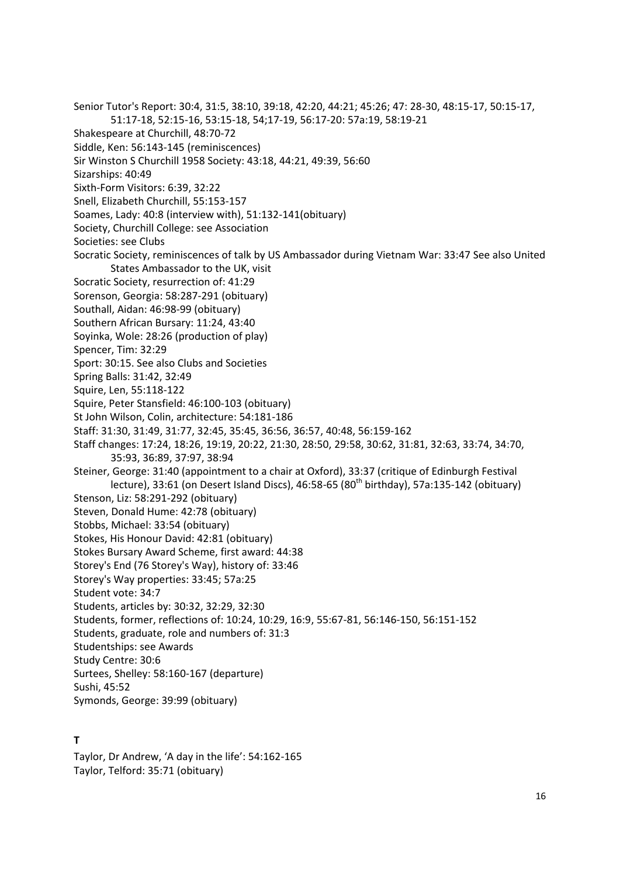- Senior Tutor's Report: 30:4, 31:5, 38:10, 39:18, 42:20, 44:21; 45:26; 47: 28-30, 48:15-17, 50:15-17,
	- 51:17-18, 52:15-16, 53:15-18, 54;17-19, 56:17-20: 57a:19, 58:19-21
- Shakespeare at Churchill, 48:70-72
- Siddle, Ken: 56:143-145 (reminiscences)
- Sir Winston S Churchill 1958 Society: 43:18, 44:21, 49:39, 56:60
- Sizarships: 40:49
- Sixth-Form Visitors: 6:39, 32:22
- Snell, Elizabeth Churchill, 55:153-157
- Soames, Lady: 40:8 (interview with), 51:132-141(obituary)
- Society, Churchill College: see Association
- Societies: see Clubs
- Socratic Society, reminiscences of talk by US Ambassador during Vietnam War: 33:47 See also United States Ambassador to the UK, visit
- Socratic Society, resurrection of: 41:29
- Sorenson, Georgia: 58:287-291 (obituary)
- Southall, Aidan: 46:98-99 (obituary)
- Southern African Bursary: 11:24, 43:40
- Soyinka, Wole: 28:26 (production of play)
- Spencer, Tim: 32:29
- Sport: 30:15. See also Clubs and Societies
- Spring Balls: 31:42, 32:49
- Squire, Len, 55:118-122
- Squire, Peter Stansfield: 46:100-103 (obituary)
- St John Wilson, Colin, architecture: 54:181-186
- Staff: 31:30, 31:49, 31:77, 32:45, 35:45, 36:56, 36:57, 40:48, 56:159-162
- Staff changes: 17:24, 18:26, 19:19, 20:22, 21:30, 28:50, 29:58, 30:62, 31:81, 32:63, 33:74, 34:70, 35:93, 36:89, 37:97, 38:94
- Steiner, George: 31:40 (appointment to a chair at Oxford), 33:37 (critique of Edinburgh Festival lecture), 33:61 (on Desert Island Discs), 46:58-65 (80<sup>th</sup> birthday), 57a:135-142 (obituary)
- Stenson, Liz: 58:291-292 (obituary)
- Steven, Donald Hume: 42:78 (obituary)
- Stobbs, Michael: 33:54 (obituary)
- Stokes, His Honour David: 42:81 (obituary)
- Stokes Bursary Award Scheme, first award: 44:38
- Storey's End (76 Storey's Way), history of: 33:46
- Storey's Way properties: 33:45; 57a:25
- Student vote: 34:7
- Students, articles by: 30:32, 32:29, 32:30
- Students, former, reflections of: 10:24, 10:29, 16:9, 55:67-81, 56:146-150, 56:151-152
- Students, graduate, role and numbers of: 31:3
- Studentships: see Awards
- Study Centre: 30:6
- Surtees, Shelley: 58:160-167 (departure)
- Sushi, 45:52
- Symonds, George: 39:99 (obituary)

## **T**

Taylor, Dr Andrew, 'A day in the life': 54:162-165 Taylor, Telford: 35:71 (obituary)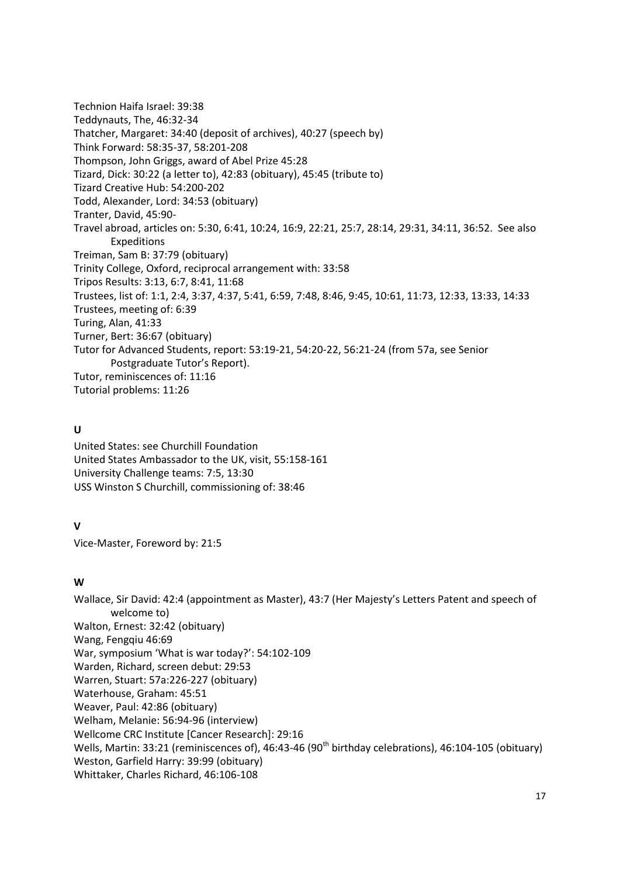Technion Haifa Israel: 39:38 Teddynauts, The, 46:32-34 Thatcher, Margaret: 34:40 (deposit of archives), 40:27 (speech by) Think Forward: 58:35-37, 58:201-208 Thompson, John Griggs, award of Abel Prize 45:28 Tizard, Dick: 30:22 (a letter to), 42:83 (obituary), 45:45 (tribute to) Tizard Creative Hub: 54:200-202 Todd, Alexander, Lord: 34:53 (obituary) Tranter, David, 45:90- Travel abroad, articles on: 5:30, 6:41, 10:24, 16:9, 22:21, 25:7, 28:14, 29:31, 34:11, 36:52. See also Expeditions Treiman, Sam B: 37:79 (obituary) Trinity College, Oxford, reciprocal arrangement with: 33:58 Tripos Results: 3:13, 6:7, 8:41, 11:68 Trustees, list of: 1:1, 2:4, 3:37, 4:37, 5:41, 6:59, 7:48, 8:46, 9:45, 10:61, 11:73, 12:33, 13:33, 14:33 Trustees, meeting of: 6:39 Turing, Alan, 41:33 Turner, Bert: 36:67 (obituary) Tutor for Advanced Students, report: 53:19-21, 54:20-22, 56:21-24 (from 57a, see Senior Postgraduate Tutor's Report). Tutor, reminiscences of: 11:16 Tutorial problems: 11:26

## **U**

United States: see Churchill Foundation United States Ambassador to the UK, visit, 55:158-161 University Challenge teams: 7:5, 13:30 USS Winston S Churchill, commissioning of: 38:46

## **V**

Vice-Master, Foreword by: 21:5

## **W**

Wallace, Sir David: 42:4 (appointment as Master), 43:7 (Her Majesty's Letters Patent and speech of welcome to) Walton, Ernest: 32:42 (obituary) Wang, Fengqiu 46:69 War, symposium 'What is war today?': 54:102-109 Warden, Richard, screen debut: 29:53 Warren, Stuart: 57a:226-227 (obituary) Waterhouse, Graham: 45:51 Weaver, Paul: 42:86 (obituary) Welham, Melanie: 56:94-96 (interview) Wellcome CRC Institute [Cancer Research]: 29:16 Wells, Martin: 33:21 (reminiscences of), 46:43-46 (90<sup>th</sup> birthday celebrations), 46:104-105 (obituary) Weston, Garfield Harry: 39:99 (obituary) Whittaker, Charles Richard, 46:106-108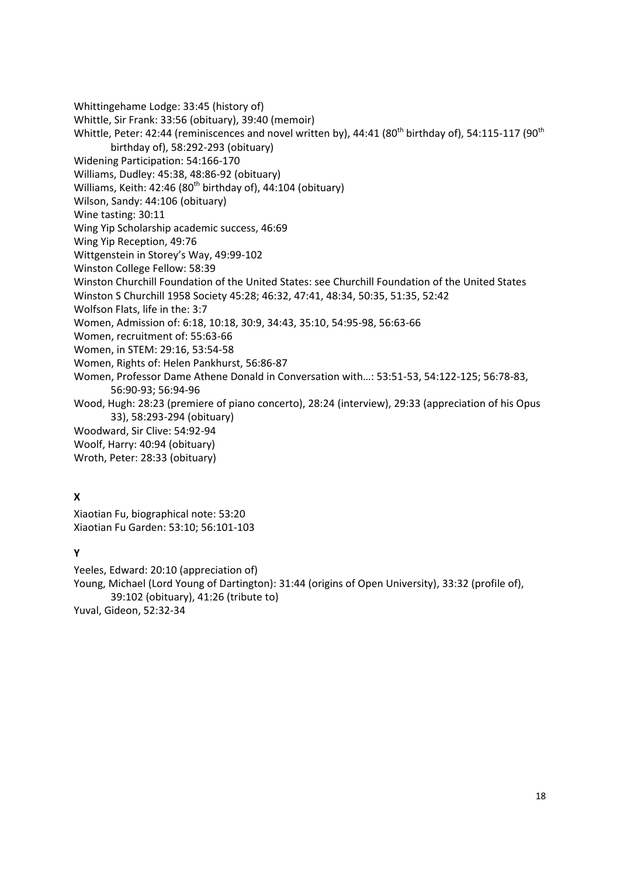- Whittingehame Lodge: 33:45 (history of)
- Whittle, Sir Frank: 33:56 (obituary), 39:40 (memoir)
- Whittle, Peter: 42:44 (reminiscences and novel written by), 44:41 (80<sup>th</sup> birthday of), 54:115-117 (90<sup>th</sup>) birthday of), 58:292-293 (obituary)
- Widening Participation: 54:166-170
- Williams, Dudley: 45:38, 48:86-92 (obituary)
- Williams, Keith: 42:46 (80<sup>th</sup> birthday of), 44:104 (obituary)
- Wilson, Sandy: 44:106 (obituary)
- Wine tasting: 30:11
- Wing Yip Scholarship academic success, 46:69
- Wing Yip Reception, 49:76
- Wittgenstein in Storey's Way, 49:99-102
- Winston College Fellow: 58:39
- Winston Churchill Foundation of the United States: see Churchill Foundation of the United States
- Winston S Churchill 1958 Society 45:28; 46:32, 47:41, 48:34, 50:35, 51:35, 52:42
- Wolfson Flats, life in the: 3:7
- Women, Admission of: 6:18, 10:18, 30:9, 34:43, 35:10, 54:95-98, 56:63-66
- Women, recruitment of: 55:63-66
- Women, in STEM: 29:16, 53:54-58
- Women, Rights of: Helen Pankhurst, 56:86-87
- Women, Professor Dame Athene Donald in Conversation with…: 53:51-53, 54:122-125; 56:78-83, 56:90-93; 56:94-96
- Wood, Hugh: 28:23 (premiere of piano concerto), 28:24 (interview), 29:33 (appreciation of his Opus 33), 58:293-294 (obituary)
- Woodward, Sir Clive: 54:92-94
- Woolf, Harry: 40:94 (obituary)
- Wroth, Peter: 28:33 (obituary)

## **X**

Xiaotian Fu, biographical note: 53:20 Xiaotian Fu Garden: 53:10; 56:101-103

## **Y**

Yeeles, Edward: 20:10 (appreciation of) Young, Michael (Lord Young of Dartington): 31:44 (origins of Open University), 33:32 (profile of), 39:102 (obituary), 41:26 (tribute to) Yuval, Gideon, 52:32-34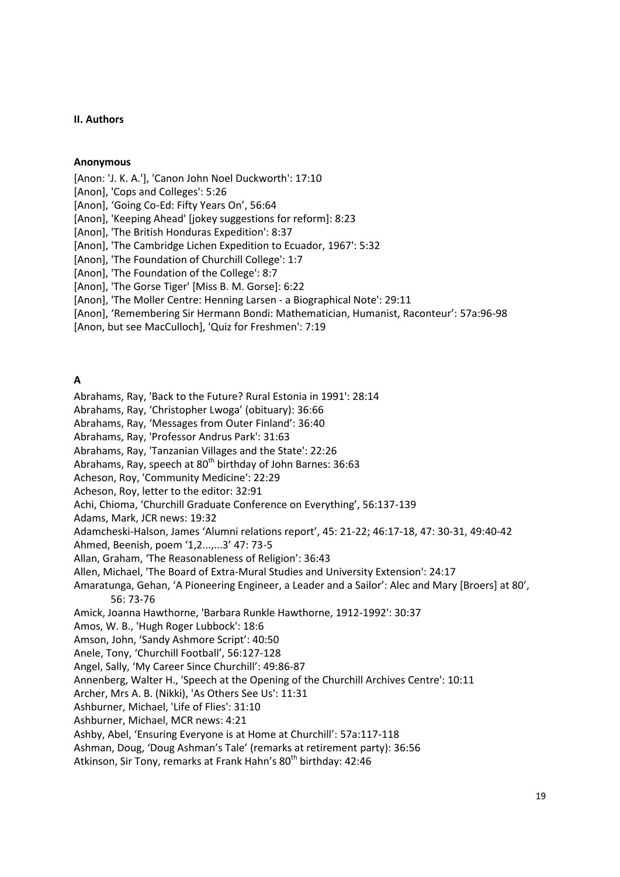#### <span id="page-18-0"></span>**II. Authors**

#### **Anonymous**

[Anon: 'J. K. A.'], 'Canon John Noel Duckworth': 17:10

[Anon], 'Cops and Colleges': 5:26

[Anon], 'Going Co-Ed: Fifty Years On', 56:64

[Anon], 'Keeping Ahead' [jokey suggestions for reform]: 8:23

[Anon], 'The British Honduras Expedition': 8:37

[Anon], 'The Cambridge Lichen Expedition to Ecuador, 1967': 5:32

[Anon], 'The Foundation of Churchill College': 1:7

[Anon], 'The Foundation of the College': 8:7

[Anon], 'The Gorse Tiger' [Miss B. M. Gorse]: 6:22

[Anon], 'The Moller Centre: Henning Larsen - a Biographical Note': 29:11

[Anon], 'Remembering Sir Hermann Bondi: Mathematician, Humanist, Raconteur': 57a:96-98

[Anon, but see MacCulloch], 'Quiz for Freshmen': 7:19

## **A**

Abrahams, Ray, 'Back to the Future? Rural Estonia in 1991': 28:14

Abrahams, Ray, 'Christopher Lwoga' (obituary): 36:66

Abrahams, Ray, 'Messages from Outer Finland': 36:40

Abrahams, Ray, 'Professor Andrus Park': 31:63

Abrahams, Ray, 'Tanzanian Villages and the State': 22:26

Abrahams, Ray, speech at 80<sup>th</sup> birthday of John Barnes: 36:63

Acheson, Roy, 'Community Medicine': 22:29

Acheson, Roy, letter to the editor: 32:91

Achi, Chioma, 'Churchill Graduate Conference on Everything', 56:137-139

Adams, Mark, JCR news: 19:32

Adamcheski-Halson, James 'Alumni relations report', 45: 21-22; 46:17-18, 47: 30-31, 49:40-42

Ahmed, Beenish, poem '1,2...,...3' 47: 73-5

Allan, Graham, 'The Reasonableness of Religion': 36:43

Allen, Michael, 'The Board of Extra-Mural Studies and University Extension': 24:17

Amaratunga, Gehan, 'A Pioneering Engineer, a Leader and a Sailor': Alec and Mary [Broers] at 80', 56: 73-76

Amick, Joanna Hawthorne, 'Barbara Runkle Hawthorne, 1912-1992': 30:37

Amos, W. B., 'Hugh Roger Lubbock': 18:6

Amson, John, 'Sandy Ashmore Script': 40:50

Anele, Tony, 'Churchill Football', 56:127-128

Angel, Sally, 'My Career Since Churchill': 49:86-87

Annenberg, Walter H., 'Speech at the Opening of the Churchill Archives Centre': 10:11

Archer, Mrs A. B. (Nikki), 'As Others See Us': 11:31

Ashburner, Michael, 'Life of Flies': 31:10

Ashburner, Michael, MCR news: 4:21

Ashby, Abel, 'Ensuring Everyone is at Home at Churchill': 57a:117-118

Ashman, Doug, 'Doug Ashman's Tale' (remarks at retirement party): 36:56

Atkinson, Sir Tony, remarks at Frank Hahn's 80<sup>th</sup> birthday: 42:46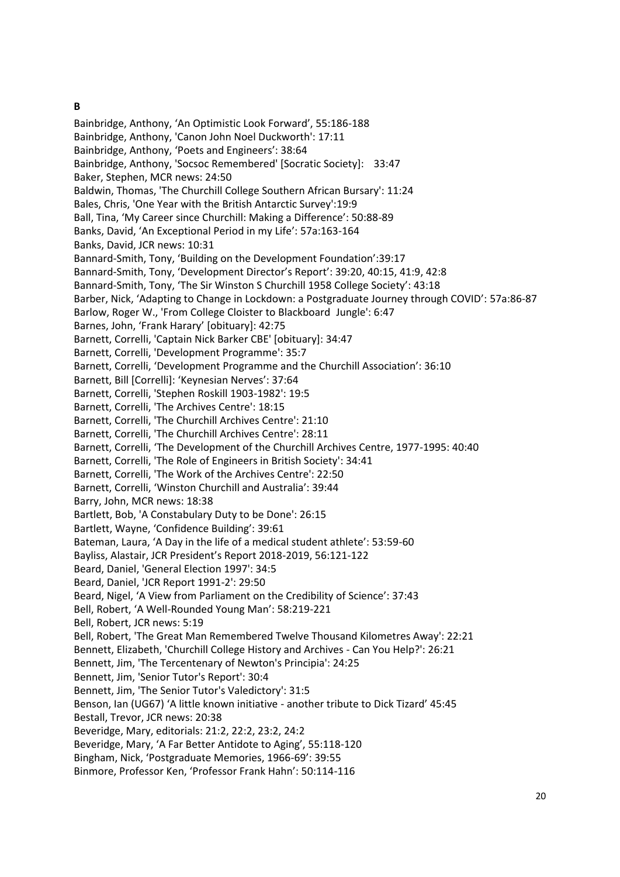## **B**

Bainbridge, Anthony, 'An Optimistic Look Forward', 55:186-188 Bainbridge, Anthony, 'Canon John Noel Duckworth': 17:11 Bainbridge, Anthony, 'Poets and Engineers': 38:64 Bainbridge, Anthony, 'Socsoc Remembered' [Socratic Society]: 33:47 Baker, Stephen, MCR news: 24:50 Baldwin, Thomas, 'The Churchill College Southern African Bursary': 11:24 Bales, Chris, 'One Year with the British Antarctic Survey':19:9 Ball, Tina, 'My Career since Churchill: Making a Difference': 50:88-89 Banks, David, 'An Exceptional Period in my Life': 57a:163-164 Banks, David, JCR news: 10:31 Bannard-Smith, Tony, 'Building on the Development Foundation':39:17 Bannard-Smith, Tony, 'Development Director's Report': 39:20, 40:15, 41:9, 42:8 Bannard-Smith, Tony, 'The Sir Winston S Churchill 1958 College Society': 43:18 Barber, Nick, 'Adapting to Change in Lockdown: a Postgraduate Journey through COVID': 57a:86-87 Barlow, Roger W., 'From College Cloister to Blackboard Jungle': 6:47 Barnes, John, 'Frank Harary' [obituary]: 42:75 Barnett, Correlli, 'Captain Nick Barker CBE' [obituary]: 34:47 Barnett, Correlli, 'Development Programme': 35:7 Barnett, Correlli, 'Development Programme and the Churchill Association': 36:10 Barnett, Bill [Correlli]: 'Keynesian Nerves': 37:64 Barnett, Correlli, 'Stephen Roskill 1903-1982': 19:5 Barnett, Correlli, 'The Archives Centre': 18:15 Barnett, Correlli, 'The Churchill Archives Centre': 21:10 Barnett, Correlli, 'The Churchill Archives Centre': 28:11 Barnett, Correlli, 'The Development of the Churchill Archives Centre, 1977-1995: 40:40 Barnett, Correlli, 'The Role of Engineers in British Society': 34:41 Barnett, Correlli, 'The Work of the Archives Centre': 22:50 Barnett, Correlli, 'Winston Churchill and Australia': 39:44 Barry, John, MCR news: 18:38 Bartlett, Bob, 'A Constabulary Duty to be Done': 26:15 Bartlett, Wayne, 'Confidence Building': 39:61 Bateman, Laura, 'A Day in the life of a medical student athlete': 53:59-60 Bayliss, Alastair, JCR President's Report 2018-2019, 56:121-122 Beard, Daniel, 'General Election 1997': 34:5 Beard, Daniel, 'JCR Report 1991-2': 29:50 Beard, Nigel, 'A View from Parliament on the Credibility of Science': 37:43 Bell, Robert, 'A Well-Rounded Young Man': 58:219-221 Bell, Robert, JCR news: 5:19 Bell, Robert, 'The Great Man Remembered Twelve Thousand Kilometres Away': 22:21 Bennett, Elizabeth, 'Churchill College History and Archives - Can You Help?': 26:21 Bennett, Jim, 'The Tercentenary of Newton's Principia': 24:25 Bennett, Jim, 'Senior Tutor's Report': 30:4 Bennett, Jim, 'The Senior Tutor's Valedictory': 31:5 Benson, Ian (UG67) 'A little known initiative - another tribute to Dick Tizard' 45:45 Bestall, Trevor, JCR news: 20:38 Beveridge, Mary, editorials: 21:2, 22:2, 23:2, 24:2 Beveridge, Mary, 'A Far Better Antidote to Aging', 55:118-120 Bingham, Nick, 'Postgraduate Memories, 1966-69': 39:55 Binmore, Professor Ken, 'Professor Frank Hahn': 50:114-116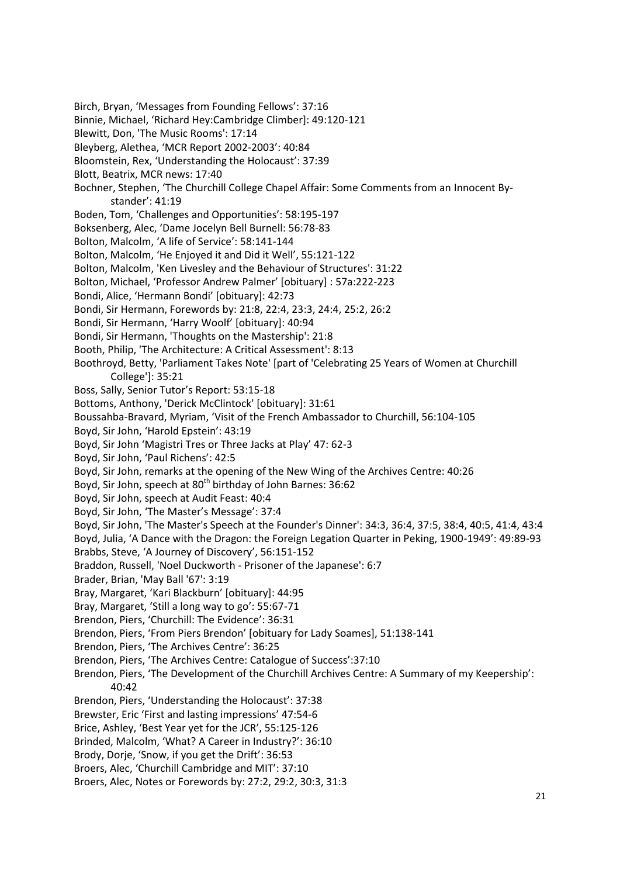Birch, Bryan, 'Messages from Founding Fellows': 37:16

- Binnie, Michael, 'Richard Hey:Cambridge Climber]: 49:120-121
- Blewitt, Don, 'The Music Rooms': 17:14
- Bleyberg, Alethea, 'MCR Report 2002-2003': 40:84
- Bloomstein, Rex, 'Understanding the Holocaust': 37:39
- Blott, Beatrix, MCR news: 17:40
- Bochner, Stephen, 'The Churchill College Chapel Affair: Some Comments from an Innocent Bystander': 41:19
- Boden, Tom, 'Challenges and Opportunities': 58:195-197
- Boksenberg, Alec, 'Dame Jocelyn Bell Burnell: 56:78-83
- Bolton, Malcolm, 'A life of Service': 58:141-144
- Bolton, Malcolm, 'He Enjoyed it and Did it Well', 55:121-122
- Bolton, Malcolm, 'Ken Livesley and the Behaviour of Structures': 31:22
- Bolton, Michael, 'Professor Andrew Palmer' [obituary] : 57a:222-223
- Bondi, Alice, 'Hermann Bondi' [obituary]: 42:73
- Bondi, Sir Hermann, Forewords by: 21:8, 22:4, 23:3, 24:4, 25:2, 26:2
- Bondi, Sir Hermann, 'Harry Woolf' [obituary]: 40:94
- Bondi, Sir Hermann, 'Thoughts on the Mastership': 21:8
- Booth, Philip, 'The Architecture: A Critical Assessment': 8:13
- Boothroyd, Betty, 'Parliament Takes Note' [part of 'Celebrating 25 Years of Women at Churchill College']: 35:21
- Boss, Sally, Senior Tutor's Report: 53:15-18
- Bottoms, Anthony, 'Derick McClintock' [obituary]: 31:61
- Boussahba-Bravard, Myriam, 'Visit of the French Ambassador to Churchill, 56:104-105
- Boyd, Sir John, 'Harold Epstein': 43:19
- Boyd, Sir John 'Magistri Tres or Three Jacks at Play' 47: 62-3
- Boyd, Sir John, 'Paul Richens': 42:5
- Boyd, Sir John, remarks at the opening of the New Wing of the Archives Centre: 40:26
- Boyd, Sir John, speech at 80<sup>th</sup> birthday of John Barnes: 36:62
- Boyd, Sir John, speech at Audit Feast: 40:4
- Boyd, Sir John, 'The Master's Message': 37:4
- Boyd, Sir John, 'The Master's Speech at the Founder's Dinner': 34:3, 36:4, 37:5, 38:4, 40:5, 41:4, 43:4
- Boyd, Julia, 'A Dance with the Dragon: the Foreign Legation Quarter in Peking, 1900-1949': 49:89-93 Brabbs, Steve, 'A Journey of Discovery', 56:151-152
- Braddon, Russell, 'Noel Duckworth Prisoner of the Japanese': 6:7
- Brader, Brian, 'May Ball '67': 3:19
- Bray, Margaret, 'Kari Blackburn' [obituary]: 44:95
- Bray, Margaret, 'Still a long way to go': 55:67-71
- Brendon, Piers, 'Churchill: The Evidence': 36:31
- Brendon, Piers, 'From Piers Brendon' [obituary for Lady Soames], 51:138-141
- Brendon, Piers, 'The Archives Centre': 36:25
- Brendon, Piers, 'The Archives Centre: Catalogue of Success':37:10
- Brendon, Piers, 'The Development of the Churchill Archives Centre: A Summary of my Keepership': 40:42
- Brendon, Piers, 'Understanding the Holocaust': 37:38
- Brewster, Eric 'First and lasting impressions' 47:54-6
- Brice, Ashley, 'Best Year yet for the JCR', 55:125-126
- Brinded, Malcolm, 'What? A Career in Industry?': 36:10
- Brody, Dorje, 'Snow, if you get the Drift': 36:53
- Broers, Alec, 'Churchill Cambridge and MIT': 37:10
- Broers, Alec, Notes or Forewords by: 27:2, 29:2, 30:3, 31:3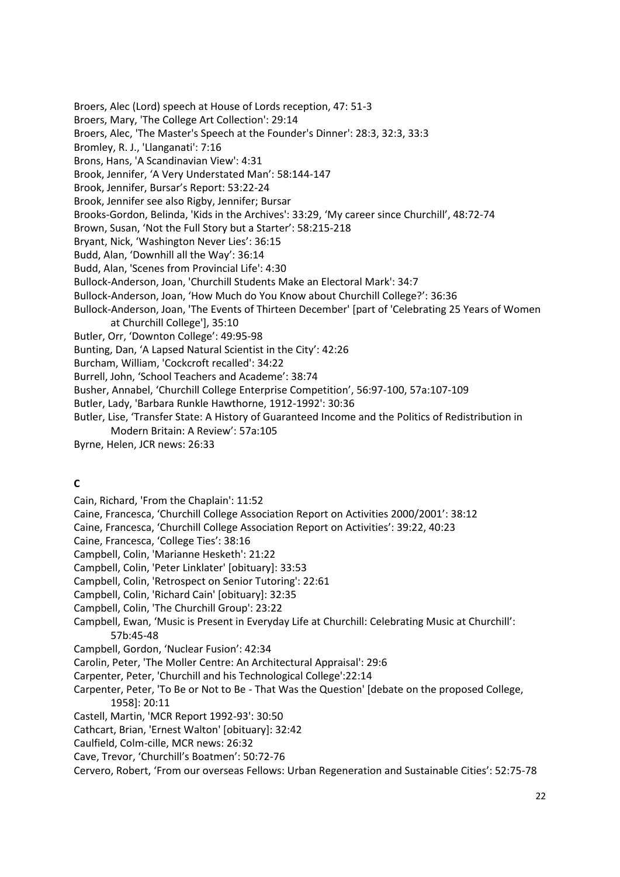Broers, Alec (Lord) speech at House of Lords reception, 47: 51-3 Broers, Mary, 'The College Art Collection': 29:14 Broers, Alec, 'The Master's Speech at the Founder's Dinner': 28:3, 32:3, 33:3 Bromley, R. J., 'Llanganati': 7:16 Brons, Hans, 'A Scandinavian View': 4:31 Brook, Jennifer, 'A Very Understated Man': 58:144-147 Brook, Jennifer, Bursar's Report: 53:22-24 Brook, Jennifer see also Rigby, Jennifer; Bursar Brooks-Gordon, Belinda, 'Kids in the Archives': 33:29, 'My career since Churchill', 48:72-74 Brown, Susan, 'Not the Full Story but a Starter': 58:215-218 Bryant, Nick, 'Washington Never Lies': 36:15 Budd, Alan, 'Downhill all the Way': 36:14 Budd, Alan, 'Scenes from Provincial Life': 4:30 Bullock-Anderson, Joan, 'Churchill Students Make an Electoral Mark': 34:7 Bullock-Anderson, Joan, 'How Much do You Know about Churchill College?': 36:36 Bullock-Anderson, Joan, 'The Events of Thirteen December' [part of 'Celebrating 25 Years of Women at Churchill College'], 35:10 Butler, Orr, 'Downton College': 49:95-98 Bunting, Dan, 'A Lapsed Natural Scientist in the City': 42:26 Burcham, William, 'Cockcroft recalled': 34:22 Burrell, John, 'School Teachers and Academe': 38:74 Busher, Annabel, 'Churchill College Enterprise Competition', 56:97-100, 57a:107-109 Butler, Lady, 'Barbara Runkle Hawthorne, 1912-1992': 30:36 Butler, Lise, 'Transfer State: A History of Guaranteed Income and the Politics of Redistribution in Modern Britain: A Review': 57a:105 Byrne, Helen, JCR news: 26:33

# **C**

- Cain, Richard, 'From the Chaplain': 11:52
- Caine, Francesca, 'Churchill College Association Report on Activities 2000/2001': 38:12
- Caine, Francesca, 'Churchill College Association Report on Activities': 39:22, 40:23
- Caine, Francesca, 'College Ties': 38:16
- Campbell, Colin, 'Marianne Hesketh': 21:22
- Campbell, Colin, 'Peter Linklater' [obituary]: 33:53
- Campbell, Colin, 'Retrospect on Senior Tutoring': 22:61
- Campbell, Colin, 'Richard Cain' [obituary]: 32:35
- Campbell, Colin, 'The Churchill Group': 23:22
- Campbell, Ewan, 'Music is Present in Everyday Life at Churchill: Celebrating Music at Churchill': 57b:45-48
- Campbell, Gordon, 'Nuclear Fusion': 42:34
- Carolin, Peter, 'The Moller Centre: An Architectural Appraisal': 29:6
- Carpenter, Peter, 'Churchill and his Technological College':22:14
- Carpenter, Peter, 'To Be or Not to Be That Was the Question' [debate on the proposed College, 1958]: 20:11
- Castell, Martin, 'MCR Report 1992-93': 30:50
- Cathcart, Brian, 'Ernest Walton' [obituary]: 32:42
- Caulfield, Colm-cille, MCR news: 26:32
- Cave, Trevor, 'Churchill's Boatmen': 50:72-76
- Cervero, Robert, 'From our overseas Fellows: Urban Regeneration and Sustainable Cities': 52:75-78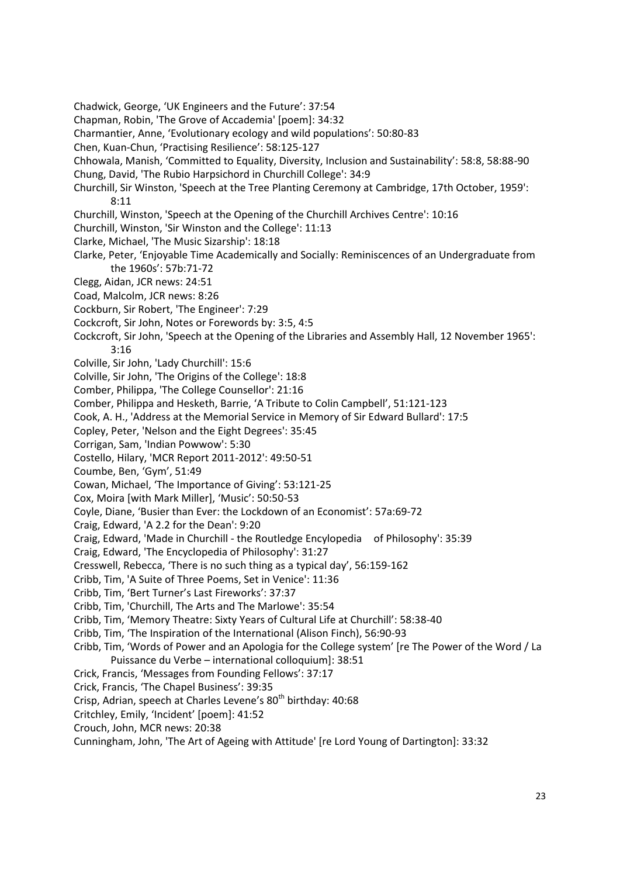Chadwick, George, 'UK Engineers and the Future': 37:54 Chapman, Robin, 'The Grove of Accademia' [poem]: 34:32 Charmantier, Anne, 'Evolutionary ecology and wild populations': 50:80-83 Chen, Kuan-Chun, 'Practising Resilience': 58:125-127 Chhowala, Manish, 'Committed to Equality, Diversity, Inclusion and Sustainability': 58:8, 58:88-90 Chung, David, 'The Rubio Harpsichord in Churchill College': 34:9 Churchill, Sir Winston, 'Speech at the Tree Planting Ceremony at Cambridge, 17th October, 1959': 8:11 Churchill, Winston, 'Speech at the Opening of the Churchill Archives Centre': 10:16 Churchill, Winston, 'Sir Winston and the College': 11:13 Clarke, Michael, 'The Music Sizarship': 18:18 Clarke, Peter, 'Enjoyable Time Academically and Socially: Reminiscences of an Undergraduate from the 1960s': 57b:71-72 Clegg, Aidan, JCR news: 24:51 Coad, Malcolm, JCR news: 8:26 Cockburn, Sir Robert, 'The Engineer': 7:29 Cockcroft, Sir John, Notes or Forewords by: 3:5, 4:5 Cockcroft, Sir John, 'Speech at the Opening of the Libraries and Assembly Hall, 12 November 1965': 3:16 Colville, Sir John, 'Lady Churchill': 15:6 Colville, Sir John, 'The Origins of the College': 18:8 Comber, Philippa, 'The College Counsellor': 21:16 Comber, Philippa and Hesketh, Barrie, 'A Tribute to Colin Campbell', 51:121-123 Cook, A. H., 'Address at the Memorial Service in Memory of Sir Edward Bullard': 17:5 Copley, Peter, 'Nelson and the Eight Degrees': 35:45 Corrigan, Sam, 'Indian Powwow': 5:30 Costello, Hilary, 'MCR Report 2011-2012': 49:50-51 Coumbe, Ben, 'Gym', 51:49 Cowan, Michael, 'The Importance of Giving': 53:121-25 Cox, Moira [with Mark Miller], 'Music': 50:50-53 Coyle, Diane, 'Busier than Ever: the Lockdown of an Economist': 57a:69-72 Craig, Edward, 'A 2.2 for the Dean': 9:20 Craig, Edward, 'Made in Churchill - the Routledge Encylopedia of Philosophy': 35:39 Craig, Edward, 'The Encyclopedia of Philosophy': 31:27 Cresswell, Rebecca, 'There is no such thing as a typical day', 56:159-162 Cribb, Tim, 'A Suite of Three Poems, Set in Venice': 11:36 Cribb, Tim, 'Bert Turner's Last Fireworks': 37:37 Cribb, Tim, 'Churchill, The Arts and The Marlowe': 35:54 Cribb, Tim, 'Memory Theatre: Sixty Years of Cultural Life at Churchill': 58:38-40 Cribb, Tim, 'The Inspiration of the International (Alison Finch), 56:90-93 Cribb, Tim, 'Words of Power and an Apologia for the College system' [re The Power of the Word / La Puissance du Verbe – international colloquium]: 38:51 Crick, Francis, 'Messages from Founding Fellows': 37:17 Crick, Francis, 'The Chapel Business': 39:35 Crisp, Adrian, speech at Charles Levene's 80<sup>th</sup> birthday: 40:68 Critchley, Emily, 'Incident' [poem]: 41:52 Crouch, John, MCR news: 20:38 Cunningham, John, 'The Art of Ageing with Attitude' [re Lord Young of Dartington]: 33:32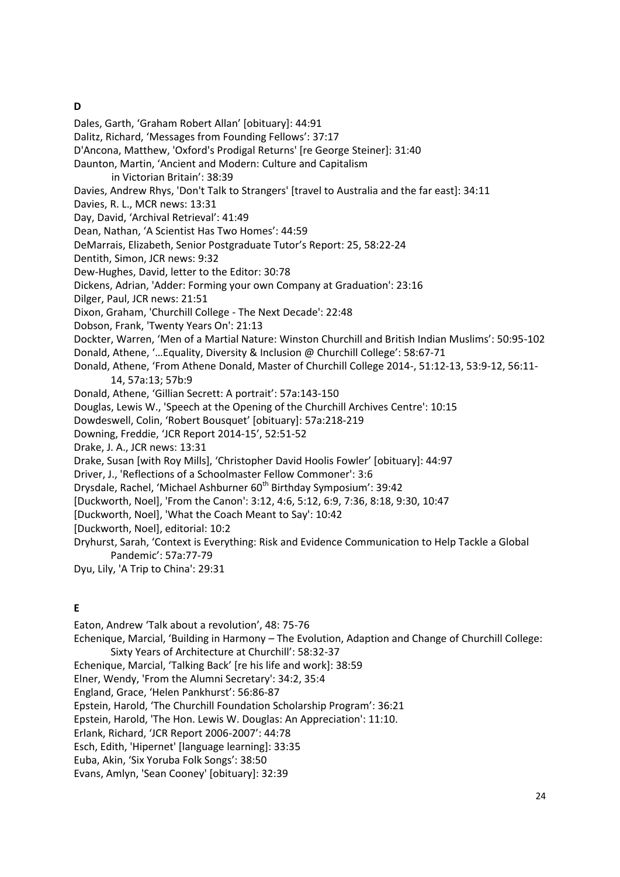# **D**

Dales, Garth, 'Graham Robert Allan' [obituary]: 44:91

Dalitz, Richard, 'Messages from Founding Fellows': 37:17

D'Ancona, Matthew, 'Oxford's Prodigal Returns' [re George Steiner]: 31:40

Daunton, Martin, 'Ancient and Modern: Culture and Capitalism

in Victorian Britain': 38:39

Davies, Andrew Rhys, 'Don't Talk to Strangers' [travel to Australia and the far east]: 34:11

Davies, R. L., MCR news: 13:31

Day, David, 'Archival Retrieval': 41:49

Dean, Nathan, 'A Scientist Has Two Homes': 44:59

DeMarrais, Elizabeth, Senior Postgraduate Tutor's Report: 25, 58:22-24

Dentith, Simon, JCR news: 9:32

Dew-Hughes, David, letter to the Editor: 30:78

Dickens, Adrian, 'Adder: Forming your own Company at Graduation': 23:16

Dilger, Paul, JCR news: 21:51

Dixon, Graham, 'Churchill College - The Next Decade': 22:48

Dobson, Frank, 'Twenty Years On': 21:13

Dockter, Warren, 'Men of a Martial Nature: Winston Churchill and British Indian Muslims': 50:95-102 Donald, Athene, '…Equality, Diversity & Inclusion @ Churchill College': 58:67-71

Donald, Athene, 'From Athene Donald, Master of Churchill College 2014-, 51:12-13, 53:9-12, 56:11- 14, 57a:13; 57b:9

Donald, Athene, 'Gillian Secrett: A portrait': 57a:143-150

Douglas, Lewis W., 'Speech at the Opening of the Churchill Archives Centre': 10:15

Dowdeswell, Colin, 'Robert Bousquet' [obituary]: 57a:218-219

Downing, Freddie, 'JCR Report 2014-15', 52:51-52

Drake, J. A., JCR news: 13:31

Drake, Susan [with Roy Mills], 'Christopher David Hoolis Fowler' [obituary]: 44:97

Driver, J., 'Reflections of a Schoolmaster Fellow Commoner': 3:6

Drysdale, Rachel, 'Michael Ashburner 60<sup>th</sup> Birthday Symposium': 39:42

[Duckworth, Noel], 'From the Canon': 3:12, 4:6, 5:12, 6:9, 7:36, 8:18, 9:30, 10:47

[Duckworth, Noel], 'What the Coach Meant to Say': 10:42

[Duckworth, Noel], editorial: 10:2

Dryhurst, Sarah, 'Context is Everything: Risk and Evidence Communication to Help Tackle a Global Pandemic': 57a:77-79

Dyu, Lily, 'A Trip to China': 29:31

# **E**

Eaton, Andrew 'Talk about a revolution', 48: 75-76 Echenique, Marcial, 'Building in Harmony – The Evolution, Adaption and Change of Churchill College: Sixty Years of Architecture at Churchill': 58:32-37 Echenique, Marcial, 'Talking Back' [re his life and work]: 38:59 Elner, Wendy, 'From the Alumni Secretary': 34:2, 35:4 England, Grace, 'Helen Pankhurst': 56:86-87 Epstein, Harold, 'The Churchill Foundation Scholarship Program': 36:21 Epstein, Harold, 'The Hon. Lewis W. Douglas: An Appreciation': 11:10. Erlank, Richard, 'JCR Report 2006-2007': 44:78 Esch, Edith, 'Hipernet' [language learning]: 33:35 Euba, Akin, 'Six Yoruba Folk Songs': 38:50 Evans, Amlyn, 'Sean Cooney' [obituary]: 32:39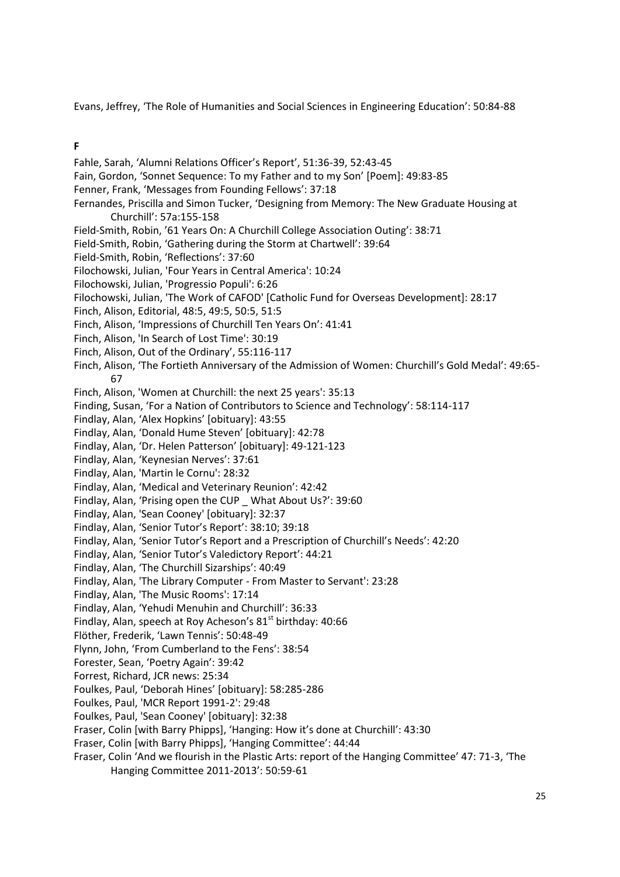Evans, Jeffrey, 'The Role of Humanities and Social Sciences in Engineering Education': 50:84-88

#### **F**

Fahle, Sarah, 'Alumni Relations Officer's Report', 51:36-39, 52:43-45 Fain, Gordon, 'Sonnet Sequence: To my Father and to my Son' [Poem]: 49:83-85 Fenner, Frank, 'Messages from Founding Fellows': 37:18 Fernandes, Priscilla and Simon Tucker, 'Designing from Memory: The New Graduate Housing at Churchill': 57a:155-158 Field-Smith, Robin, '61 Years On: A Churchill College Association Outing': 38:71 Field-Smith, Robin, 'Gathering during the Storm at Chartwell': 39:64 Field-Smith, Robin, 'Reflections': 37:60 Filochowski, Julian, 'Four Years in Central America': 10:24 Filochowski, Julian, 'Progressio Populi': 6:26 Filochowski, Julian, 'The Work of CAFOD' [Catholic Fund for Overseas Development]: 28:17 Finch, Alison, Editorial, 48:5, 49:5, 50:5, 51:5 Finch, Alison, 'Impressions of Churchill Ten Years On': 41:41 Finch, Alison, 'In Search of Lost Time': 30:19 Finch, Alison, Out of the Ordinary', 55:116-117 Finch, Alison, 'The Fortieth Anniversary of the Admission of Women: Churchill's Gold Medal': 49:65- 67 Finch, Alison, 'Women at Churchill: the next 25 years': 35:13 Finding, Susan, 'For a Nation of Contributors to Science and Technology': 58:114-117 Findlay, Alan, 'Alex Hopkins' [obituary]: 43:55 Findlay, Alan, 'Donald Hume Steven' [obituary]: 42:78 Findlay, Alan, 'Dr. Helen Patterson' [obituary]: 49-121-123 Findlay, Alan, 'Keynesian Nerves': 37:61 Findlay, Alan, 'Martin le Cornu': 28:32 Findlay, Alan, 'Medical and Veterinary Reunion': 42:42 Findlay, Alan, 'Prising open the CUP \_ What About Us?': 39:60 Findlay, Alan, 'Sean Cooney' [obituary]: 32:37 Findlay, Alan, 'Senior Tutor's Report': 38:10; 39:18 Findlay, Alan, 'Senior Tutor's Report and a Prescription of Churchill's Needs': 42:20 Findlay, Alan, 'Senior Tutor's Valedictory Report': 44:21 Findlay, Alan, 'The Churchill Sizarships': 40:49 Findlay, Alan, 'The Library Computer - From Master to Servant': 23:28 Findlay, Alan, 'The Music Rooms': 17:14 Findlay, Alan, 'Yehudi Menuhin and Churchill': 36:33 Findlay, Alan, speech at Roy Acheson's  $81<sup>st</sup>$  birthday: 40:66 Flöther, Frederik, 'Lawn Tennis': 50:48-49 Flynn, John, 'From Cumberland to the Fens': 38:54 Forester, Sean, 'Poetry Again': 39:42 Forrest, Richard, JCR news: 25:34 Foulkes, Paul, 'Deborah Hines' [obituary]: 58:285-286 Foulkes, Paul, 'MCR Report 1991-2': 29:48 Foulkes, Paul, 'Sean Cooney' [obituary]: 32:38 Fraser, Colin [with Barry Phipps], 'Hanging: How it's done at Churchill': 43:30 Fraser, Colin [with Barry Phipps], 'Hanging Committee': 44:44 Fraser, Colin 'And we flourish in the Plastic Arts: report of the Hanging Committee' 47: 71-3, 'The Hanging Committee 2011-2013': 50:59-61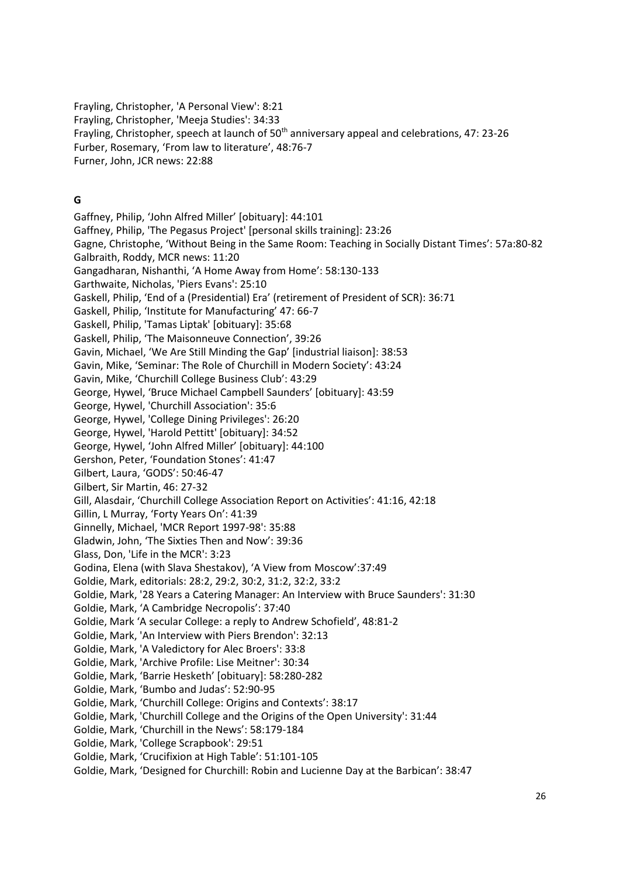Frayling, Christopher, 'A Personal View': 8:21 Frayling, Christopher, 'Meeja Studies': 34:33 Frayling, Christopher, speech at launch of  $50<sup>th</sup>$  anniversary appeal and celebrations, 47: 23-26 Furber, Rosemary, 'From law to literature', 48:76-7 Furner, John, JCR news: 22:88

## **G**

Gaffney, Philip, 'John Alfred Miller' [obituary]: 44:101 Gaffney, Philip, 'The Pegasus Project' [personal skills training]: 23:26 Gagne, Christophe, 'Without Being in the Same Room: Teaching in Socially Distant Times': 57a:80-82 Galbraith, Roddy, MCR news: 11:20 Gangadharan, Nishanthi, 'A Home Away from Home': 58:130-133 Garthwaite, Nicholas, 'Piers Evans': 25:10 Gaskell, Philip, 'End of a (Presidential) Era' (retirement of President of SCR): 36:71 Gaskell, Philip, 'Institute for Manufacturing' 47: 66-7 Gaskell, Philip, 'Tamas Liptak' [obituary]: 35:68 Gaskell, Philip, 'The Maisonneuve Connection', 39:26 Gavin, Michael, 'We Are Still Minding the Gap' [industrial liaison]: 38:53 Gavin, Mike, 'Seminar: The Role of Churchill in Modern Society': 43:24 Gavin, Mike, 'Churchill College Business Club': 43:29 George, Hywel, 'Bruce Michael Campbell Saunders' [obituary]: 43:59 George, Hywel, 'Churchill Association': 35:6 George, Hywel, 'College Dining Privileges': 26:20 George, Hywel, 'Harold Pettitt' [obituary]: 34:52 George, Hywel, 'John Alfred Miller' [obituary]: 44:100 Gershon, Peter, 'Foundation Stones': 41:47 Gilbert, Laura, 'GODS': 50:46-47 Gilbert, Sir Martin, 46: 27-32 Gill, Alasdair, 'Churchill College Association Report on Activities': 41:16, 42:18 Gillin, L Murray, 'Forty Years On': 41:39 Ginnelly, Michael, 'MCR Report 1997-98': 35:88 Gladwin, John, 'The Sixties Then and Now': 39:36 Glass, Don, 'Life in the MCR': 3:23 Godina, Elena (with Slava Shestakov), 'A View from Moscow':37:49 Goldie, Mark, editorials: 28:2, 29:2, 30:2, 31:2, 32:2, 33:2 Goldie, Mark, '28 Years a Catering Manager: An Interview with Bruce Saunders': 31:30 Goldie, Mark, 'A Cambridge Necropolis': 37:40 Goldie, Mark 'A secular College: a reply to Andrew Schofield', 48:81-2 Goldie, Mark, 'An Interview with Piers Brendon': 32:13 Goldie, Mark, 'A Valedictory for Alec Broers': 33:8 Goldie, Mark, 'Archive Profile: Lise Meitner': 30:34 Goldie, Mark, 'Barrie Hesketh' [obituary]: 58:280-282 Goldie, Mark, 'Bumbo and Judas': 52:90-95 Goldie, Mark, 'Churchill College: Origins and Contexts': 38:17 Goldie, Mark, 'Churchill College and the Origins of the Open University': 31:44 Goldie, Mark, 'Churchill in the News': 58:179-184 Goldie, Mark, 'College Scrapbook': 29:51 Goldie, Mark, 'Crucifixion at High Table': 51:101-105 Goldie, Mark, 'Designed for Churchill: Robin and Lucienne Day at the Barbican': 38:47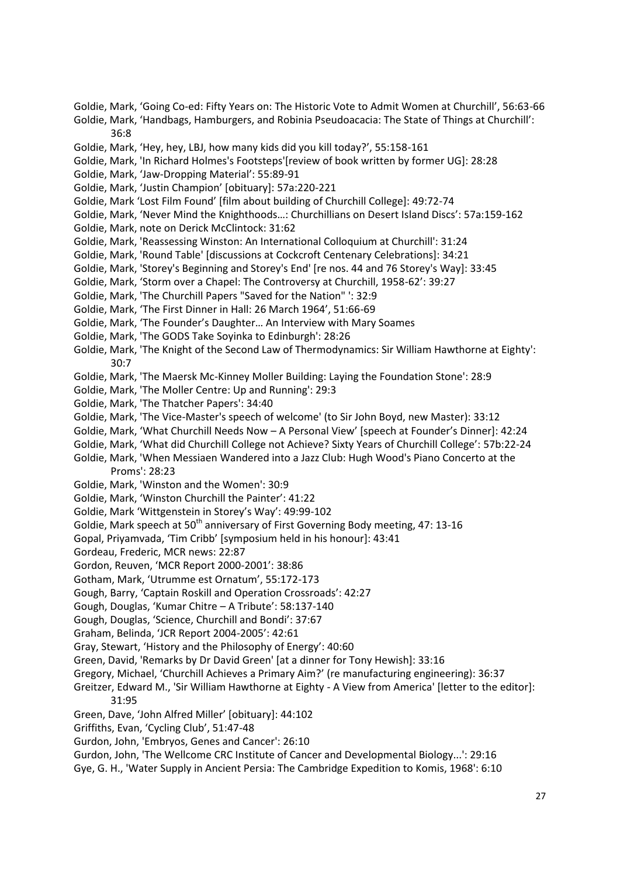- Goldie, Mark, 'Going Co-ed: Fifty Years on: The Historic Vote to Admit Women at Churchill', 56:63-66
- Goldie, Mark, 'Handbags, Hamburgers, and Robinia Pseudoacacia: The State of Things at Churchill': 36:8
- Goldie, Mark, 'Hey, hey, LBJ, how many kids did you kill today?', 55:158-161
- Goldie, Mark, 'In Richard Holmes's Footsteps'[review of book written by former UG]: 28:28
- Goldie, Mark, 'Jaw-Dropping Material': 55:89-91
- Goldie, Mark, 'Justin Champion' [obituary]: 57a:220-221
- Goldie, Mark 'Lost Film Found' [film about building of Churchill College]: 49:72-74
- Goldie, Mark, 'Never Mind the Knighthoods…: Churchillians on Desert Island Discs': 57a:159-162
- Goldie, Mark, note on Derick McClintock: 31:62
- Goldie, Mark, 'Reassessing Winston: An International Colloquium at Churchill': 31:24
- Goldie, Mark, 'Round Table' [discussions at Cockcroft Centenary Celebrations]: 34:21
- Goldie, Mark, 'Storey's Beginning and Storey's End' [re nos. 44 and 76 Storey's Way]: 33:45
- Goldie, Mark, 'Storm over a Chapel: The Controversy at Churchill, 1958-62': 39:27
- Goldie, Mark, 'The Churchill Papers "Saved for the Nation" ': 32:9
- Goldie, Mark, 'The First Dinner in Hall: 26 March 1964', 51:66-69
- Goldie, Mark, 'The Founder's Daughter… An Interview with Mary Soames
- Goldie, Mark, 'The GODS Take Soyinka to Edinburgh': 28:26
- Goldie, Mark, 'The Knight of the Second Law of Thermodynamics: Sir William Hawthorne at Eighty': 30:7
- Goldie, Mark, 'The Maersk Mc-Kinney Moller Building: Laying the Foundation Stone': 28:9
- Goldie, Mark, 'The Moller Centre: Up and Running': 29:3
- Goldie, Mark, 'The Thatcher Papers': 34:40
- Goldie, Mark, 'The Vice-Master's speech of welcome' (to Sir John Boyd, new Master): 33:12
- Goldie, Mark, 'What Churchill Needs Now A Personal View' [speech at Founder's Dinner]: 42:24
- Goldie, Mark, 'What did Churchill College not Achieve? Sixty Years of Churchill College': 57b:22-24
- Goldie, Mark, 'When Messiaen Wandered into a Jazz Club: Hugh Wood's Piano Concerto at the Proms': 28:23
- Goldie, Mark, 'Winston and the Women': 30:9
- Goldie, Mark, 'Winston Churchill the Painter': 41:22
- Goldie, Mark 'Wittgenstein in Storey's Way': 49:99-102
- Goldie, Mark speech at 50<sup>th</sup> anniversary of First Governing Body meeting, 47: 13-16
- Gopal, Priyamvada, 'Tim Cribb' [symposium held in his honour]: 43:41
- Gordeau, Frederic, MCR news: 22:87
- Gordon, Reuven, 'MCR Report 2000-2001': 38:86
- Gotham, Mark, 'Utrumme est Ornatum', 55:172-173
- Gough, Barry, 'Captain Roskill and Operation Crossroads': 42:27
- Gough, Douglas, 'Kumar Chitre A Tribute': 58:137-140
- Gough, Douglas, 'Science, Churchill and Bondi': 37:67
- Graham, Belinda, 'JCR Report 2004-2005': 42:61
- Gray, Stewart, 'History and the Philosophy of Energy': 40:60
- Green, David, 'Remarks by Dr David Green' [at a dinner for Tony Hewish]: 33:16
- Gregory, Michael, 'Churchill Achieves a Primary Aim?' (re manufacturing engineering): 36:37
- Greitzer, Edward M., 'Sir William Hawthorne at Eighty A View from America' [letter to the editor]: 31:95
- Green, Dave, 'John Alfred Miller' [obituary]: 44:102
- Griffiths, Evan, 'Cycling Club', 51:47-48
- Gurdon, John, 'Embryos, Genes and Cancer': 26:10
- Gurdon, John, 'The Wellcome CRC Institute of Cancer and Developmental Biology...': 29:16
- Gye, G. H., 'Water Supply in Ancient Persia: The Cambridge Expedition to Komis, 1968': 6:10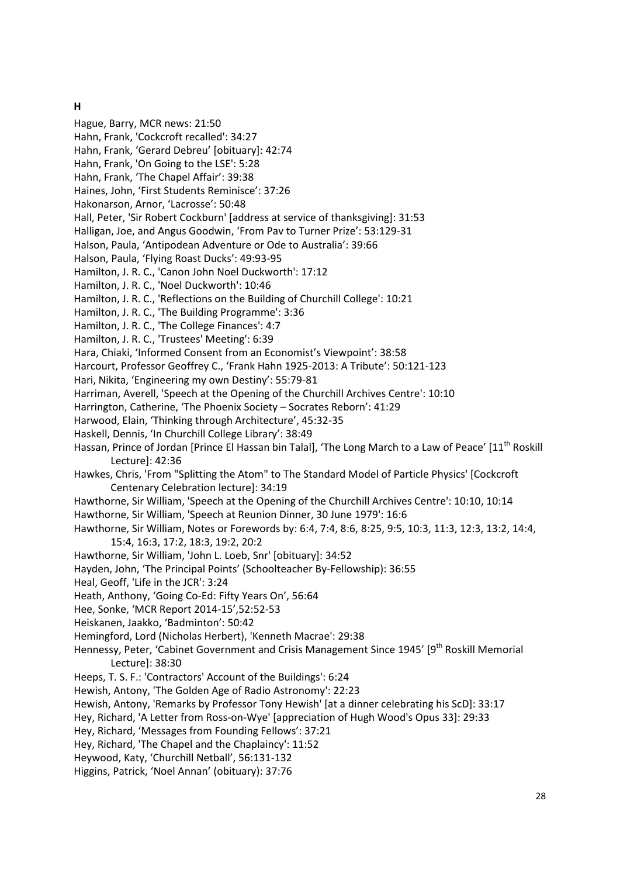#### **H**

Hague, Barry, MCR news: 21:50 Hahn, Frank, 'Cockcroft recalled': 34:27 Hahn, Frank, 'Gerard Debreu' [obituary]: 42:74 Hahn, Frank, 'On Going to the LSE': 5:28 Hahn, Frank, 'The Chapel Affair': 39:38 Haines, John, 'First Students Reminisce': 37:26 Hakonarson, Arnor, 'Lacrosse': 50:48 Hall, Peter, 'Sir Robert Cockburn' [address at service of thanksgiving]: 31:53 Halligan, Joe, and Angus Goodwin, 'From Pav to Turner Prize': 53:129-31 Halson, Paula, 'Antipodean Adventure or Ode to Australia': 39:66 Halson, Paula, 'Flying Roast Ducks': 49:93-95 Hamilton, J. R. C., 'Canon John Noel Duckworth': 17:12 Hamilton, J. R. C., 'Noel Duckworth': 10:46 Hamilton, J. R. C., 'Reflections on the Building of Churchill College': 10:21 Hamilton, J. R. C., 'The Building Programme': 3:36 Hamilton, J. R. C., 'The College Finances': 4:7 Hamilton, J. R. C., 'Trustees' Meeting': 6:39 Hara, Chiaki, 'Informed Consent from an Economist's Viewpoint': 38:58 Harcourt, Professor Geoffrey C., 'Frank Hahn 1925-2013: A Tribute': 50:121-123 Hari, Nikita, 'Engineering my own Destiny': 55:79-81 Harriman, Averell, 'Speech at the Opening of the Churchill Archives Centre': 10:10 Harrington, Catherine, 'The Phoenix Society – Socrates Reborn': 41:29 Harwood, Elain, 'Thinking through Architecture', 45:32-35 Haskell, Dennis, 'In Churchill College Library': 38:49 Hassan, Prince of Jordan [Prince El Hassan bin Talal], 'The Long March to a Law of Peace' [11<sup>th</sup> Roskill Lecture]: 42:36 Hawkes, Chris, 'From "Splitting the Atom" to The Standard Model of Particle Physics' [Cockcroft Centenary Celebration lecture]: 34:19 Hawthorne, Sir William, 'Speech at the Opening of the Churchill Archives Centre': 10:10, 10:14 Hawthorne, Sir William, 'Speech at Reunion Dinner, 30 June 1979': 16:6 Hawthorne, Sir William, Notes or Forewords by: 6:4, 7:4, 8:6, 8:25, 9:5, 10:3, 11:3, 12:3, 13:2, 14:4, 15:4, 16:3, 17:2, 18:3, 19:2, 20:2 Hawthorne, Sir William, 'John L. Loeb, Snr' [obituary]: 34:52 Hayden, John, 'The Principal Points' (Schoolteacher By-Fellowship): 36:55 Heal, Geoff, 'Life in the JCR': 3:24 Heath, Anthony, 'Going Co-Ed: Fifty Years On', 56:64 Hee, Sonke, 'MCR Report 2014-15',52:52-53 Heiskanen, Jaakko, 'Badminton': 50:42 Hemingford, Lord (Nicholas Herbert), 'Kenneth Macrae': 29:38 Hennessy, Peter, 'Cabinet Government and Crisis Management Since 1945' [9<sup>th</sup> Roskill Memorial Lecture]: 38:30 Heeps, T. S. F.: 'Contractors' Account of the Buildings': 6:24 Hewish, Antony, 'The Golden Age of Radio Astronomy': 22:23 Hewish, Antony, 'Remarks by Professor Tony Hewish' [at a dinner celebrating his ScD]: 33:17 Hey, Richard, 'A Letter from Ross-on-Wye' [appreciation of Hugh Wood's Opus 33]: 29:33 Hey, Richard, 'Messages from Founding Fellows': 37:21 Hey, Richard, 'The Chapel and the Chaplaincy': 11:52 Heywood, Katy, 'Churchill Netball', 56:131-132 Higgins, Patrick, 'Noel Annan' (obituary): 37:76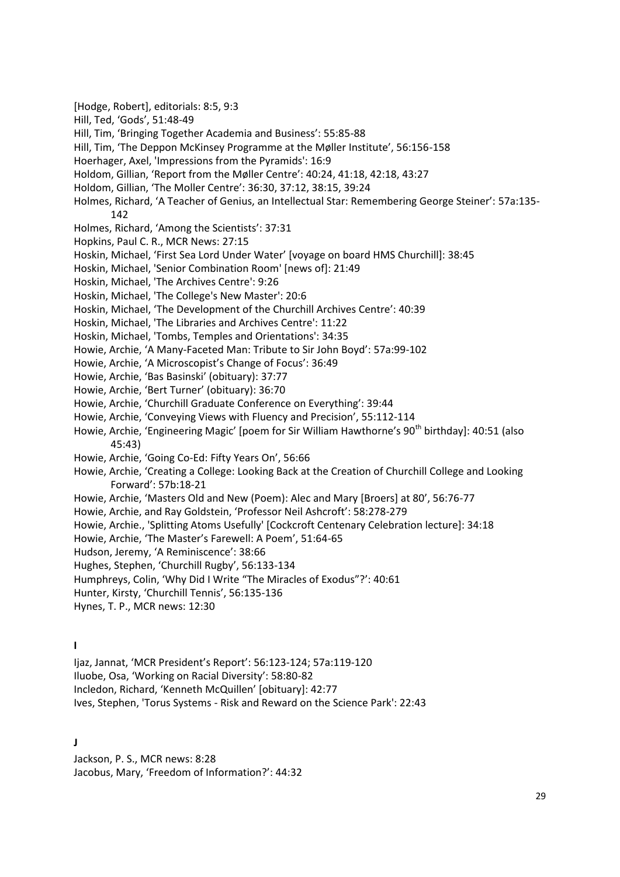- [Hodge, Robert], editorials: 8:5, 9:3
- Hill, Ted, 'Gods', 51:48-49
- Hill, Tim, 'Bringing Together Academia and Business': 55:85-88
- Hill, Tim, 'The Deppon McKinsey Programme at the Møller Institute', 56:156-158
- Hoerhager, Axel, 'Impressions from the Pyramids': 16:9
- Holdom, Gillian, 'Report from the Møller Centre': 40:24, 41:18, 42:18, 43:27
- Holdom, Gillian, 'The Moller Centre': 36:30, 37:12, 38:15, 39:24
- Holmes, Richard, 'A Teacher of Genius, an Intellectual Star: Remembering George Steiner': 57a:135- 142
- Holmes, Richard, 'Among the Scientists': 37:31
- Hopkins, Paul C. R., MCR News: 27:15
- Hoskin, Michael, 'First Sea Lord Under Water' [voyage on board HMS Churchill]: 38:45
- Hoskin, Michael, 'Senior Combination Room' [news of]: 21:49
- Hoskin, Michael, 'The Archives Centre': 9:26
- Hoskin, Michael, 'The College's New Master': 20:6
- Hoskin, Michael, 'The Development of the Churchill Archives Centre': 40:39
- Hoskin, Michael, 'The Libraries and Archives Centre': 11:22
- Hoskin, Michael, 'Tombs, Temples and Orientations': 34:35
- Howie, Archie, 'A Many-Faceted Man: Tribute to Sir John Boyd': 57a:99-102
- Howie, Archie, 'A Microscopist's Change of Focus': 36:49
- Howie, Archie, 'Bas Basinski' (obituary): 37:77
- Howie, Archie, 'Bert Turner' (obituary): 36:70
- Howie, Archie, 'Churchill Graduate Conference on Everything': 39:44
- Howie, Archie, 'Conveying Views with Fluency and Precision', 55:112-114
- Howie, Archie, 'Engineering Magic' [poem for Sir William Hawthorne's 90<sup>th</sup> birthday]: 40:51 (also 45:43)
- Howie, Archie, 'Going Co-Ed: Fifty Years On', 56:66
- Howie, Archie, 'Creating a College: Looking Back at the Creation of Churchill College and Looking Forward': 57b:18-21
- Howie, Archie, 'Masters Old and New (Poem): Alec and Mary [Broers] at 80', 56:76-77
- Howie, Archie, and Ray Goldstein, 'Professor Neil Ashcroft': 58:278-279
- Howie, Archie., 'Splitting Atoms Usefully' [Cockcroft Centenary Celebration lecture]: 34:18
- Howie, Archie, 'The Master's Farewell: A Poem', 51:64-65
- Hudson, Jeremy, 'A Reminiscence': 38:66
- Hughes, Stephen, 'Churchill Rugby', 56:133-134
- Humphreys, Colin, 'Why Did I Write "The Miracles of Exodus"?': 40:61
- Hunter, Kirsty, 'Churchill Tennis', 56:135-136
- Hynes, T. P., MCR news: 12:30

**I**

- Ijaz, Jannat, 'MCR President's Report': 56:123-124; 57a:119-120
- Iluobe, Osa, 'Working on Racial Diversity': 58:80-82
- Incledon, Richard, 'Kenneth McQuillen' [obituary]: 42:77
- Ives, Stephen, 'Torus Systems Risk and Reward on the Science Park': 22:43

#### **J**

Jackson, P. S., MCR news: 8:28

Jacobus, Mary, 'Freedom of Information?': 44:32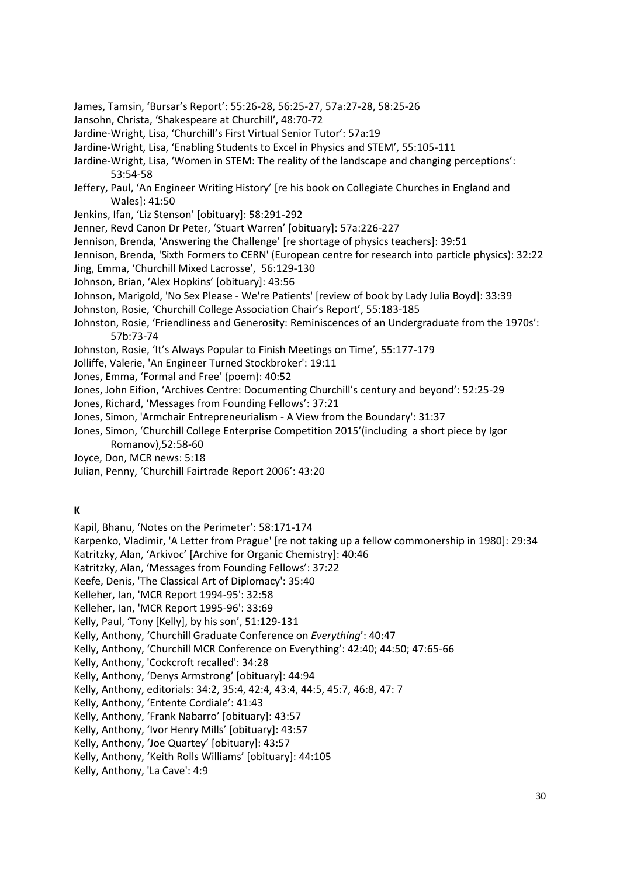- James, Tamsin, 'Bursar's Report': 55:26-28, 56:25-27, 57a:27-28, 58:25-26
- Jansohn, Christa, 'Shakespeare at Churchill', 48:70-72
- Jardine-Wright, Lisa, 'Churchill's First Virtual Senior Tutor': 57a:19
- Jardine-Wright, Lisa, 'Enabling Students to Excel in Physics and STEM', 55:105-111
- Jardine-Wright, Lisa, 'Women in STEM: The reality of the landscape and changing perceptions': 53:54-58
- Jeffery, Paul, 'An Engineer Writing History' [re his book on Collegiate Churches in England and Wales]: 41:50
- Jenkins, Ifan, 'Liz Stenson' [obituary]: 58:291-292
- Jenner, Revd Canon Dr Peter, 'Stuart Warren' [obituary]: 57a:226-227
- Jennison, Brenda, 'Answering the Challenge' [re shortage of physics teachers]: 39:51
- Jennison, Brenda, 'Sixth Formers to CERN' (European centre for research into particle physics): 32:22
- Jing, Emma, 'Churchill Mixed Lacrosse', 56:129-130
- Johnson, Brian, 'Alex Hopkins' [obituary]: 43:56
- Johnson, Marigold, 'No Sex Please We're Patients' [review of book by Lady Julia Boyd]: 33:39
- Johnston, Rosie, 'Churchill College Association Chair's Report', 55:183-185
- Johnston, Rosie, 'Friendliness and Generosity: Reminiscences of an Undergraduate from the 1970s': 57b:73-74
- Johnston, Rosie, 'It's Always Popular to Finish Meetings on Time', 55:177-179
- Jolliffe, Valerie, 'An Engineer Turned Stockbroker': 19:11
- Jones, Emma, 'Formal and Free' (poem): 40:52
- Jones, John Eifion, 'Archives Centre: Documenting Churchill's century and beyond': 52:25-29
- Jones, Richard, 'Messages from Founding Fellows': 37:21
- Jones, Simon, 'Armchair Entrepreneurialism A View from the Boundary': 31:37
- Jones, Simon, 'Churchill College Enterprise Competition 2015'(including a short piece by Igor Romanov),52:58-60
- Joyce, Don, MCR news: 5:18
- Julian, Penny, 'Churchill Fairtrade Report 2006': 43:20

## **K**

- Kapil, Bhanu, 'Notes on the Perimeter': 58:171-174
- Karpenko, Vladimir, 'A Letter from Prague' [re not taking up a fellow commonership in 1980]: 29:34
- Katritzky, Alan, 'Arkivoc' [Archive for Organic Chemistry]: 40:46
- Katritzky, Alan, 'Messages from Founding Fellows': 37:22
- Keefe, Denis, 'The Classical Art of Diplomacy': 35:40
- Kelleher, Ian, 'MCR Report 1994-95': 32:58
- Kelleher, Ian, 'MCR Report 1995-96': 33:69
- Kelly, Paul, 'Tony [Kelly], by his son', 51:129-131
- Kelly, Anthony, 'Churchill Graduate Conference on *Everything*': 40:47
- Kelly, Anthony, 'Churchill MCR Conference on Everything': 42:40; 44:50; 47:65-66
- Kelly, Anthony, 'Cockcroft recalled': 34:28
- Kelly, Anthony, 'Denys Armstrong' [obituary]: 44:94
- Kelly, Anthony, editorials: 34:2, 35:4, 42:4, 43:4, 44:5, 45:7, 46:8, 47: 7
- Kelly, Anthony, 'Entente Cordiale': 41:43
- Kelly, Anthony, 'Frank Nabarro' [obituary]: 43:57
- Kelly, Anthony, 'Ivor Henry Mills' [obituary]: 43:57
- Kelly, Anthony, 'Joe Quartey' [obituary]: 43:57
- Kelly, Anthony, 'Keith Rolls Williams' [obituary]: 44:105
- Kelly, Anthony, 'La Cave': 4:9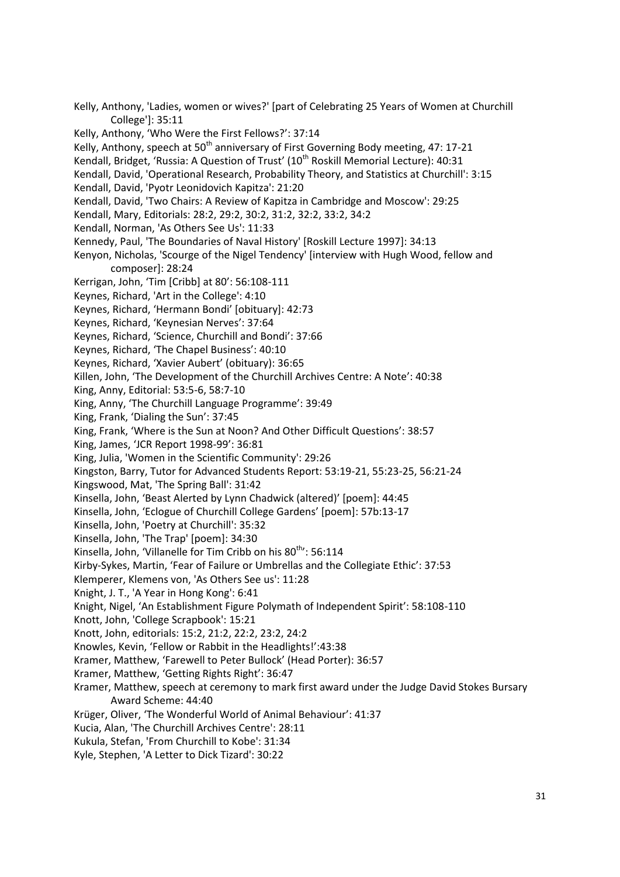College']: 35:11 Kelly, Anthony, 'Who Were the First Fellows?': 37:14 Kelly, Anthony, speech at 50<sup>th</sup> anniversary of First Governing Body meeting, 47: 17-21 Kendall, Bridget, 'Russia: A Question of Trust' ( $10<sup>th</sup>$  Roskill Memorial Lecture): 40:31 Kendall, David, 'Operational Research, Probability Theory, and Statistics at Churchill': 3:15 Kendall, David, 'Pyotr Leonidovich Kapitza': 21:20 Kendall, David, 'Two Chairs: A Review of Kapitza in Cambridge and Moscow': 29:25 Kendall, Mary, Editorials: 28:2, 29:2, 30:2, 31:2, 32:2, 33:2, 34:2 Kendall, Norman, 'As Others See Us': 11:33 Kennedy, Paul, 'The Boundaries of Naval History' [Roskill Lecture 1997]: 34:13 Kenyon, Nicholas, 'Scourge of the Nigel Tendency' [interview with Hugh Wood, fellow and composer]: 28:24 Kerrigan, John, 'Tim [Cribb] at 80': 56:108-111 Keynes, Richard, 'Art in the College': 4:10 Keynes, Richard, 'Hermann Bondi' [obituary]: 42:73 Keynes, Richard, 'Keynesian Nerves': 37:64 Keynes, Richard, 'Science, Churchill and Bondi': 37:66 Keynes, Richard, 'The Chapel Business': 40:10 Keynes, Richard, 'Xavier Aubert' (obituary): 36:65 Killen, John, 'The Development of the Churchill Archives Centre: A Note': 40:38 King, Anny, Editorial: 53:5-6, 58:7-10 King, Anny, 'The Churchill Language Programme': 39:49 King, Frank, 'Dialing the Sun': 37:45 King, Frank, 'Where is the Sun at Noon? And Other Difficult Questions': 38:57 King, James, 'JCR Report 1998-99': 36:81 King, Julia, 'Women in the Scientific Community': 29:26 Kingston, Barry, Tutor for Advanced Students Report: 53:19-21, 55:23-25, 56:21-24 Kingswood, Mat, 'The Spring Ball': 31:42 Kinsella, John, 'Beast Alerted by Lynn Chadwick (altered)' [poem]: 44:45 Kinsella, John, 'Eclogue of Churchill College Gardens' [poem]: 57b:13-17 Kinsella, John, 'Poetry at Churchill': 35:32 Kinsella, John, 'The Trap' [poem]: 34:30 Kinsella, John, 'Villanelle for Tim Cribb on his 80<sup>th</sup>': 56:114 Kirby-Sykes, Martin, 'Fear of Failure or Umbrellas and the Collegiate Ethic': 37:53 Klemperer, Klemens von, 'As Others See us': 11:28 Knight, J. T., 'A Year in Hong Kong': 6:41 Knight, Nigel, 'An Establishment Figure Polymath of Independent Spirit': 58:108-110 Knott, John, 'College Scrapbook': 15:21 Knott, John, editorials: 15:2, 21:2, 22:2, 23:2, 24:2 Knowles, Kevin, 'Fellow or Rabbit in the Headlights!':43:38 Kramer, Matthew, 'Farewell to Peter Bullock' (Head Porter): 36:57 Kramer, Matthew, 'Getting Rights Right': 36:47 Kramer, Matthew, speech at ceremony to mark first award under the Judge David Stokes Bursary Award Scheme: 44:40 Krüger, Oliver, 'The Wonderful World of Animal Behaviour': 41:37 Kucia, Alan, 'The Churchill Archives Centre': 28:11 Kukula, Stefan, 'From Churchill to Kobe': 31:34 Kyle, Stephen, 'A Letter to Dick Tizard': 30:22

Kelly, Anthony, 'Ladies, women or wives?' [part of Celebrating 25 Years of Women at Churchill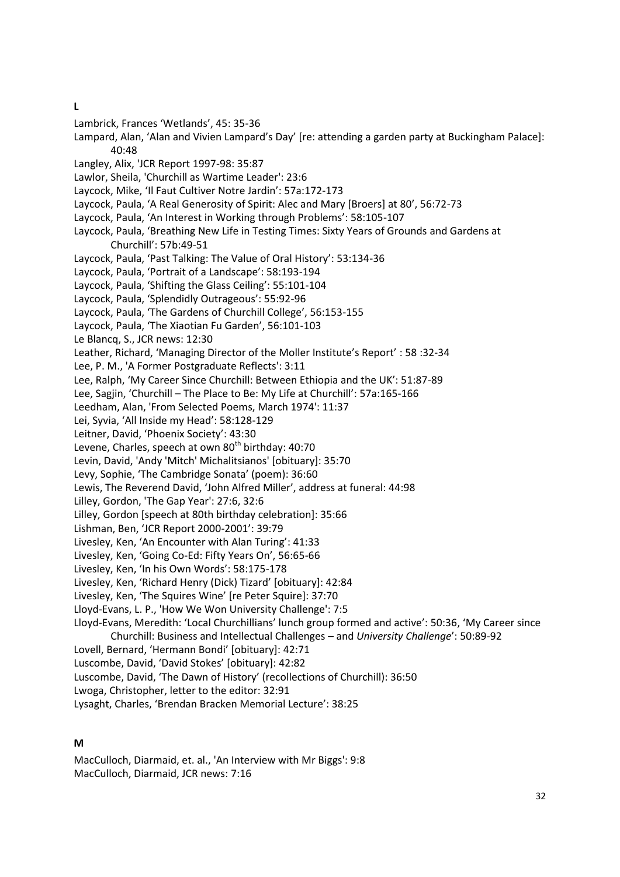**L**

- Lambrick, Frances 'Wetlands', 45: 35-36
- Lampard, Alan, 'Alan and Vivien Lampard's Day' [re: attending a garden party at Buckingham Palace]: 40:48
- Langley, Alix, 'JCR Report 1997-98: 35:87
- Lawlor, Sheila, 'Churchill as Wartime Leader': 23:6
- Laycock, Mike, 'Il Faut Cultiver Notre Jardin': 57a:172-173
- Laycock, Paula, 'A Real Generosity of Spirit: Alec and Mary [Broers] at 80', 56:72-73
- Laycock, Paula, 'An Interest in Working through Problems': 58:105-107
- Laycock, Paula, 'Breathing New Life in Testing Times: Sixty Years of Grounds and Gardens at Churchill': 57b:49-51
- Laycock, Paula, 'Past Talking: The Value of Oral History': 53:134-36
- Laycock, Paula, 'Portrait of a Landscape': 58:193-194
- Laycock, Paula, 'Shifting the Glass Ceiling': 55:101-104
- Laycock, Paula, 'Splendidly Outrageous': 55:92-96
- Laycock, Paula, 'The Gardens of Churchill College', 56:153-155
- Laycock, Paula, 'The Xiaotian Fu Garden', 56:101-103
- Le Blancq, S., JCR news: 12:30
- Leather, Richard, 'Managing Director of the Moller Institute's Report' : 58 :32-34
- Lee, P. M., 'A Former Postgraduate Reflects': 3:11
- Lee, Ralph, 'My Career Since Churchill: Between Ethiopia and the UK': 51:87-89
- Lee, Sagjin, 'Churchill The Place to Be: My Life at Churchill': 57a:165-166
- Leedham, Alan, 'From Selected Poems, March 1974': 11:37
- Lei, Syvia, 'All Inside my Head': 58:128-129
- Leitner, David, 'Phoenix Society': 43:30
- Levene, Charles, speech at own  $80<sup>th</sup>$  birthday: 40:70
- Levin, David, 'Andy 'Mitch' Michalitsianos' [obituary]: 35:70
- Levy, Sophie, 'The Cambridge Sonata' (poem): 36:60
- Lewis, The Reverend David, 'John Alfred Miller', address at funeral: 44:98
- Lilley, Gordon, 'The Gap Year': 27:6, 32:6
- Lilley, Gordon [speech at 80th birthday celebration]: 35:66
- Lishman, Ben, 'JCR Report 2000-2001': 39:79
- Livesley, Ken, 'An Encounter with Alan Turing': 41:33
- Livesley, Ken, 'Going Co-Ed: Fifty Years On', 56:65-66
- Livesley, Ken, 'In his Own Words': 58:175-178
- Livesley, Ken, 'Richard Henry (Dick) Tizard' [obituary]: 42:84
- Livesley, Ken, 'The Squires Wine' [re Peter Squire]: 37:70
- Lloyd-Evans, L. P., 'How We Won University Challenge': 7:5

Lloyd-Evans, Meredith: 'Local Churchillians' lunch group formed and active': 50:36, 'My Career since Churchill: Business and Intellectual Challenges – and *University Challenge*': 50:89-92

- Lovell, Bernard, 'Hermann Bondi' [obituary]: 42:71
- Luscombe, David, 'David Stokes' [obituary]: 42:82
- Luscombe, David, 'The Dawn of History' (recollections of Churchill): 36:50

Lwoga, Christopher, letter to the editor: 32:91

Lysaght, Charles, 'Brendan Bracken Memorial Lecture': 38:25

#### **M**

MacCulloch, Diarmaid, et. al., 'An Interview with Mr Biggs': 9:8 MacCulloch, Diarmaid, JCR news: 7:16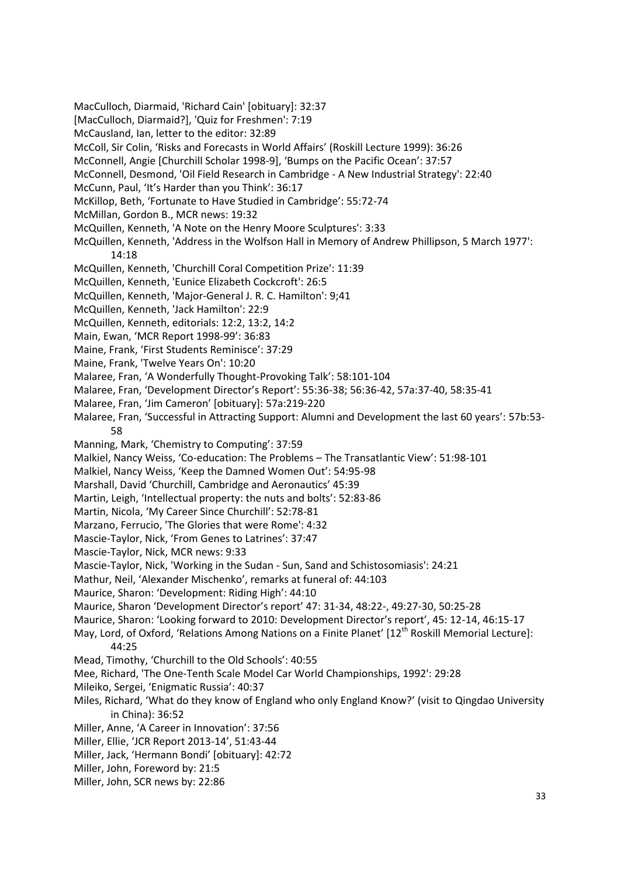[MacCulloch, Diarmaid?], 'Quiz for Freshmen': 7:19 McCausland, Ian, letter to the editor: 32:89 McColl, Sir Colin, 'Risks and Forecasts in World Affairs' (Roskill Lecture 1999): 36:26 McConnell, Angie [Churchill Scholar 1998-9], 'Bumps on the Pacific Ocean': 37:57 McConnell, Desmond, 'Oil Field Research in Cambridge - A New Industrial Strategy': 22:40 McCunn, Paul, 'It's Harder than you Think': 36:17 McKillop, Beth, 'Fortunate to Have Studied in Cambridge': 55:72-74 McMillan, Gordon B., MCR news: 19:32 McQuillen, Kenneth, 'A Note on the Henry Moore Sculptures': 3:33 McQuillen, Kenneth, 'Address in the Wolfson Hall in Memory of Andrew Phillipson, 5 March 1977': 14:18 McQuillen, Kenneth, 'Churchill Coral Competition Prize': 11:39 McQuillen, Kenneth, 'Eunice Elizabeth Cockcroft': 26:5 McQuillen, Kenneth, 'Major-General J. R. C. Hamilton': 9;41 McQuillen, Kenneth, 'Jack Hamilton': 22:9 McQuillen, Kenneth, editorials: 12:2, 13:2, 14:2 Main, Ewan, 'MCR Report 1998-99': 36:83 Maine, Frank, 'First Students Reminisce': 37:29 Maine, Frank, 'Twelve Years On': 10:20 Malaree, Fran, 'A Wonderfully Thought-Provoking Talk': 58:101-104 Malaree, Fran, 'Development Director's Report': 55:36-38; 56:36-42, 57a:37-40, 58:35-41 Malaree, Fran, 'Jim Cameron' [obituary]: 57a:219-220 Malaree, Fran, 'Successful in Attracting Support: Alumni and Development the last 60 years': 57b:53- 58 Manning, Mark, 'Chemistry to Computing': 37:59 Malkiel, Nancy Weiss, 'Co-education: The Problems – The Transatlantic View': 51:98-101 Malkiel, Nancy Weiss, 'Keep the Damned Women Out': 54:95-98 Marshall, David 'Churchill, Cambridge and Aeronautics' 45:39 Martin, Leigh, 'Intellectual property: the nuts and bolts': 52:83-86 Martin, Nicola, 'My Career Since Churchill': 52:78-81 Marzano, Ferrucio, 'The Glories that were Rome': 4:32 Mascie-Taylor, Nick, 'From Genes to Latrines': 37:47 Mascie-Taylor, Nick, MCR news: 9:33 Mascie-Taylor, Nick, 'Working in the Sudan - Sun, Sand and Schistosomiasis': 24:21 Mathur, Neil, 'Alexander Mischenko', remarks at funeral of: 44:103 Maurice, Sharon: 'Development: Riding High': 44:10 Maurice, Sharon 'Development Director's report' 47: 31-34, 48:22-, 49:27-30, 50:25-28 Maurice, Sharon: 'Looking forward to 2010: Development Director's report', 45: 12-14, 46:15-17 May, Lord, of Oxford, 'Relations Among Nations on a Finite Planet' [12<sup>th</sup> Roskill Memorial Lecture]: 44:25 Mead, Timothy, 'Churchill to the Old Schools': 40:55 Mee, Richard, 'The One-Tenth Scale Model Car World Championships, 1992': 29:28 Mileiko, Sergei, 'Enigmatic Russia': 40:37 Miles, Richard, 'What do they know of England who only England Know?' (visit to Qingdao University in China): 36:52 Miller, Anne, 'A Career in Innovation': 37:56 Miller, Ellie, 'JCR Report 2013-14', 51:43-44 Miller, Jack, 'Hermann Bondi' [obituary]: 42:72 Miller, John, Foreword by: 21:5 Miller, John, SCR news by: 22:86

MacCulloch, Diarmaid, 'Richard Cain' [obituary]: 32:37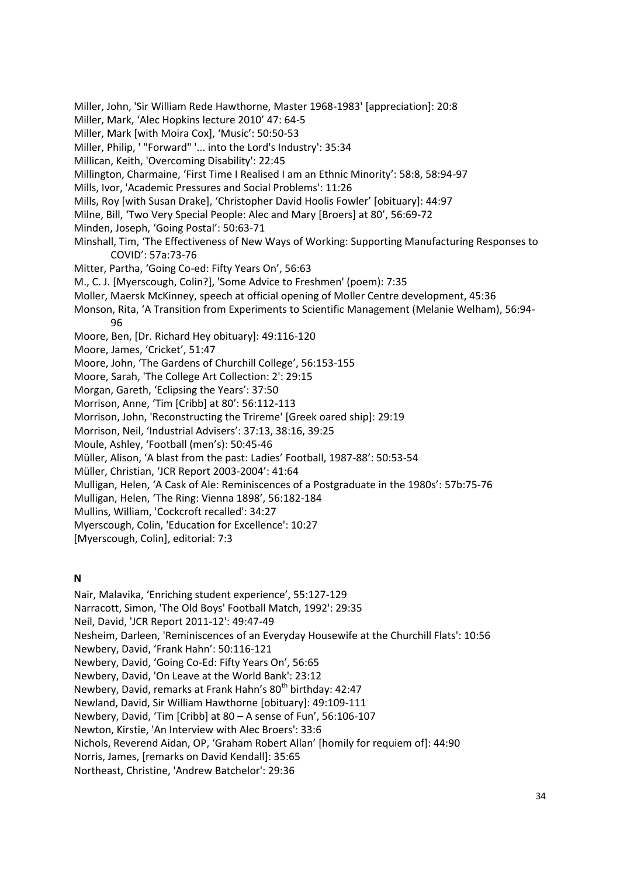Miller, John, 'Sir William Rede Hawthorne, Master 1968-1983' [appreciation]: 20:8 Miller, Mark, 'Alec Hopkins lecture 2010' 47: 64-5 Miller, Mark [with Moira Cox], 'Music': 50:50-53 Miller, Philip, ' "Forward" '... into the Lord's Industry': 35:34 Millican, Keith, 'Overcoming Disability': 22:45 Millington, Charmaine, 'First Time I Realised I am an Ethnic Minority': 58:8, 58:94-97 Mills, Ivor, 'Academic Pressures and Social Problems': 11:26 Mills, Roy [with Susan Drake], 'Christopher David Hoolis Fowler' [obituary]: 44:97 Milne, Bill, 'Two Very Special People: Alec and Mary [Broers] at 80', 56:69-72 Minden, Joseph, 'Going Postal': 50:63-71 Minshall, Tim, 'The Effectiveness of New Ways of Working: Supporting Manufacturing Responses to COVID': 57a:73-76 Mitter, Partha, 'Going Co-ed: Fifty Years On', 56:63 M., C. J. [Myerscough, Colin?], 'Some Advice to Freshmen' (poem): 7:35 Moller, Maersk McKinney, speech at official opening of Moller Centre development, 45:36 Monson, Rita, 'A Transition from Experiments to Scientific Management (Melanie Welham), 56:94- 96 Moore, Ben, [Dr. Richard Hey obituary]: 49:116-120 Moore, James, 'Cricket', 51:47 Moore, John, 'The Gardens of Churchill College', 56:153-155 Moore, Sarah, 'The College Art Collection: 2': 29:15 Morgan, Gareth, 'Eclipsing the Years': 37:50 Morrison, Anne, 'Tim [Cribb] at 80': 56:112-113 Morrison, John, 'Reconstructing the Trireme' [Greek oared ship]: 29:19 Morrison, Neil, 'Industrial Advisers': 37:13, 38:16, 39:25 Moule, Ashley, 'Football (men's): 50:45-46 Müller, Alison, 'A blast from the past: Ladies' Football, 1987-88': 50:53-54 Müller, Christian, 'JCR Report 2003-2004': 41:64 Mulligan, Helen, 'A Cask of Ale: Reminiscences of a Postgraduate in the 1980s': 57b:75-76 Mulligan, Helen, 'The Ring: Vienna 1898', 56:182-184 Mullins, William, 'Cockcroft recalled': 34:27 Myerscough, Colin, 'Education for Excellence': 10:27 [Myerscough, Colin], editorial: 7:3

# **N**

Nair, Malavika, 'Enriching student experience', 55:127-129 Narracott, Simon, 'The Old Boys' Football Match, 1992': 29:35 Neil, David, 'JCR Report 2011-12': 49:47-49 Nesheim, Darleen, 'Reminiscences of an Everyday Housewife at the Churchill Flats': 10:56 Newbery, David, 'Frank Hahn': 50:116-121 Newbery, David, 'Going Co-Ed: Fifty Years On', 56:65 Newbery, David, 'On Leave at the World Bank': 23:12 Newbery, David, remarks at Frank Hahn's 80<sup>th</sup> birthday: 42:47 Newland, David, Sir William Hawthorne [obituary]: 49:109-111 Newbery, David, 'Tim [Cribb] at 80 – A sense of Fun', 56:106-107 Newton, Kirstie, 'An Interview with Alec Broers': 33:6 Nichols, Reverend Aidan, OP, 'Graham Robert Allan' [homily for requiem of]: 44:90 Norris, James, [remarks on David Kendall]: 35:65 Northeast, Christine, 'Andrew Batchelor': 29:36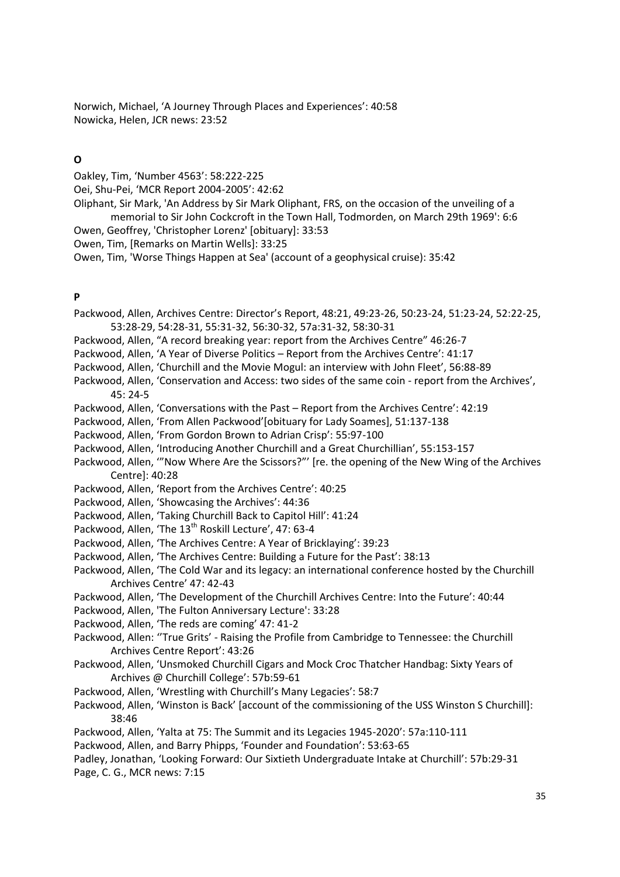Norwich, Michael, 'A Journey Through Places and Experiences': 40:58 Nowicka, Helen, JCR news: 23:52

#### **O**

Oakley, Tim, 'Number 4563': 58:222-225

Oei, Shu-Pei, 'MCR Report 2004-2005': 42:62

- Oliphant, Sir Mark, 'An Address by Sir Mark Oliphant, FRS, on the occasion of the unveiling of a memorial to Sir John Cockcroft in the Town Hall, Todmorden, on March 29th 1969': 6:6
- Owen, Geoffrey, 'Christopher Lorenz' [obituary]: 33:53
- Owen, Tim, [Remarks on Martin Wells]: 33:25
- Owen, Tim, 'Worse Things Happen at Sea' (account of a geophysical cruise): 35:42

## **P**

- Packwood, Allen, Archives Centre: Director's Report, 48:21, 49:23-26, 50:23-24, 51:23-24, 52:22-25, 53:28-29, 54:28-31, 55:31-32, 56:30-32, 57a:31-32, 58:30-31
- Packwood, Allen, "A record breaking year: report from the Archives Centre" 46:26-7
- Packwood, Allen, 'A Year of Diverse Politics Report from the Archives Centre': 41:17
- Packwood, Allen, 'Churchill and the Movie Mogul: an interview with John Fleet', 56:88-89
- Packwood, Allen, 'Conservation and Access: two sides of the same coin report from the Archives', 45: 24-5
- Packwood, Allen, 'Conversations with the Past Report from the Archives Centre': 42:19
- Packwood, Allen, 'From Allen Packwood'[obituary for Lady Soames], 51:137-138
- Packwood, Allen, 'From Gordon Brown to Adrian Crisp': 55:97-100
- Packwood, Allen, 'Introducing Another Churchill and a Great Churchillian', 55:153-157
- Packwood, Allen, '"Now Where Are the Scissors?"' [re. the opening of the New Wing of the Archives Centre]: 40:28
- Packwood, Allen, 'Report from the Archives Centre': 40:25
- Packwood, Allen, 'Showcasing the Archives': 44:36
- Packwood, Allen, 'Taking Churchill Back to Capitol Hill': 41:24
- Packwood, Allen, 'The 13<sup>th</sup> Roskill Lecture', 47: 63-4
- Packwood, Allen, 'The Archives Centre: A Year of Bricklaying': 39:23
- Packwood, Allen, 'The Archives Centre: Building a Future for the Past': 38:13
- Packwood, Allen, 'The Cold War and its legacy: an international conference hosted by the Churchill Archives Centre' 47: 42-43
- Packwood, Allen, 'The Development of the Churchill Archives Centre: Into the Future': 40:44
- Packwood, Allen, 'The Fulton Anniversary Lecture': 33:28
- Packwood, Allen, 'The reds are coming' 47: 41-2
- Packwood, Allen: ''True Grits' Raising the Profile from Cambridge to Tennessee: the Churchill Archives Centre Report': 43:26
- Packwood, Allen, 'Unsmoked Churchill Cigars and Mock Croc Thatcher Handbag: Sixty Years of Archives @ Churchill College': 57b:59-61
- Packwood, Allen, 'Wrestling with Churchill's Many Legacies': 58:7
- Packwood, Allen, 'Winston is Back' [account of the commissioning of the USS Winston S Churchill]: 38:46
- Packwood, Allen, 'Yalta at 75: The Summit and its Legacies 1945-2020': 57a:110-111
- Packwood, Allen, and Barry Phipps, 'Founder and Foundation': 53:63-65

Padley, Jonathan, 'Looking Forward: Our Sixtieth Undergraduate Intake at Churchill': 57b:29-31 Page, C. G., MCR news: 7:15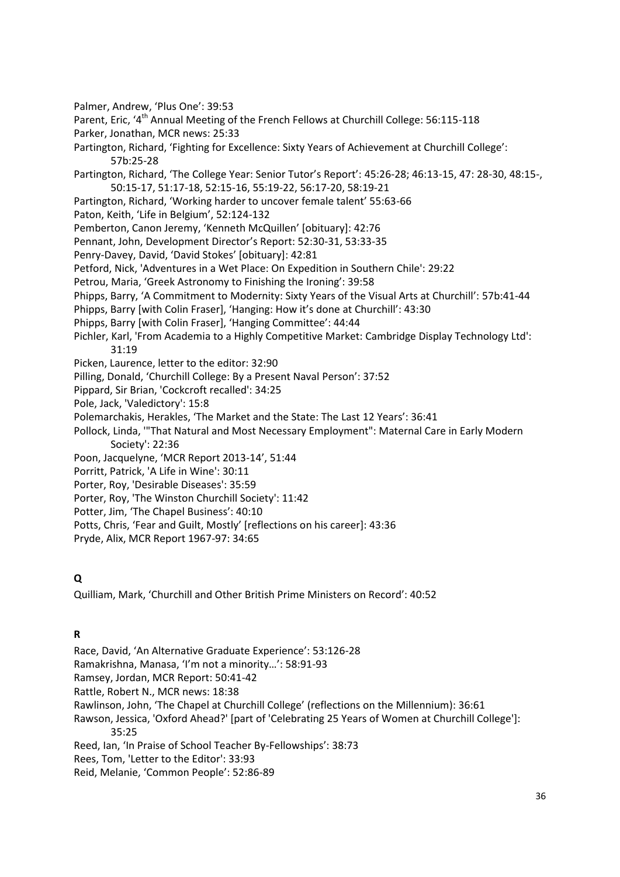Palmer, Andrew, 'Plus One': 39:53

Parent, Eric, '4<sup>th</sup> Annual Meeting of the French Fellows at Churchill College: 56:115-118

- Parker, Jonathan, MCR news: 25:33
- Partington, Richard, 'Fighting for Excellence: Sixty Years of Achievement at Churchill College': 57b:25-28

Partington, Richard, 'The College Year: Senior Tutor's Report': 45:26-28; 46:13-15, 47: 28-30, 48:15-, 50:15-17, 51:17-18, 52:15-16, 55:19-22, 56:17-20, 58:19-21

- Partington, Richard, 'Working harder to uncover female talent' 55:63-66
- Paton, Keith, 'Life in Belgium', 52:124-132
- Pemberton, Canon Jeremy, 'Kenneth McQuillen' [obituary]: 42:76
- Pennant, John, Development Director's Report: 52:30-31, 53:33-35
- Penry-Davey, David, 'David Stokes' [obituary]: 42:81
- Petford, Nick, 'Adventures in a Wet Place: On Expedition in Southern Chile': 29:22
- Petrou, Maria, 'Greek Astronomy to Finishing the Ironing': 39:58
- Phipps, Barry, 'A Commitment to Modernity: Sixty Years of the Visual Arts at Churchill': 57b:41-44
- Phipps, Barry [with Colin Fraser], 'Hanging: How it's done at Churchill': 43:30
- Phipps, Barry [with Colin Fraser], 'Hanging Committee': 44:44
- Pichler, Karl, 'From Academia to a Highly Competitive Market: Cambridge Display Technology Ltd': 31:19
- Picken, Laurence, letter to the editor: 32:90
- Pilling, Donald, 'Churchill College: By a Present Naval Person': 37:52
- Pippard, Sir Brian, 'Cockcroft recalled': 34:25
- Pole, Jack, 'Valedictory': 15:8
- Polemarchakis, Herakles, 'The Market and the State: The Last 12 Years': 36:41
- Pollock, Linda, '"That Natural and Most Necessary Employment": Maternal Care in Early Modern Society': 22:36
- Poon, Jacquelyne, 'MCR Report 2013-14', 51:44
- Porritt, Patrick, 'A Life in Wine': 30:11
- Porter, Roy, 'Desirable Diseases': 35:59
- Porter, Roy, 'The Winston Churchill Society': 11:42
- Potter, Jim, 'The Chapel Business': 40:10
- Potts, Chris, 'Fear and Guilt, Mostly' [reflections on his career]: 43:36
- Pryde, Alix, MCR Report 1967-97: 34:65

# **Q**

Quilliam, Mark, 'Churchill and Other British Prime Ministers on Record': 40:52

# **R**

- Race, David, 'An Alternative Graduate Experience': 53:126-28 Ramakrishna, Manasa, 'I'm not a minority…': 58:91-93 Ramsey, Jordan, MCR Report: 50:41-42 Rattle, Robert N., MCR news: 18:38 Rawlinson, John, 'The Chapel at Churchill College' (reflections on the Millennium): 36:61 Rawson, Jessica, 'Oxford Ahead?' [part of 'Celebrating 25 Years of Women at Churchill College']: 35:25
- Reed, Ian, 'In Praise of School Teacher By-Fellowships': 38:73
- Rees, Tom, 'Letter to the Editor': 33:93
- Reid, Melanie, 'Common People': 52:86-89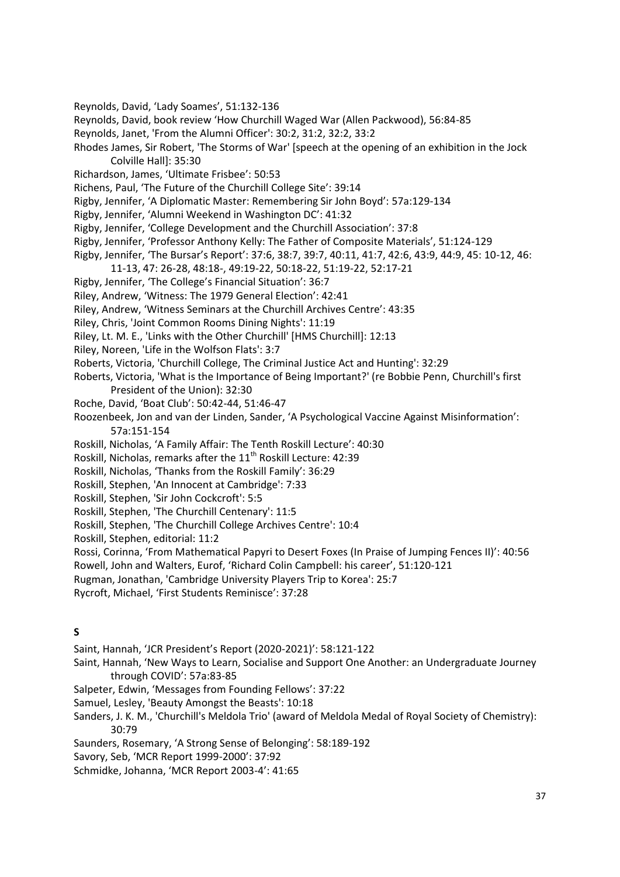- Reynolds, David, 'Lady Soames', 51:132-136
- Reynolds, David, book review 'How Churchill Waged War (Allen Packwood), 56:84-85
- Reynolds, Janet, 'From the Alumni Officer': 30:2, 31:2, 32:2, 33:2
- Rhodes James, Sir Robert, 'The Storms of War' [speech at the opening of an exhibition in the Jock Colville Hall]: 35:30
- Richardson, James, 'Ultimate Frisbee': 50:53
- Richens, Paul, 'The Future of the Churchill College Site': 39:14
- Rigby, Jennifer, 'A Diplomatic Master: Remembering Sir John Boyd': 57a:129-134
- Rigby, Jennifer, 'Alumni Weekend in Washington DC': 41:32
- Rigby, Jennifer, 'College Development and the Churchill Association': 37:8
- Rigby, Jennifer, 'Professor Anthony Kelly: The Father of Composite Materials', 51:124-129
- Rigby, Jennifer, 'The Bursar's Report': 37:6, 38:7, 39:7, 40:11, 41:7, 42:6, 43:9, 44:9, 45: 10-12, 46:
	- 11-13, 47: 26-28, 48:18-, 49:19-22, 50:18-22, 51:19-22, 52:17-21
- Rigby, Jennifer, 'The College's Financial Situation': 36:7
- Riley, Andrew, 'Witness: The 1979 General Election': 42:41
- Riley, Andrew, 'Witness Seminars at the Churchill Archives Centre': 43:35
- Riley, Chris, 'Joint Common Rooms Dining Nights': 11:19
- Riley, Lt. M. E., 'Links with the Other Churchill' [HMS Churchill]: 12:13
- Riley, Noreen, 'Life in the Wolfson Flats': 3:7
- Roberts, Victoria, 'Churchill College, The Criminal Justice Act and Hunting': 32:29
- Roberts, Victoria, 'What is the Importance of Being Important?' (re Bobbie Penn, Churchill's first President of the Union): 32:30
- Roche, David, 'Boat Club': 50:42-44, 51:46-47
- Roozenbeek, Jon and van der Linden, Sander, 'A Psychological Vaccine Against Misinformation': 57a:151-154
- Roskill, Nicholas, 'A Family Affair: The Tenth Roskill Lecture': 40:30
- Roskill, Nicholas, remarks after the 11<sup>th</sup> Roskill Lecture: 42:39
- Roskill, Nicholas, 'Thanks from the Roskill Family': 36:29
- Roskill, Stephen, 'An Innocent at Cambridge': 7:33
- Roskill, Stephen, 'Sir John Cockcroft': 5:5
- Roskill, Stephen, 'The Churchill Centenary': 11:5
- Roskill, Stephen, 'The Churchill College Archives Centre': 10:4
- Roskill, Stephen, editorial: 11:2
- Rossi, Corinna, 'From Mathematical Papyri to Desert Foxes (In Praise of Jumping Fences II)': 40:56
- Rowell, John and Walters, Eurof, 'Richard Colin Campbell: his career', 51:120-121
- Rugman, Jonathan, 'Cambridge University Players Trip to Korea': 25:7
- Rycroft, Michael, 'First Students Reminisce': 37:28

#### **S**

- Saint, Hannah, 'JCR President's Report (2020-2021)': 58:121-122
- Saint, Hannah, 'New Ways to Learn, Socialise and Support One Another: an Undergraduate Journey through COVID': 57a:83-85
- Salpeter, Edwin, 'Messages from Founding Fellows': 37:22
- Samuel, Lesley, 'Beauty Amongst the Beasts': 10:18
- Sanders, J. K. M., 'Churchill's Meldola Trio' (award of Meldola Medal of Royal Society of Chemistry): 30:79
- Saunders, Rosemary, 'A Strong Sense of Belonging': 58:189-192
- Savory, Seb, 'MCR Report 1999-2000': 37:92
- Schmidke, Johanna, 'MCR Report 2003-4': 41:65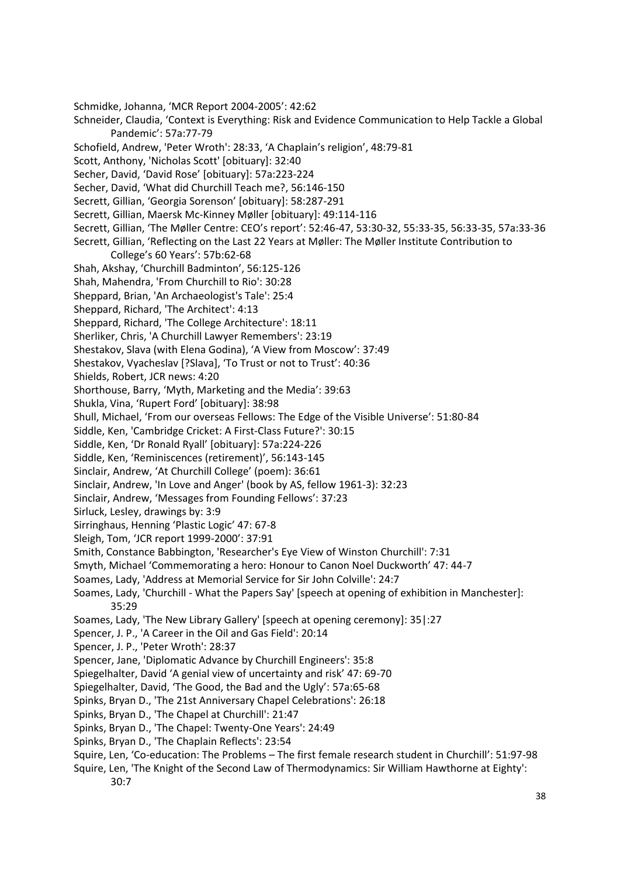Schmidke, Johanna, 'MCR Report 2004-2005': 42:62 Schneider, Claudia, 'Context is Everything: Risk and Evidence Communication to Help Tackle a Global Pandemic': 57a:77-79 Schofield, Andrew, 'Peter Wroth': 28:33, 'A Chaplain's religion', 48:79-81 Scott, Anthony, 'Nicholas Scott' [obituary]: 32:40 Secher, David, 'David Rose' [obituary]: 57a:223-224 Secher, David, 'What did Churchill Teach me?, 56:146-150 Secrett, Gillian, 'Georgia Sorenson' [obituary]: 58:287-291 Secrett, Gillian, Maersk Mc-Kinney Møller [obituary]: 49:114-116 Secrett, Gillian, 'The Møller Centre: CEO's report': 52:46-47, 53:30-32, 55:33-35, 56:33-35, 57a:33-36 Secrett, Gillian, 'Reflecting on the Last 22 Years at Møller: The Møller Institute Contribution to College's 60 Years': 57b:62-68 Shah, Akshay, 'Churchill Badminton', 56:125-126 Shah, Mahendra, 'From Churchill to Rio': 30:28 Sheppard, Brian, 'An Archaeologist's Tale': 25:4 Sheppard, Richard, 'The Architect': 4:13 Sheppard, Richard, 'The College Architecture': 18:11 Sherliker, Chris, 'A Churchill Lawyer Remembers': 23:19 Shestakov, Slava (with Elena Godina), 'A View from Moscow': 37:49 Shestakov, Vyacheslav [?Slava], 'To Trust or not to Trust': 40:36 Shields, Robert, JCR news: 4:20 Shorthouse, Barry, 'Myth, Marketing and the Media': 39:63 Shukla, Vina, 'Rupert Ford' [obituary]: 38:98 Shull, Michael, 'From our overseas Fellows: The Edge of the Visible Universe': 51:80-84 Siddle, Ken, 'Cambridge Cricket: A First-Class Future?': 30:15 Siddle, Ken, 'Dr Ronald Ryall' [obituary]: 57a:224-226 Siddle, Ken, 'Reminiscences (retirement)', 56:143-145 Sinclair, Andrew, 'At Churchill College' (poem): 36:61 Sinclair, Andrew, 'In Love and Anger' (book by AS, fellow 1961-3): 32:23 Sinclair, Andrew, 'Messages from Founding Fellows': 37:23 Sirluck, Lesley, drawings by: 3:9 Sirringhaus, Henning 'Plastic Logic' 47: 67-8 Sleigh, Tom, 'JCR report 1999-2000': 37:91 Smith, Constance Babbington, 'Researcher's Eye View of Winston Churchill': 7:31 Smyth, Michael 'Commemorating a hero: Honour to Canon Noel Duckworth' 47: 44-7 Soames, Lady, 'Address at Memorial Service for Sir John Colville': 24:7 Soames, Lady, 'Churchill - What the Papers Say' [speech at opening of exhibition in Manchester]: 35:29 Soames, Lady, 'The New Library Gallery' [speech at opening ceremony]: 35|:27 Spencer, J. P., 'A Career in the Oil and Gas Field': 20:14 Spencer, J. P., 'Peter Wroth': 28:37 Spencer, Jane, 'Diplomatic Advance by Churchill Engineers': 35:8 Spiegelhalter, David 'A genial view of uncertainty and risk' 47: 69-70 Spiegelhalter, David, 'The Good, the Bad and the Ugly': 57a:65-68 Spinks, Bryan D., 'The 21st Anniversary Chapel Celebrations': 26:18 Spinks, Bryan D., 'The Chapel at Churchill': 21:47 Spinks, Bryan D., 'The Chapel: Twenty-One Years': 24:49 Spinks, Bryan D., 'The Chaplain Reflects': 23:54 Squire, Len, 'Co-education: The Problems – The first female research student in Churchill': 51:97-98 Squire, Len, 'The Knight of the Second Law of Thermodynamics: Sir William Hawthorne at Eighty': 30:7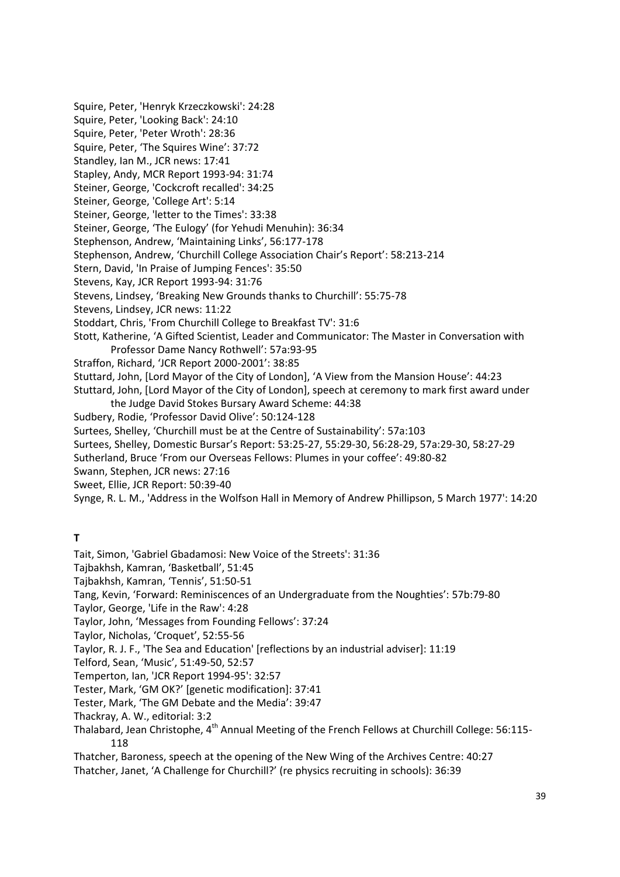Squire, Peter, 'Henryk Krzeczkowski': 24:28 Squire, Peter, 'Looking Back': 24:10 Squire, Peter, 'Peter Wroth': 28:36 Squire, Peter, 'The Squires Wine': 37:72 Standley, Ian M., JCR news: 17:41 Stapley, Andy, MCR Report 1993-94: 31:74 Steiner, George, 'Cockcroft recalled': 34:25 Steiner, George, 'College Art': 5:14 Steiner, George, 'letter to the Times': 33:38 Steiner, George, 'The Eulogy' (for Yehudi Menuhin): 36:34 Stephenson, Andrew, 'Maintaining Links', 56:177-178 Stephenson, Andrew, 'Churchill College Association Chair's Report': 58:213-214 Stern, David, 'In Praise of Jumping Fences': 35:50 Stevens, Kay, JCR Report 1993-94: 31:76 Stevens, Lindsey, 'Breaking New Grounds thanks to Churchill': 55:75-78 Stevens, Lindsey, JCR news: 11:22 Stoddart, Chris, 'From Churchill College to Breakfast TV': 31:6 Stott, Katherine, 'A Gifted Scientist, Leader and Communicator: The Master in Conversation with Professor Dame Nancy Rothwell': 57a:93-95 Straffon, Richard, 'JCR Report 2000-2001': 38:85 Stuttard, John, [Lord Mayor of the City of London], 'A View from the Mansion House': 44:23 Stuttard, John, [Lord Mayor of the City of London], speech at ceremony to mark first award under the Judge David Stokes Bursary Award Scheme: 44:38 Sudbery, Rodie, 'Professor David Olive': 50:124-128 Surtees, Shelley, 'Churchill must be at the Centre of Sustainability': 57a:103 Surtees, Shelley, Domestic Bursar's Report: 53:25-27, 55:29-30, 56:28-29, 57a:29-30, 58:27-29 Sutherland, Bruce 'From our Overseas Fellows: Plumes in your coffee': 49:80-82 Swann, Stephen, JCR news: 27:16 Sweet, Ellie, JCR Report: 50:39-40 Synge, R. L. M., 'Address in the Wolfson Hall in Memory of Andrew Phillipson, 5 March 1977': 14:20

**T**

Tait, Simon, 'Gabriel Gbadamosi: New Voice of the Streets': 31:36

Tajbakhsh, Kamran, 'Basketball', 51:45

Tajbakhsh, Kamran, 'Tennis', 51:50-51

Tang, Kevin, 'Forward: Reminiscences of an Undergraduate from the Noughties': 57b:79-80

Taylor, George, 'Life in the Raw': 4:28

Taylor, John, 'Messages from Founding Fellows': 37:24

Taylor, Nicholas, 'Croquet', 52:55-56

Taylor, R. J. F., 'The Sea and Education' [reflections by an industrial adviser]: 11:19

Telford, Sean, 'Music', 51:49-50, 52:57

Temperton, Ian, 'JCR Report 1994-95': 32:57

Tester, Mark, 'GM OK?' [genetic modification]: 37:41

Tester, Mark, 'The GM Debate and the Media': 39:47

Thackray, A. W., editorial: 3:2

Thalabard, Jean Christophe, 4<sup>th</sup> Annual Meeting of the French Fellows at Churchill College: 56:115-118

Thatcher, Baroness, speech at the opening of the New Wing of the Archives Centre: 40:27 Thatcher, Janet, 'A Challenge for Churchill?' (re physics recruiting in schools): 36:39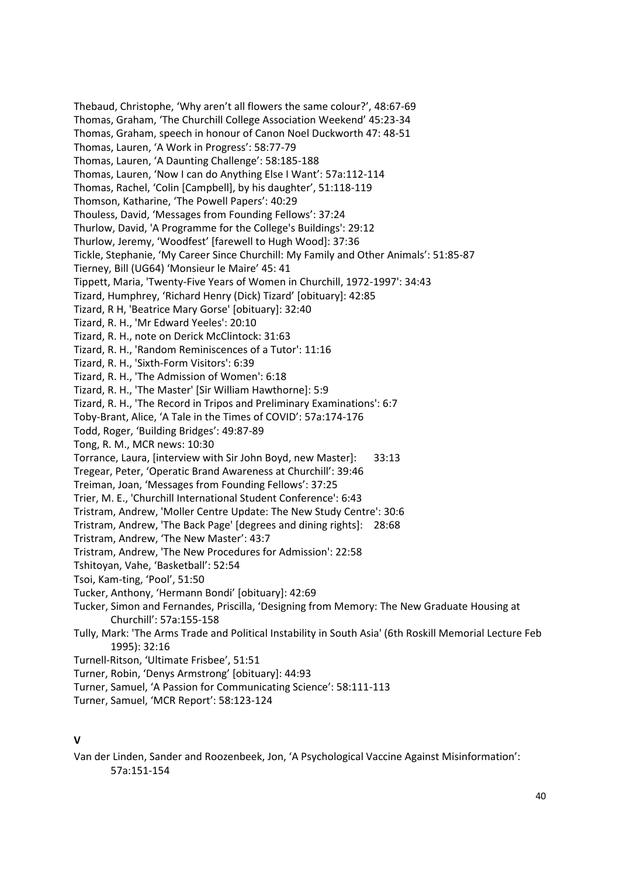Thebaud, Christophe, 'Why aren't all flowers the same colour?', 48:67-69 Thomas, Graham, 'The Churchill College Association Weekend' 45:23-34 Thomas, Graham, speech in honour of Canon Noel Duckworth 47: 48-51 Thomas, Lauren, 'A Work in Progress': 58:77-79 Thomas, Lauren, 'A Daunting Challenge': 58:185-188 Thomas, Lauren, 'Now I can do Anything Else I Want': 57a:112-114 Thomas, Rachel, 'Colin [Campbell], by his daughter', 51:118-119 Thomson, Katharine, 'The Powell Papers': 40:29 Thouless, David, 'Messages from Founding Fellows': 37:24 Thurlow, David, 'A Programme for the College's Buildings': 29:12 Thurlow, Jeremy, 'Woodfest' [farewell to Hugh Wood]: 37:36 Tickle, Stephanie, 'My Career Since Churchill: My Family and Other Animals': 51:85-87 Tierney, Bill (UG64) 'Monsieur le Maire' 45: 41 Tippett, Maria, 'Twenty-Five Years of Women in Churchill, 1972-1997': 34:43 Tizard, Humphrey, 'Richard Henry (Dick) Tizard' [obituary]: 42:85 Tizard, R H, 'Beatrice Mary Gorse' [obituary]: 32:40 Tizard, R. H., 'Mr Edward Yeeles': 20:10 Tizard, R. H., note on Derick McClintock: 31:63 Tizard, R. H., 'Random Reminiscences of a Tutor': 11:16 Tizard, R. H., 'Sixth-Form Visitors': 6:39 Tizard, R. H., 'The Admission of Women': 6:18 Tizard, R. H., 'The Master' [Sir William Hawthorne]: 5:9 Tizard, R. H., 'The Record in Tripos and Preliminary Examinations': 6:7 Toby-Brant, Alice, 'A Tale in the Times of COVID': 57a:174-176 Todd, Roger, 'Building Bridges': 49:87-89 Tong, R. M., MCR news: 10:30 Torrance, Laura, [interview with Sir John Boyd, new Master]: 33:13 Tregear, Peter, 'Operatic Brand Awareness at Churchill': 39:46 Treiman, Joan, 'Messages from Founding Fellows': 37:25 Trier, M. E., 'Churchill International Student Conference': 6:43 Tristram, Andrew, 'Moller Centre Update: The New Study Centre': 30:6 Tristram, Andrew, 'The Back Page' [degrees and dining rights]: 28:68 Tristram, Andrew, 'The New Master': 43:7 Tristram, Andrew, 'The New Procedures for Admission': 22:58 Tshitoyan, Vahe, 'Basketball': 52:54 Tsoi, Kam-ting, 'Pool', 51:50 Tucker, Anthony, 'Hermann Bondi' [obituary]: 42:69 Tucker, Simon and Fernandes, Priscilla, 'Designing from Memory: The New Graduate Housing at Churchill': 57a:155-158 Tully, Mark: 'The Arms Trade and Political Instability in South Asia' (6th Roskill Memorial Lecture Feb 1995): 32:16 Turnell-Ritson, 'Ultimate Frisbee', 51:51 Turner, Robin, 'Denys Armstrong' [obituary]: 44:93 Turner, Samuel, 'A Passion for Communicating Science': 58:111-113

Turner, Samuel, 'MCR Report': 58:123-124

## **V**

Van der Linden, Sander and Roozenbeek, Jon, 'A Psychological Vaccine Against Misinformation': 57a:151-154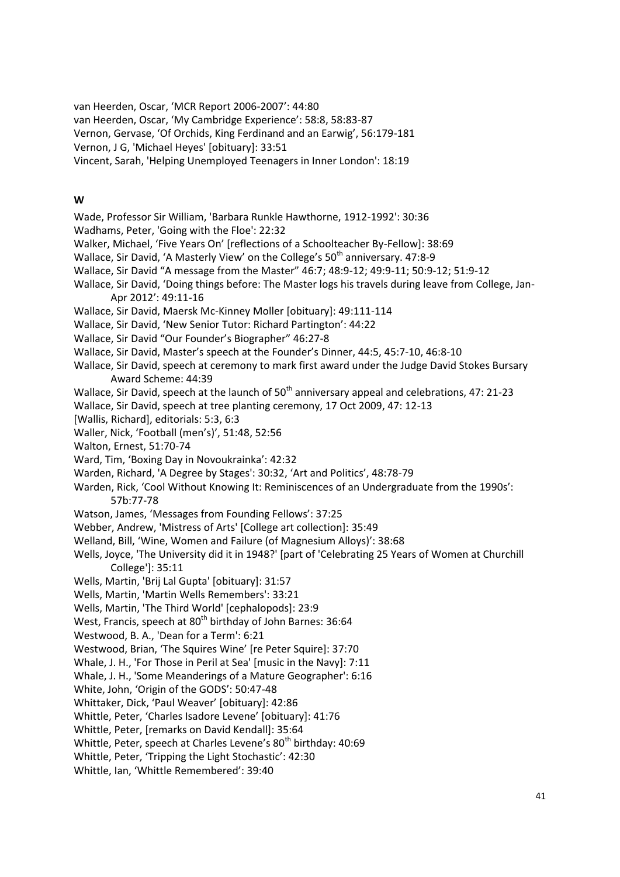van Heerden, Oscar, 'MCR Report 2006-2007': 44:80

van Heerden, Oscar, 'My Cambridge Experience': 58:8, 58:83-87

Vernon, Gervase, 'Of Orchids, King Ferdinand and an Earwig', 56:179-181

Vernon, J G, 'Michael Heyes' [obituary]: 33:51

Vincent, Sarah, 'Helping Unemployed Teenagers in Inner London': 18:19

#### **W**

Wade, Professor Sir William, 'Barbara Runkle Hawthorne, 1912-1992': 30:36 Wadhams, Peter, 'Going with the Floe': 22:32 Walker, Michael, 'Five Years On' [reflections of a Schoolteacher By-Fellow]: 38:69 Wallace, Sir David, 'A Masterly View' on the College's  $50<sup>th</sup>$  anniversary. 47:8-9 Wallace, Sir David "A message from the Master" 46:7; 48:9-12; 49:9-11; 50:9-12; 51:9-12 Wallace, Sir David, 'Doing things before: The Master logs his travels during leave from College, Jan-Apr 2012': 49:11-16 Wallace, Sir David, Maersk Mc-Kinney Moller [obituary]: 49:111-114 Wallace, Sir David, 'New Senior Tutor: Richard Partington': 44:22 Wallace, Sir David "Our Founder's Biographer" 46:27-8 Wallace, Sir David, Master's speech at the Founder's Dinner, 44:5, 45:7-10, 46:8-10 Wallace, Sir David, speech at ceremony to mark first award under the Judge David Stokes Bursary Award Scheme: 44:39 Wallace, Sir David, speech at the launch of 50<sup>th</sup> anniversary appeal and celebrations, 47: 21-23 Wallace, Sir David, speech at tree planting ceremony, 17 Oct 2009, 47: 12-13 [Wallis, Richard], editorials: 5:3, 6:3 Waller, Nick, 'Football (men's)', 51:48, 52:56 Walton, Ernest, 51:70-74 Ward, Tim, 'Boxing Day in Novoukrainka': 42:32 Warden, Richard, 'A Degree by Stages': 30:32, 'Art and Politics', 48:78-79 Warden, Rick, 'Cool Without Knowing It: Reminiscences of an Undergraduate from the 1990s': 57b:77-78 Watson, James, 'Messages from Founding Fellows': 37:25 Webber, Andrew, 'Mistress of Arts' [College art collection]: 35:49 Welland, Bill, 'Wine, Women and Failure (of Magnesium Alloys)': 38:68 Wells, Joyce, 'The University did it in 1948?' [part of 'Celebrating 25 Years of Women at Churchill College']: 35:11 Wells, Martin, 'Brij Lal Gupta' [obituary]: 31:57 Wells, Martin, 'Martin Wells Remembers': 33:21 Wells, Martin, 'The Third World' [cephalopods]: 23:9 West, Francis, speech at 80<sup>th</sup> birthday of John Barnes: 36:64 Westwood, B. A., 'Dean for a Term': 6:21 Westwood, Brian, 'The Squires Wine' [re Peter Squire]: 37:70 Whale, J. H., 'For Those in Peril at Sea' [music in the Navy]: 7:11 Whale, J. H., 'Some Meanderings of a Mature Geographer': 6:16 White, John, 'Origin of the GODS': 50:47-48 Whittaker, Dick, 'Paul Weaver' [obituary]: 42:86 Whittle, Peter, 'Charles Isadore Levene' [obituary]: 41:76 Whittle, Peter, [remarks on David Kendall]: 35:64 Whittle, Peter, speech at Charles Levene's 80<sup>th</sup> birthday: 40:69 Whittle, Peter, 'Tripping the Light Stochastic': 42:30 Whittle, Ian, 'Whittle Remembered': 39:40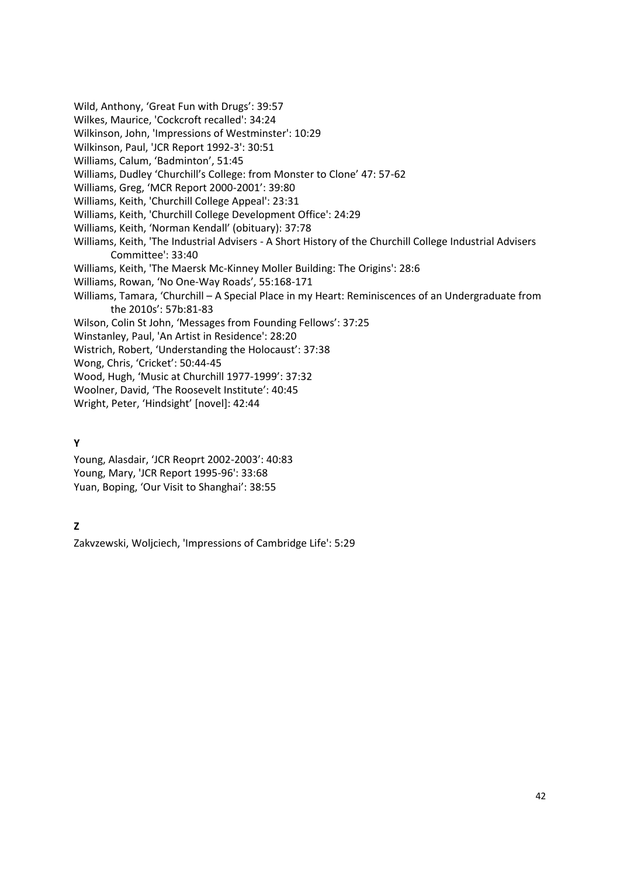Wild, Anthony, 'Great Fun with Drugs': 39:57 Wilkes, Maurice, 'Cockcroft recalled': 34:24 Wilkinson, John, 'Impressions of Westminster': 10:29 Wilkinson, Paul, 'JCR Report 1992-3': 30:51 Williams, Calum, 'Badminton', 51:45 Williams, Dudley 'Churchill's College: from Monster to Clone' 47: 57-62 Williams, Greg, 'MCR Report 2000-2001': 39:80 Williams, Keith, 'Churchill College Appeal': 23:31 Williams, Keith, 'Churchill College Development Office': 24:29 Williams, Keith, 'Norman Kendall' (obituary): 37:78 Williams, Keith, 'The Industrial Advisers - A Short History of the Churchill College Industrial Advisers Committee': 33:40 Williams, Keith, 'The Maersk Mc-Kinney Moller Building: The Origins': 28:6 Williams, Rowan, 'No One-Way Roads', 55:168-171 Williams, Tamara, 'Churchill – A Special Place in my Heart: Reminiscences of an Undergraduate from the 2010s': 57b:81-83 Wilson, Colin St John, 'Messages from Founding Fellows': 37:25 Winstanley, Paul, 'An Artist in Residence': 28:20 Wistrich, Robert, 'Understanding the Holocaust': 37:38 Wong, Chris, 'Cricket': 50:44-45 Wood, Hugh, 'Music at Churchill 1977-1999': 37:32 Woolner, David, 'The Roosevelt Institute': 40:45 Wright, Peter, 'Hindsight' [novel]: 42:44

## **Y**

Young, Alasdair, 'JCR Reoprt 2002-2003': 40:83 Young, Mary, 'JCR Report 1995-96': 33:68 Yuan, Boping, 'Our Visit to Shanghai': 38:55

# **Z**

Zakvzewski, Woljciech, 'Impressions of Cambridge Life': 5:29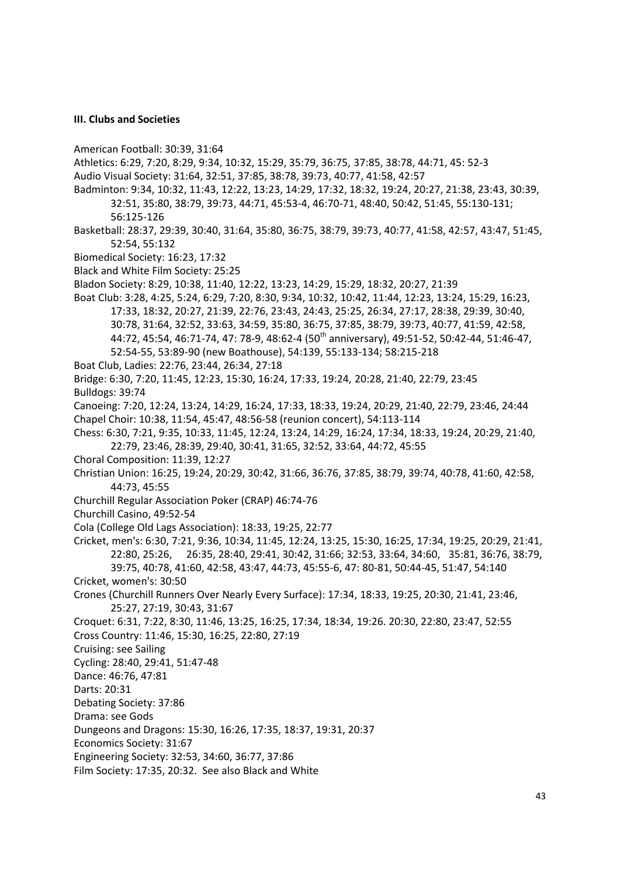#### <span id="page-42-0"></span>**III. Clubs and Societies**

- American Football: 30:39, 31:64
- Athletics: 6:29, 7:20, 8:29, 9:34, 10:32, 15:29, 35:79, 36:75, 37:85, 38:78, 44:71, 45: 52-3
- Audio Visual Society: 31:64, 32:51, 37:85, 38:78, 39:73, 40:77, 41:58, 42:57
- Badminton: 9:34, 10:32, 11:43, 12:22, 13:23, 14:29, 17:32, 18:32, 19:24, 20:27, 21:38, 23:43, 30:39, 32:51, 35:80, 38:79, 39:73, 44:71, 45:53-4, 46:70-71, 48:40, 50:42, 51:45, 55:130-131; 56:125-126
- Basketball: 28:37, 29:39, 30:40, 31:64, 35:80, 36:75, 38:79, 39:73, 40:77, 41:58, 42:57, 43:47, 51:45, 52:54, 55:132
- Biomedical Society: 16:23, 17:32
- Black and White Film Society: 25:25
- Bladon Society: 8:29, 10:38, 11:40, 12:22, 13:23, 14:29, 15:29, 18:32, 20:27, 21:39
- Boat Club: 3:28, 4:25, 5:24, 6:29, 7:20, 8:30, 9:34, 10:32, 10:42, 11:44, 12:23, 13:24, 15:29, 16:23, 17:33, 18:32, 20:27, 21:39, 22:76, 23:43, 24:43, 25:25, 26:34, 27:17, 28:38, 29:39, 30:40, 30:78, 31:64, 32:52, 33:63, 34:59, 35:80, 36:75, 37:85, 38:79, 39:73, 40:77, 41:59, 42:58, 44:72, 45:54, 46:71-74, 47: 78-9, 48:62-4 (50<sup>th</sup> anniversary), 49:51-52, 50:42-44, 51:46-47, 52:54-55, 53:89-90 (new Boathouse), 54:139, 55:133-134; 58:215-218
- Boat Club, Ladies: 22:76, 23:44, 26:34, 27:18
- Bridge: 6:30, 7:20, 11:45, 12:23, 15:30, 16:24, 17:33, 19:24, 20:28, 21:40, 22:79, 23:45
- Bulldogs: 39:74
- Canoeing: 7:20, 12:24, 13:24, 14:29, 16:24, 17:33, 18:33, 19:24, 20:29, 21:40, 22:79, 23:46, 24:44 Chapel Choir: 10:38, 11:54, 45:47, 48:56-58 (reunion concert), 54:113-114
- Chess: 6:30, 7:21, 9:35, 10:33, 11:45, 12:24, 13:24, 14:29, 16:24, 17:34, 18:33, 19:24, 20:29, 21:40,
	- 22:79, 23:46, 28:39, 29:40, 30:41, 31:65, 32:52, 33:64, 44:72, 45:55
- Choral Composition: 11:39, 12:27
- Christian Union: 16:25, 19:24, 20:29, 30:42, 31:66, 36:76, 37:85, 38:79, 39:74, 40:78, 41:60, 42:58, 44:73, 45:55
- Churchill Regular Association Poker (CRAP) 46:74-76
- Churchill Casino, 49:52-54
- Cola (College Old Lags Association): 18:33, 19:25, 22:77
- Cricket, men's: 6:30, 7:21, 9:36, 10:34, 11:45, 12:24, 13:25, 15:30, 16:25, 17:34, 19:25, 20:29, 21:41, 22:80, 25:26, 26:35, 28:40, 29:41, 30:42, 31:66; 32:53, 33:64, 34:60, 35:81, 36:76, 38:79, 39:75, 40:78, 41:60, 42:58, 43:47, 44:73, 45:55-6, 47: 80-81, 50:44-45, 51:47, 54:140
- Cricket, women's: 30:50
- Crones (Churchill Runners Over Nearly Every Surface): 17:34, 18:33, 19:25, 20:30, 21:41, 23:46, 25:27, 27:19, 30:43, 31:67
- Croquet: 6:31, 7:22, 8:30, 11:46, 13:25, 16:25, 17:34, 18:34, 19:26. 20:30, 22:80, 23:47, 52:55 Cross Country: 11:46, 15:30, 16:25, 22:80, 27:19
- Cruising: see Sailing
- Cycling: 28:40, 29:41, 51:47-48
- Dance: 46:76, 47:81
- Darts: 20:31
- Debating Society: 37:86
- Drama: see Gods
- Dungeons and Dragons: 15:30, 16:26, 17:35, 18:37, 19:31, 20:37
- Economics Society: 31:67
- Engineering Society: 32:53, 34:60, 36:77, 37:86
- Film Society: 17:35, 20:32. See also Black and White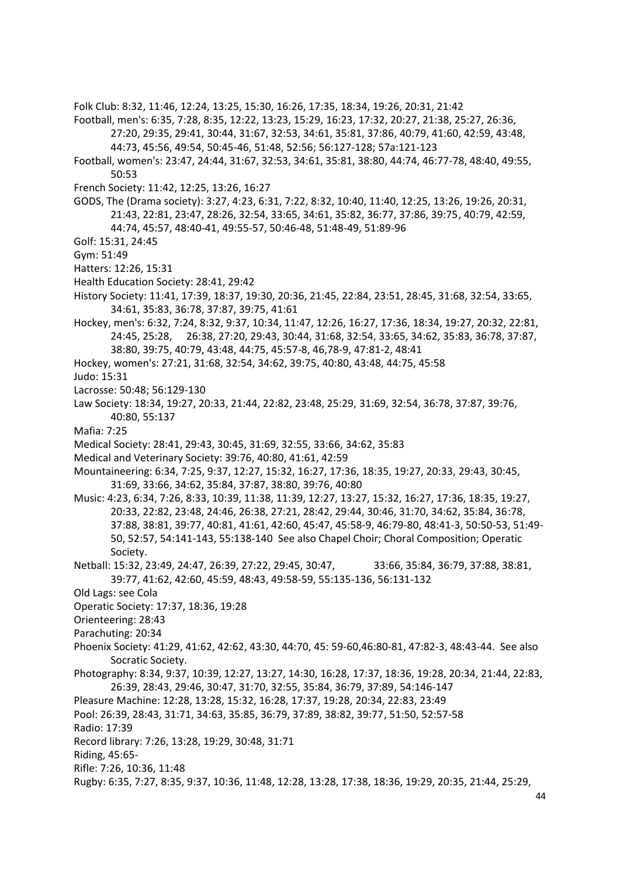Folk Club: 8:32, 11:46, 12:24, 13:25, 15:30, 16:26, 17:35, 18:34, 19:26, 20:31, 21:42

Football, men's: 6:35, 7:28, 8:35, 12:22, 13:23, 15:29, 16:23, 17:32, 20:27, 21:38, 25:27, 26:36, 27:20, 29:35, 29:41, 30:44, 31:67, 32:53, 34:61, 35:81, 37:86, 40:79, 41:60, 42:59, 43:48, 44:73, 45:56, 49:54, 50:45-46, 51:48, 52:56; 56:127-128; 57a:121-123

- Football, women's: 23:47, 24:44, 31:67, 32:53, 34:61, 35:81, 38:80, 44:74, 46:77-78, 48:40, 49:55, 50:53
- French Society: 11:42, 12:25, 13:26, 16:27

GODS, The (Drama society): 3:27, 4:23, 6:31, 7:22, 8:32, 10:40, 11:40, 12:25, 13:26, 19:26, 20:31, 21:43, 22:81, 23:47, 28:26, 32:54, 33:65, 34:61, 35:82, 36:77, 37:86, 39:75, 40:79, 42:59, 44:74, 45:57, 48:40-41, 49:55-57, 50:46-48, 51:48-49, 51:89-96

Golf: 15:31, 24:45

Gym: 51:49

- Hatters: 12:26, 15:31
- Health Education Society: 28:41, 29:42
- History Society: 11:41, 17:39, 18:37, 19:30, 20:36, 21:45, 22:84, 23:51, 28:45, 31:68, 32:54, 33:65, 34:61, 35:83, 36:78, 37:87, 39:75, 41:61
- Hockey, men's: 6:32, 7:24, 8:32, 9:37, 10:34, 11:47, 12:26, 16:27, 17:36, 18:34, 19:27, 20:32, 22:81, 24:45, 25:28, 26:38, 27:20, 29:43, 30:44, 31:68, 32:54, 33:65, 34:62, 35:83, 36:78, 37:87, 38:80, 39:75, 40:79, 43:48, 44:75, 45:57-8, 46,78-9, 47:81-2, 48:41
- Hockey, women's: 27:21, 31:68, 32:54, 34:62, 39:75, 40:80, 43:48, 44:75, 45:58
- Judo: 15:31
- Lacrosse: 50:48; 56:129-130
- Law Society: 18:34, 19:27, 20:33, 21:44, 22:82, 23:48, 25:29, 31:69, 32:54, 36:78, 37:87, 39:76, 40:80, 55:137
- Mafia: 7:25
- Medical Society: 28:41, 29:43, 30:45, 31:69, 32:55, 33:66, 34:62, 35:83
- Medical and Veterinary Society: 39:76, 40:80, 41:61, 42:59
- Mountaineering: 6:34, 7:25, 9:37, 12:27, 15:32, 16:27, 17:36, 18:35, 19:27, 20:33, 29:43, 30:45, 31:69, 33:66, 34:62, 35:84, 37:87, 38:80, 39:76, 40:80
- Music: 4:23, 6:34, 7:26, 8:33, 10:39, 11:38, 11:39, 12:27, 13:27, 15:32, 16:27, 17:36, 18:35, 19:27, 20:33, 22:82, 23:48, 24:46, 26:38, 27:21, 28:42, 29:44, 30:46, 31:70, 34:62, 35:84, 36:78, 37:88, 38:81, 39:77, 40:81, 41:61, 42:60, 45:47, 45:58-9, 46:79-80, 48:41-3, 50:50-53, 51:49- 50, 52:57, 54:141-143, 55:138-140 See also Chapel Choir; Choral Composition; Operatic Society.
- Netball: 15:32, 23:49, 24:47, 26:39, 27:22, 29:45, 30:47, 33:66, 35:84, 36:79, 37:88, 38:81, 39:77, 41:62, 42:60, 45:59, 48:43, 49:58-59, 55:135-136, 56:131-132
- Old Lags: see Cola
- Operatic Society: 17:37, 18:36, 19:28
- Orienteering: 28:43
- Parachuting: 20:34
- Phoenix Society: 41:29, 41:62, 42:62, 43:30, 44:70, 45: 59-60,46:80-81, 47:82-3, 48:43-44. See also Socratic Society.
- Photography: 8:34, 9:37, 10:39, 12:27, 13:27, 14:30, 16:28, 17:37, 18:36, 19:28, 20:34, 21:44, 22:83, 26:39, 28:43, 29:46, 30:47, 31:70, 32:55, 35:84, 36:79, 37:89, 54:146-147
- Pleasure Machine: 12:28, 13:28, 15:32, 16:28, 17:37, 19:28, 20:34, 22:83, 23:49

- Radio: 17:39
- Record library: 7:26, 13:28, 19:29, 30:48, 31:71
- Riding, 45:65-
- Rifle: 7:26, 10:36, 11:48
- Rugby: 6:35, 7:27, 8:35, 9:37, 10:36, 11:48, 12:28, 13:28, 17:38, 18:36, 19:29, 20:35, 21:44, 25:29,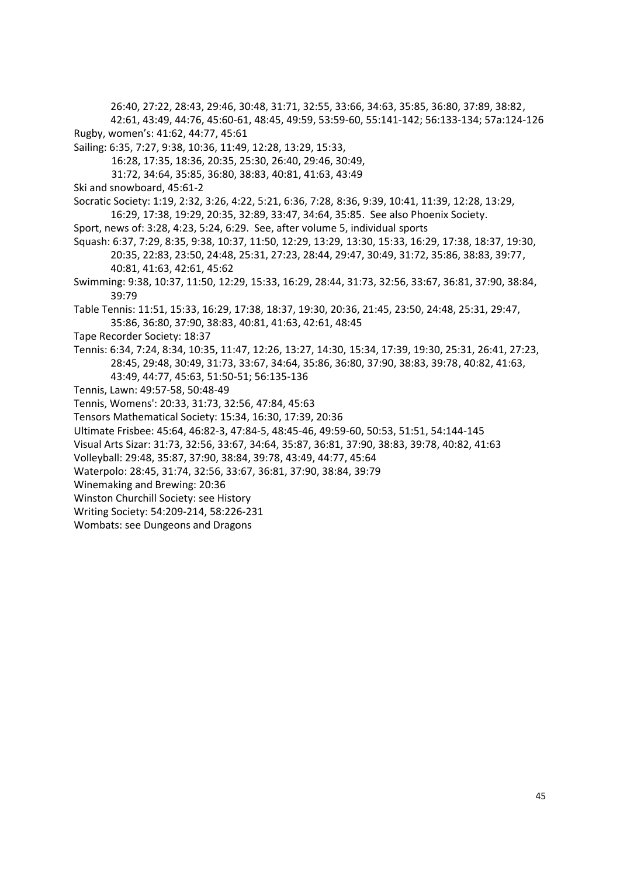26:40, 27:22, 28:43, 29:46, 30:48, 31:71, 32:55, 33:66, 34:63, 35:85, 36:80, 37:89, 38:82, 42:61, 43:49, 44:76, 45:60-61, 48:45, 49:59, 53:59-60, 55:141-142; 56:133-134; 57a:124-126 Rugby, women's: 41:62, 44:77, 45:61

Sailing: 6:35, 7:27, 9:38, 10:36, 11:49, 12:28, 13:29, 15:33,

16:28, 17:35, 18:36, 20:35, 25:30, 26:40, 29:46, 30:49,

31:72, 34:64, 35:85, 36:80, 38:83, 40:81, 41:63, 43:49

Ski and snowboard, 45:61-2

- Socratic Society: 1:19, 2:32, 3:26, 4:22, 5:21, 6:36, 7:28, 8:36, 9:39, 10:41, 11:39, 12:28, 13:29, 16:29, 17:38, 19:29, 20:35, 32:89, 33:47, 34:64, 35:85. See also Phoenix Society.
- Sport, news of: 3:28, 4:23, 5:24, 6:29. See, after volume 5, individual sports

Squash: 6:37, 7:29, 8:35, 9:38, 10:37, 11:50, 12:29, 13:29, 13:30, 15:33, 16:29, 17:38, 18:37, 19:30, 20:35, 22:83, 23:50, 24:48, 25:31, 27:23, 28:44, 29:47, 30:49, 31:72, 35:86, 38:83, 39:77, 40:81, 41:63, 42:61, 45:62

- Swimming: 9:38, 10:37, 11:50, 12:29, 15:33, 16:29, 28:44, 31:73, 32:56, 33:67, 36:81, 37:90, 38:84, 39:79
- Table Tennis: 11:51, 15:33, 16:29, 17:38, 18:37, 19:30, 20:36, 21:45, 23:50, 24:48, 25:31, 29:47, 35:86, 36:80, 37:90, 38:83, 40:81, 41:63, 42:61, 48:45
- Tape Recorder Society: 18:37
- Tennis: 6:34, 7:24, 8:34, 10:35, 11:47, 12:26, 13:27, 14:30, 15:34, 17:39, 19:30, 25:31, 26:41, 27:23, 28:45, 29:48, 30:49, 31:73, 33:67, 34:64, 35:86, 36:80, 37:90, 38:83, 39:78, 40:82, 41:63, 43:49, 44:77, 45:63, 51:50-51; 56:135-136
- Tennis, Lawn: 49:57-58, 50:48-49
- Tennis, Womens': 20:33, 31:73, 32:56, 47:84, 45:63
- Tensors Mathematical Society: 15:34, 16:30, 17:39, 20:36
- Ultimate Frisbee: 45:64, 46:82-3, 47:84-5, 48:45-46, 49:59-60, 50:53, 51:51, 54:144-145
- Visual Arts Sizar: 31:73, 32:56, 33:67, 34:64, 35:87, 36:81, 37:90, 38:83, 39:78, 40:82, 41:63
- Volleyball: 29:48, 35:87, 37:90, 38:84, 39:78, 43:49, 44:77, 45:64
- Waterpolo: 28:45, 31:74, 32:56, 33:67, 36:81, 37:90, 38:84, 39:79
- Winemaking and Brewing: 20:36
- Winston Churchill Society: see History
- Writing Society: 54:209-214, 58:226-231
- Wombats: see Dungeons and Dragons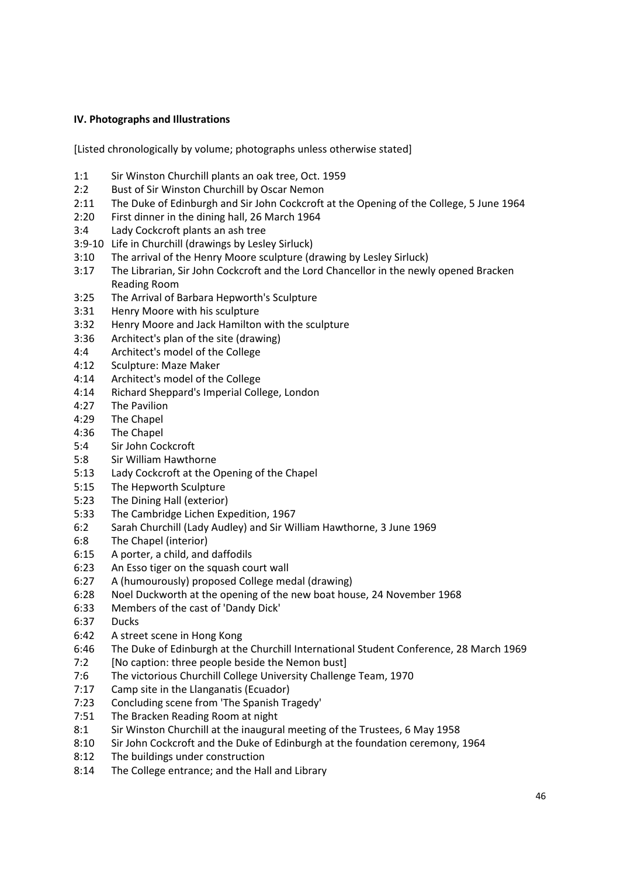#### <span id="page-45-0"></span>**IV. Photographs and Illustrations**

[Listed chronologically by volume; photographs unless otherwise stated]

- 1:1 Sir Winston Churchill plants an oak tree, Oct. 1959
- 2:2 Bust of Sir Winston Churchill by Oscar Nemon
- 2:11 The Duke of Edinburgh and Sir John Cockcroft at the Opening of the College, 5 June 1964
- 2:20 First dinner in the dining hall, 26 March 1964
- 3:4 Lady Cockcroft plants an ash tree
- 3:9-10 Life in Churchill (drawings by Lesley Sirluck)
- 3:10 The arrival of the Henry Moore sculpture (drawing by Lesley Sirluck)
- 3:17 The Librarian, Sir John Cockcroft and the Lord Chancellor in the newly opened Bracken Reading Room
- 3:25 The Arrival of Barbara Hepworth's Sculpture
- 3:31 Henry Moore with his sculpture
- 3:32 Henry Moore and Jack Hamilton with the sculpture
- 3:36 Architect's plan of the site (drawing)
- 4:4 Architect's model of the College
- 4:12 Sculpture: Maze Maker
- 4:14 Architect's model of the College
- 4:14 Richard Sheppard's Imperial College, London
- 4:27 The Pavilion
- 4:29 The Chapel
- 4:36 The Chapel
- 5:4 Sir John Cockcroft
- 5:8 Sir William Hawthorne
- 5:13 Lady Cockcroft at the Opening of the Chapel
- 5:15 The Hepworth Sculpture
- 5:23 The Dining Hall (exterior)
- 5:33 The Cambridge Lichen Expedition, 1967
- 6:2 Sarah Churchill (Lady Audley) and Sir William Hawthorne, 3 June 1969
- 6:8 The Chapel (interior)
- 6:15 A porter, a child, and daffodils
- 6:23 An Esso tiger on the squash court wall
- 6:27 A (humourously) proposed College medal (drawing)
- 6:28 Noel Duckworth at the opening of the new boat house, 24 November 1968
- 6:33 Members of the cast of 'Dandy Dick'
- 6:37 Ducks
- 6:42 A street scene in Hong Kong
- 6:46 The Duke of Edinburgh at the Churchill International Student Conference, 28 March 1969
- 7:2 [No caption: three people beside the Nemon bust]
- 7:6 The victorious Churchill College University Challenge Team, 1970
- 7:17 Camp site in the Llanganatis (Ecuador)
- 7:23 Concluding scene from 'The Spanish Tragedy'
- 7:51 The Bracken Reading Room at night
- 8:1 Sir Winston Churchill at the inaugural meeting of the Trustees, 6 May 1958
- 8:10 Sir John Cockcroft and the Duke of Edinburgh at the foundation ceremony, 1964
- 8:12 The buildings under construction
- 8:14 The College entrance; and the Hall and Library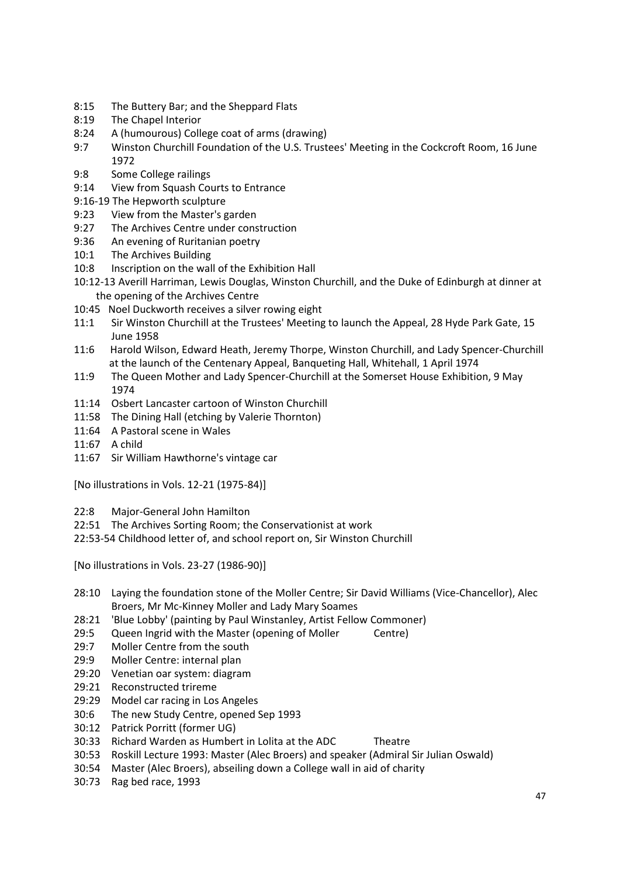- 8:15 The Buttery Bar; and the Sheppard Flats
- 8:19 The Chapel Interior
- 8:24 A (humourous) College coat of arms (drawing)
- 9:7 Winston Churchill Foundation of the U.S. Trustees' Meeting in the Cockcroft Room, 16 June 1972
- 9:8 Some College railings
- 9:14 View from Squash Courts to Entrance
- 9:16-19 The Hepworth sculpture
- 9:23 View from the Master's garden
- 9:27 The Archives Centre under construction
- 9:36 An evening of Ruritanian poetry
- 10:1 The Archives Building
- 10:8 Inscription on the wall of the Exhibition Hall
- 10:12-13 Averill Harriman, Lewis Douglas, Winston Churchill, and the Duke of Edinburgh at dinner at the opening of the Archives Centre
- 10:45 Noel Duckworth receives a silver rowing eight
- 11:1 Sir Winston Churchill at the Trustees' Meeting to launch the Appeal, 28 Hyde Park Gate, 15 June 1958
- 11:6 Harold Wilson, Edward Heath, Jeremy Thorpe, Winston Churchill, and Lady Spencer-Churchill at the launch of the Centenary Appeal, Banqueting Hall, Whitehall, 1 April 1974
- 11:9 The Queen Mother and Lady Spencer-Churchill at the Somerset House Exhibition, 9 May 1974
- 11:14 Osbert Lancaster cartoon of Winston Churchill
- 11:58 The Dining Hall (etching by Valerie Thornton)
- 11:64 A Pastoral scene in Wales
- 11:67 A child
- 11:67 Sir William Hawthorne's vintage car

[No illustrations in Vols. 12-21 (1975-84)]

- 22:8 Major-General John Hamilton
- 22:51 The Archives Sorting Room; the Conservationist at work
- 22:53-54 Childhood letter of, and school report on, Sir Winston Churchill

[No illustrations in Vols. 23-27 (1986-90)]

- 28:10 Laying the foundation stone of the Moller Centre; Sir David Williams (Vice-Chancellor), Alec Broers, Mr Mc-Kinney Moller and Lady Mary Soames
- 28:21 'Blue Lobby' (painting by Paul Winstanley, Artist Fellow Commoner)
- 29:5 Queen Ingrid with the Master (opening of Moller Centre)
- 29:7 Moller Centre from the south
- 29:9 Moller Centre: internal plan
- 29:20 Venetian oar system: diagram
- 29:21 Reconstructed trireme
- 29:29 Model car racing in Los Angeles
- 30:6 The new Study Centre, opened Sep 1993
- 30:12 Patrick Porritt (former UG)
- 30:33 Richard Warden as Humbert in Lolita at the ADC Theatre
- 30:53 Roskill Lecture 1993: Master (Alec Broers) and speaker (Admiral Sir Julian Oswald)
- 30:54 Master (Alec Broers), abseiling down a College wall in aid of charity
- 30:73 Rag bed race, 1993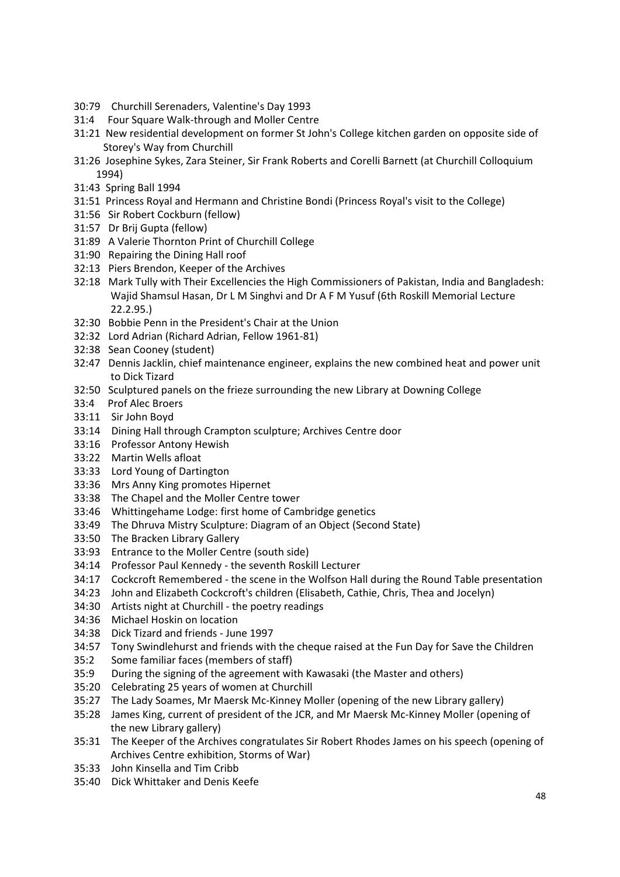- 30:79 Churchill Serenaders, Valentine's Day 1993
- 31:4 Four Square Walk-through and Moller Centre
- 31:21 New residential development on former St John's College kitchen garden on opposite side of Storey's Way from Churchill
- 31:26 Josephine Sykes, Zara Steiner, Sir Frank Roberts and Corelli Barnett (at Churchill Colloquium 1994)
- 31:43 Spring Ball 1994
- 31:51 Princess Royal and Hermann and Christine Bondi (Princess Royal's visit to the College)
- 31:56 Sir Robert Cockburn (fellow)
- 31:57 Dr Brij Gupta (fellow)
- 31:89 A Valerie Thornton Print of Churchill College
- 31:90 Repairing the Dining Hall roof
- 32:13 Piers Brendon, Keeper of the Archives
- 32:18 Mark Tully with Their Excellencies the High Commissioners of Pakistan, India and Bangladesh: Wajid Shamsul Hasan, Dr L M Singhvi and Dr A F M Yusuf (6th Roskill Memorial Lecture 22.2.95.)
- 32:30 Bobbie Penn in the President's Chair at the Union
- 32:32 Lord Adrian (Richard Adrian, Fellow 1961-81)
- 32:38 Sean Cooney (student)
- 32:47 Dennis Jacklin, chief maintenance engineer, explains the new combined heat and power unit to Dick Tizard
- 32:50 Sculptured panels on the frieze surrounding the new Library at Downing College
- 33:4 Prof Alec Broers
- 33:11 Sir John Boyd
- 33:14 Dining Hall through Crampton sculpture; Archives Centre door
- 33:16 Professor Antony Hewish
- 33:22 Martin Wells afloat
- 33:33 Lord Young of Dartington
- 33:36 Mrs Anny King promotes Hipernet
- 33:38 The Chapel and the Moller Centre tower
- 33:46 Whittingehame Lodge: first home of Cambridge genetics
- 33:49 The Dhruva Mistry Sculpture: Diagram of an Object (Second State)
- 33:50 The Bracken Library Gallery
- 33:93 Entrance to the Moller Centre (south side)
- 34:14 Professor Paul Kennedy the seventh Roskill Lecturer
- 34:17 Cockcroft Remembered the scene in the Wolfson Hall during the Round Table presentation
- 34:23 John and Elizabeth Cockcroft's children (Elisabeth, Cathie, Chris, Thea and Jocelyn)
- 34:30 Artists night at Churchill the poetry readings
- 34:36 Michael Hoskin on location
- 34:38 Dick Tizard and friends June 1997
- 34:57 Tony Swindlehurst and friends with the cheque raised at the Fun Day for Save the Children
- 35:2 Some familiar faces (members of staff)
- 35:9 During the signing of the agreement with Kawasaki (the Master and others)
- 35:20 Celebrating 25 years of women at Churchill
- 35:27 The Lady Soames, Mr Maersk Mc-Kinney Moller (opening of the new Library gallery)
- 35:28 James King, current of president of the JCR, and Mr Maersk Mc-Kinney Moller (opening of the new Library gallery)
- 35:31 The Keeper of the Archives congratulates Sir Robert Rhodes James on his speech (opening of Archives Centre exhibition, Storms of War)
- 35:33 John Kinsella and Tim Cribb
- 35:40 Dick Whittaker and Denis Keefe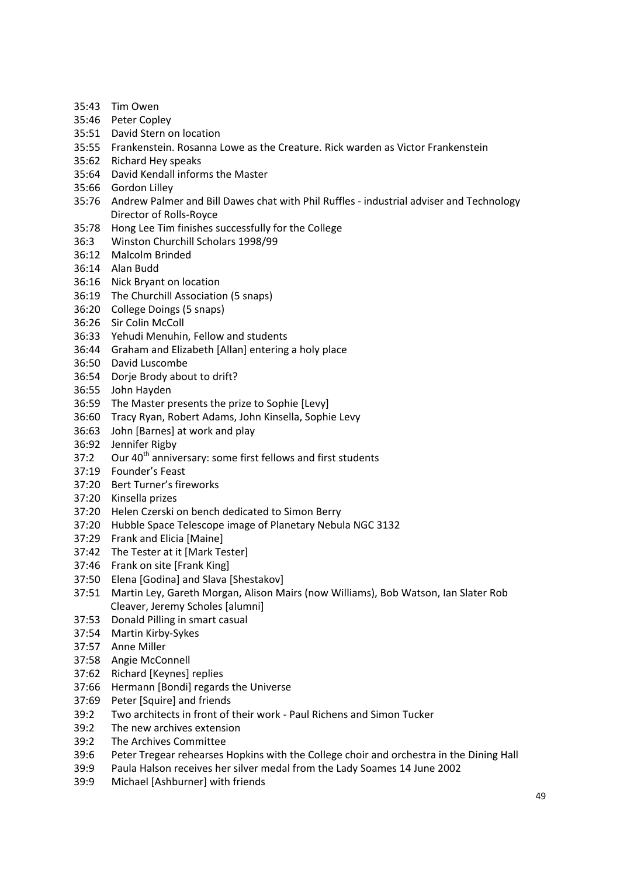- 35:43 Tim Owen
- 35:46 Peter Copley
- 35:51 David Stern on location
- 35:55 Frankenstein. Rosanna Lowe as the Creature. Rick warden as Victor Frankenstein
- 35:62 Richard Hey speaks
- 35:64 David Kendall informs the Master
- 35:66 Gordon Lilley
- 35:76 Andrew Palmer and Bill Dawes chat with Phil Ruffles industrial adviser and Technology Director of Rolls-Royce
- 35:78 Hong Lee Tim finishes successfully for the College
- 36:3 Winston Churchill Scholars 1998/99
- 36:12 Malcolm Brinded
- 36:14 Alan Budd
- 36:16 Nick Bryant on location
- 36:19 The Churchill Association (5 snaps)
- 36:20 College Doings (5 snaps)
- 36:26 Sir Colin McColl
- 36:33 Yehudi Menuhin, Fellow and students
- 36:44 Graham and Elizabeth [Allan] entering a holy place
- 36:50 David Luscombe
- 36:54 Dorje Brody about to drift?
- 36:55 John Hayden
- 36:59 The Master presents the prize to Sophie [Levy]
- 36:60 Tracy Ryan, Robert Adams, John Kinsella, Sophie Levy
- 36:63 John [Barnes] at work and play
- 36:92 Jennifer Rigby
- 37:2 Our  $40^{th}$  anniversary: some first fellows and first students
- 37:19 Founder's Feast
- 37:20 Bert Turner's fireworks
- 37:20 Kinsella prizes
- 37:20 Helen Czerski on bench dedicated to Simon Berry
- 37:20 Hubble Space Telescope image of Planetary Nebula NGC 3132
- 37:29 Frank and Elicia [Maine]
- 37:42 The Tester at it [Mark Tester]
- 37:46 Frank on site [Frank King]
- 37:50 Elena [Godina] and Slava [Shestakov]
- 37:51 Martin Ley, Gareth Morgan, Alison Mairs (now Williams), Bob Watson, Ian Slater Rob Cleaver, Jeremy Scholes [alumni]
- 37:53 Donald Pilling in smart casual
- 37:54 Martin Kirby-Sykes
- 37:57 Anne Miller
- 37:58 Angie McConnell
- 37:62 Richard [Keynes] replies
- 37:66 Hermann [Bondi] regards the Universe
- 37:69 Peter [Squire] and friends
- 39:2 Two architects in front of their work Paul Richens and Simon Tucker
- 39:2 The new archives extension
- 39:2 The Archives Committee
- 39:6 Peter Tregear rehearses Hopkins with the College choir and orchestra in the Dining Hall
- 39:9 Paula Halson receives her silver medal from the Lady Soames 14 June 2002
- 39:9 Michael [Ashburner] with friends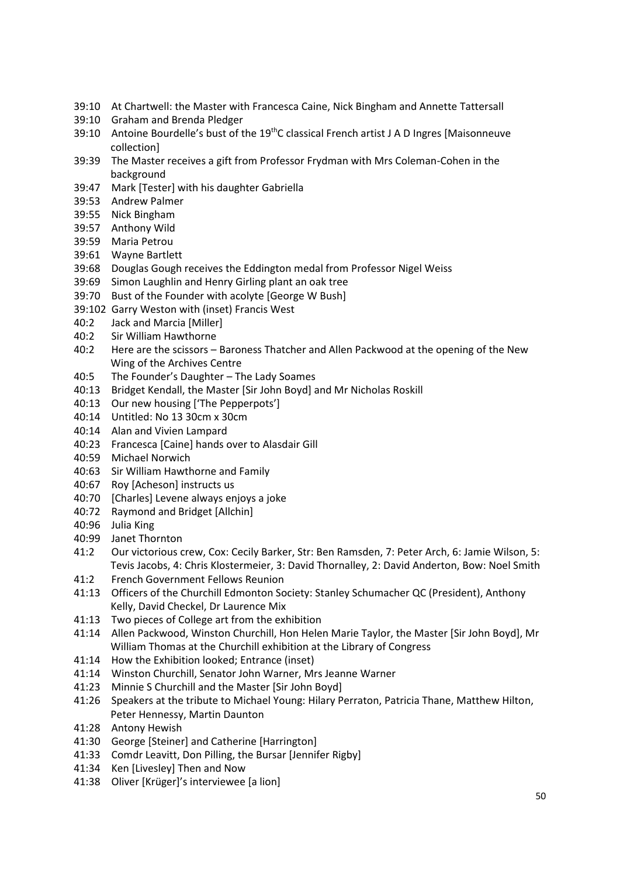- 39:10 At Chartwell: the Master with Francesca Caine, Nick Bingham and Annette Tattersall
- 39:10 Graham and Brenda Pledger
- 39:10 Antoine Bourdelle's bust of the  $19^{th}$ C classical French artist J A D Ingres [Maisonneuve collection]
- 39:39 The Master receives a gift from Professor Frydman with Mrs Coleman-Cohen in the background
- 39:47 Mark [Tester] with his daughter Gabriella
- 39:53 Andrew Palmer
- 39:55 Nick Bingham
- 39:57 Anthony Wild
- 39:59 Maria Petrou
- 39:61 Wayne Bartlett
- 39:68 Douglas Gough receives the Eddington medal from Professor Nigel Weiss
- 39:69 Simon Laughlin and Henry Girling plant an oak tree
- 39:70 Bust of the Founder with acolyte [George W Bush]
- 39:102 Garry Weston with (inset) Francis West
- 40:2 Jack and Marcia [Miller]
- 40:2 Sir William Hawthorne
- 40:2 Here are the scissors Baroness Thatcher and Allen Packwood at the opening of the New Wing of the Archives Centre
- 40:5 The Founder's Daughter The Lady Soames
- 40:13 Bridget Kendall, the Master [Sir John Boyd] and Mr Nicholas Roskill
- 40:13 Our new housing ['The Pepperpots']
- 40:14 Untitled: No 13 30cm x 30cm
- 40:14 Alan and Vivien Lampard
- 40:23 Francesca [Caine] hands over to Alasdair Gill
- 40:59 Michael Norwich
- 40:63 Sir William Hawthorne and Family
- 40:67 Roy [Acheson] instructs us
- 40:70 [Charles] Levene always enjoys a joke
- 40:72 Raymond and Bridget [Allchin]
- 40:96 Julia King
- 40:99 Janet Thornton
- 41:2 Our victorious crew, Cox: Cecily Barker, Str: Ben Ramsden, 7: Peter Arch, 6: Jamie Wilson, 5: Tevis Jacobs, 4: Chris Klostermeier, 3: David Thornalley, 2: David Anderton, Bow: Noel Smith
- 41:2 French Government Fellows Reunion
- 41:13 Officers of the Churchill Edmonton Society: Stanley Schumacher QC (President), Anthony Kelly, David Checkel, Dr Laurence Mix
- 41:13 Two pieces of College art from the exhibition
- 41:14 Allen Packwood, Winston Churchill, Hon Helen Marie Taylor, the Master [Sir John Boyd], Mr William Thomas at the Churchill exhibition at the Library of Congress
- 41:14 How the Exhibition looked; Entrance (inset)
- 41:14 Winston Churchill, Senator John Warner, Mrs Jeanne Warner
- 41:23 Minnie S Churchill and the Master [Sir John Boyd]
- 41:26 Speakers at the tribute to Michael Young: Hilary Perraton, Patricia Thane, Matthew Hilton, Peter Hennessy, Martin Daunton
- 41:28 Antony Hewish
- 41:30 George [Steiner] and Catherine [Harrington]
- 41:33 Comdr Leavitt, Don Pilling, the Bursar [Jennifer Rigby]
- 41:34 Ken [Livesley] Then and Now
- 41:38 Oliver [Krüger]'s interviewee [a lion]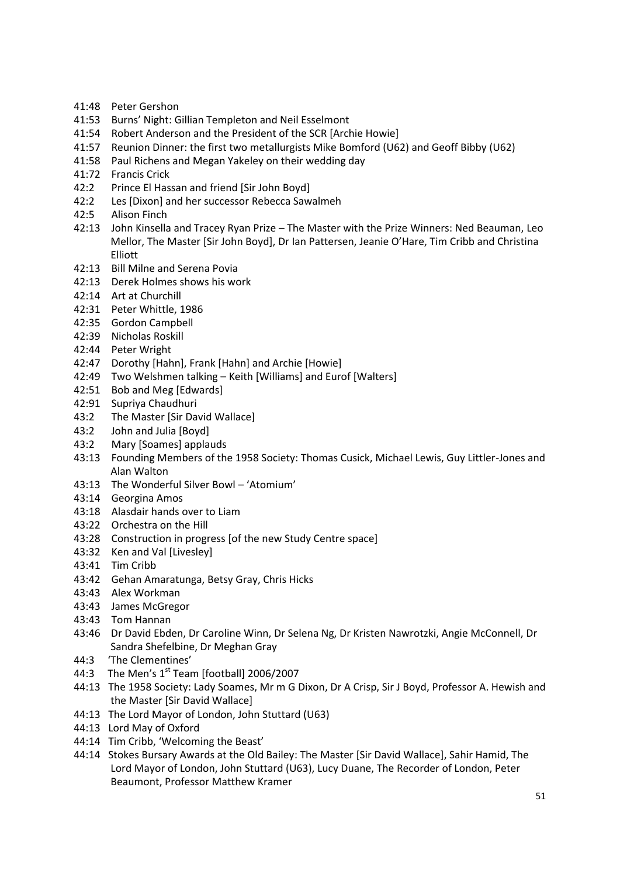- 41:48 Peter Gershon
- 41:53 Burns' Night: Gillian Templeton and Neil Esselmont
- 41:54 Robert Anderson and the President of the SCR [Archie Howie]
- 41:57 Reunion Dinner: the first two metallurgists Mike Bomford (U62) and Geoff Bibby (U62)
- 41:58 Paul Richens and Megan Yakeley on their wedding day
- 41:72 Francis Crick
- 42:2 Prince El Hassan and friend [Sir John Boyd]
- 42:2 Les [Dixon] and her successor Rebecca Sawalmeh
- 42:5 Alison Finch
- 42:13 John Kinsella and Tracey Ryan Prize The Master with the Prize Winners: Ned Beauman, Leo Mellor, The Master [Sir John Boyd], Dr Ian Pattersen, Jeanie O'Hare, Tim Cribb and Christina Elliott
- 42:13 Bill Milne and Serena Povia
- 42:13 Derek Holmes shows his work
- 42:14 Art at Churchill
- 42:31 Peter Whittle, 1986
- 42:35 Gordon Campbell
- 42:39 Nicholas Roskill
- 42:44 Peter Wright
- 42:47 Dorothy [Hahn], Frank [Hahn] and Archie [Howie]
- 42:49 Two Welshmen talking Keith [Williams] and Eurof [Walters]
- 42:51 Bob and Meg [Edwards]
- 42:91 Supriya Chaudhuri
- 43:2 The Master [Sir David Wallace]
- 43:2 John and Julia [Boyd]
- 43:2 Mary [Soames] applauds
- 43:13 Founding Members of the 1958 Society: Thomas Cusick, Michael Lewis, Guy Littler-Jones and Alan Walton
- 43:13 The Wonderful Silver Bowl 'Atomium'
- 43:14 Georgina Amos
- 43:18 Alasdair hands over to Liam
- 43:22 Orchestra on the Hill
- 43:28 Construction in progress [of the new Study Centre space]
- 43:32 Ken and Val [Livesley]
- 43:41 Tim Cribb
- 43:42 Gehan Amaratunga, Betsy Gray, Chris Hicks
- 43:43 Alex Workman
- 43:43 James McGregor
- 43:43 Tom Hannan
- 43:46 Dr David Ebden, Dr Caroline Winn, Dr Selena Ng, Dr Kristen Nawrotzki, Angie McConnell, Dr Sandra Shefelbine, Dr Meghan Gray
- 44:3 'The Clementines'
- 44:3 The Men's  $1<sup>st</sup>$  Team [football] 2006/2007
- 44:13 The 1958 Society: Lady Soames, Mr m G Dixon, Dr A Crisp, Sir J Boyd, Professor A. Hewish and the Master [Sir David Wallace]
- 44:13 The Lord Mayor of London, John Stuttard (U63)
- 44:13 Lord May of Oxford
- 44:14 Tim Cribb, 'Welcoming the Beast'
- 44:14 Stokes Bursary Awards at the Old Bailey: The Master [Sir David Wallace], Sahir Hamid, The Lord Mayor of London, John Stuttard (U63), Lucy Duane, The Recorder of London, Peter Beaumont, Professor Matthew Kramer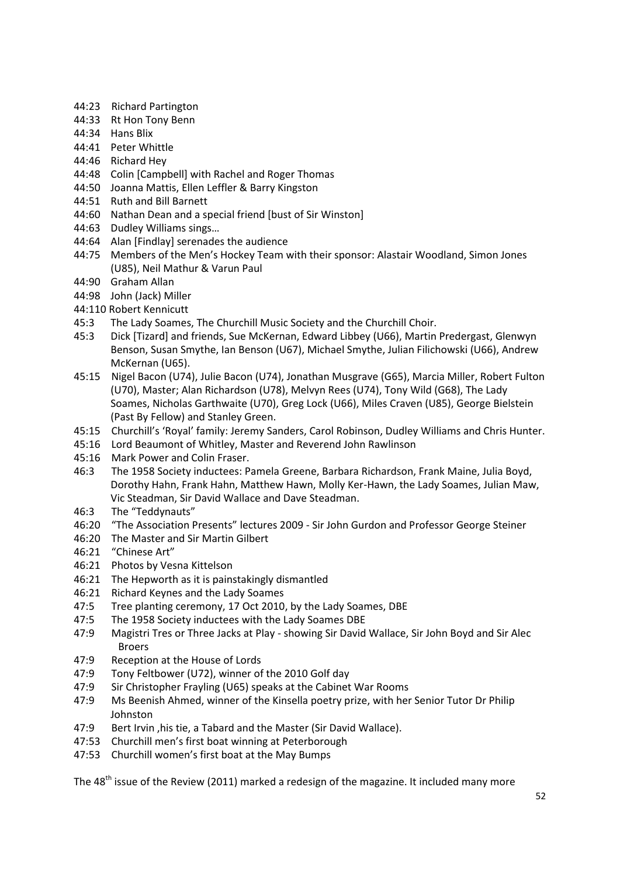- 44:23 Richard Partington
- 44:33 Rt Hon Tony Benn
- 44:34 Hans Blix
- 44:41 Peter Whittle
- 44:46 Richard Hey
- 44:48 Colin [Campbell] with Rachel and Roger Thomas
- 44:50 Joanna Mattis, Ellen Leffler & Barry Kingston
- 44:51 Ruth and Bill Barnett
- 44:60 Nathan Dean and a special friend [bust of Sir Winston]
- 44:63 Dudley Williams sings…
- 44:64 Alan [Findlay] serenades the audience
- 44:75 Members of the Men's Hockey Team with their sponsor: Alastair Woodland, Simon Jones (U85), Neil Mathur & Varun Paul
- 44:90 Graham Allan
- 44:98 John (Jack) Miller
- 44:110 Robert Kennicutt
- 45:3 The Lady Soames, The Churchill Music Society and the Churchill Choir.
- 45:3 Dick [Tizard] and friends, Sue McKernan, Edward Libbey (U66), Martin Predergast, Glenwyn Benson, Susan Smythe, Ian Benson (U67), Michael Smythe, Julian Filichowski (U66), Andrew McKernan (U65).
- 45:15 Nigel Bacon (U74), Julie Bacon (U74), Jonathan Musgrave (G65), Marcia Miller, Robert Fulton (U70), Master; Alan Richardson (U78), Melvyn Rees (U74), Tony Wild (G68), The Lady Soames, Nicholas Garthwaite (U70), Greg Lock (U66), Miles Craven (U85), George Bielstein (Past By Fellow) and Stanley Green.
- 45:15 Churchill's 'Royal' family: Jeremy Sanders, Carol Robinson, Dudley Williams and Chris Hunter.
- 45:16 Lord Beaumont of Whitley, Master and Reverend John Rawlinson
- 45:16 Mark Power and Colin Fraser.
- 46:3 The 1958 Society inductees: Pamela Greene, Barbara Richardson, Frank Maine, Julia Boyd, Dorothy Hahn, Frank Hahn, Matthew Hawn, Molly Ker-Hawn, the Lady Soames, Julian Maw, Vic Steadman, Sir David Wallace and Dave Steadman.
- 46:3 The "Teddynauts"
- 46:20 "The Association Presents" lectures 2009 Sir John Gurdon and Professor George Steiner
- 46:20 The Master and Sir Martin Gilbert
- 46:21 "Chinese Art"
- 46:21 Photos by Vesna Kittelson
- 46:21 The Hepworth as it is painstakingly dismantled
- 46:21 Richard Keynes and the Lady Soames
- 47:5 Tree planting ceremony, 17 Oct 2010, by the Lady Soames, DBE
- 47:5 The 1958 Society inductees with the Lady Soames DBE
- 47:9 Magistri Tres or Three Jacks at Play showing Sir David Wallace, Sir John Boyd and Sir Alec **Broers**
- 47:9 Reception at the House of Lords
- 47:9 Tony Feltbower (U72), winner of the 2010 Golf day
- 47:9 Sir Christopher Frayling (U65) speaks at the Cabinet War Rooms
- 47:9 Ms Beenish Ahmed, winner of the Kinsella poetry prize, with her Senior Tutor Dr Philip Johnston
- 47:9 Bert Irvin ,his tie, a Tabard and the Master (Sir David Wallace).
- 47:53 Churchill men's first boat winning at Peterborough
- 47:53 Churchill women's first boat at the May Bumps

The 48<sup>th</sup> issue of the Review (2011) marked a redesign of the magazine. It included many more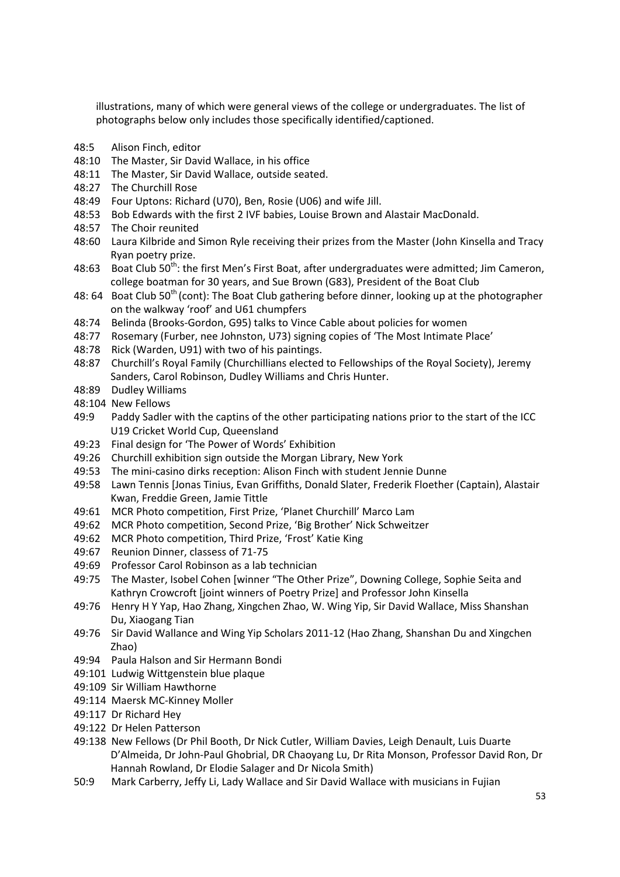illustrations, many of which were general views of the college or undergraduates. The list of photographs below only includes those specifically identified/captioned.

- 48:5 Alison Finch, editor
- 48:10 The Master, Sir David Wallace, in his office
- 48:11 The Master, Sir David Wallace, outside seated.
- 48:27 The Churchill Rose
- 48:49 Four Uptons: Richard (U70), Ben, Rosie (U06) and wife Jill.
- 48:53 Bob Edwards with the first 2 IVF babies, Louise Brown and Alastair MacDonald.
- 48:57 The Choir reunited
- 48:60 Laura Kilbride and Simon Ryle receiving their prizes from the Master (John Kinsella and Tracy Ryan poetry prize.
- 48:63 Boat Club 50<sup>th</sup>: the first Men's First Boat, after undergraduates were admitted; Jim Cameron, college boatman for 30 years, and Sue Brown (G83), President of the Boat Club
- 48: 64 Boat Club 50<sup>th</sup> (cont): The Boat Club gathering before dinner, looking up at the photographer on the walkway 'roof' and U61 chumpfers
- 48:74 Belinda (Brooks-Gordon, G95) talks to Vince Cable about policies for women
- 48:77 Rosemary (Furber, nee Johnston, U73) signing copies of 'The Most Intimate Place'
- 48:78 Rick (Warden, U91) with two of his paintings.
- 48:87 Churchill's Royal Family (Churchillians elected to Fellowships of the Royal Society), Jeremy Sanders, Carol Robinson, Dudley Williams and Chris Hunter.
- 48:89 Dudley Williams
- 48:104 New Fellows
- 49:9 Paddy Sadler with the captins of the other participating nations prior to the start of the ICC U19 Cricket World Cup, Queensland
- 49:23 Final design for 'The Power of Words' Exhibition
- 49:26 Churchill exhibition sign outside the Morgan Library, New York
- 49:53 The mini-casino dirks reception: Alison Finch with student Jennie Dunne
- 49:58 Lawn Tennis [Jonas Tinius, Evan Griffiths, Donald Slater, Frederik Floether (Captain), Alastair Kwan, Freddie Green, Jamie Tittle
- 49:61 MCR Photo competition, First Prize, 'Planet Churchill' Marco Lam
- 49:62 MCR Photo competition, Second Prize, 'Big Brother' Nick Schweitzer
- 49:62 MCR Photo competition, Third Prize, 'Frost' Katie King
- 49:67 Reunion Dinner, classess of 71-75
- 49:69 Professor Carol Robinson as a lab technician
- 49:75 The Master, Isobel Cohen [winner "The Other Prize", Downing College, Sophie Seita and Kathryn Crowcroft [joint winners of Poetry Prize] and Professor John Kinsella
- 49:76 Henry H Y Yap, Hao Zhang, Xingchen Zhao, W. Wing Yip, Sir David Wallace, Miss Shanshan Du, Xiaogang Tian
- 49:76 Sir David Wallance and Wing Yip Scholars 2011-12 (Hao Zhang, Shanshan Du and Xingchen Zhao)
- 49:94 Paula Halson and Sir Hermann Bondi
- 49:101 Ludwig Wittgenstein blue plaque
- 49:109 Sir William Hawthorne
- 49:114 Maersk MC-Kinney Moller
- 49:117 Dr Richard Hey
- 49:122 Dr Helen Patterson
- 49:138 New Fellows (Dr Phil Booth, Dr Nick Cutler, William Davies, Leigh Denault, Luis Duarte D'Almeida, Dr John-Paul Ghobrial, DR Chaoyang Lu, Dr Rita Monson, Professor David Ron, Dr Hannah Rowland, Dr Elodie Salager and Dr Nicola Smith)
- 50:9 Mark Carberry, Jeffy Li, Lady Wallace and Sir David Wallace with musicians in Fujian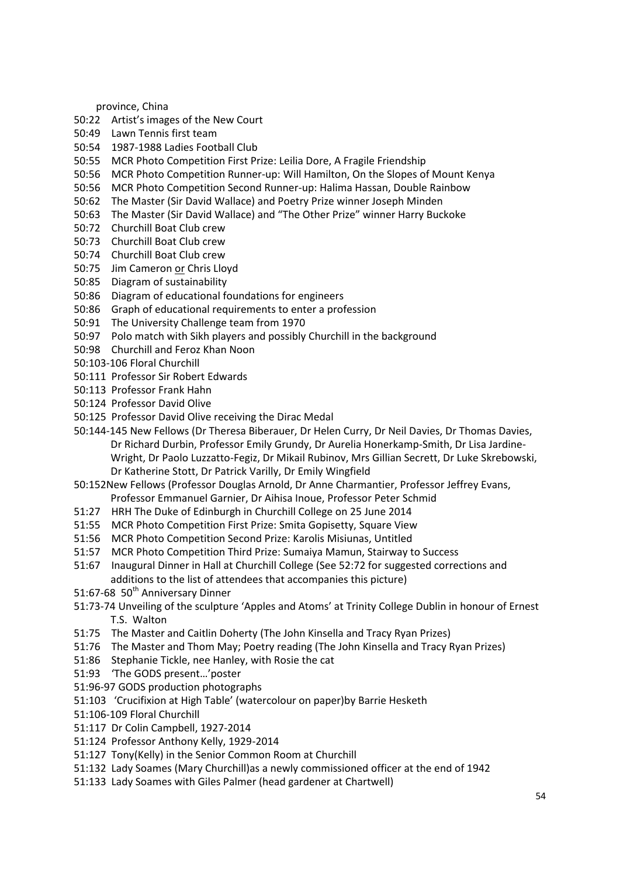province, China

- 50:22 Artist's images of the New Court
- 50:49 Lawn Tennis first team
- 50:54 1987-1988 Ladies Football Club
- 50:55 MCR Photo Competition First Prize: Leilia Dore, A Fragile Friendship
- 50:56 MCR Photo Competition Runner-up: Will Hamilton, On the Slopes of Mount Kenya
- 50:56 MCR Photo Competition Second Runner-up: Halima Hassan, Double Rainbow
- 50:62 The Master (Sir David Wallace) and Poetry Prize winner Joseph Minden
- 50:63 The Master (Sir David Wallace) and "The Other Prize" winner Harry Buckoke
- 50:72 Churchill Boat Club crew
- 50:73 Churchill Boat Club crew
- 50:74 Churchill Boat Club crew
- 50:75 Jim Cameron or Chris Lloyd
- 50:85 Diagram of sustainability
- 50:86 Diagram of educational foundations for engineers
- 50:86 Graph of educational requirements to enter a profession
- 50:91 The University Challenge team from 1970
- 50:97 Polo match with Sikh players and possibly Churchill in the background
- 50:98 Churchill and Feroz Khan Noon
- 50:103-106 Floral Churchill
- 50:111 Professor Sir Robert Edwards
- 50:113 Professor Frank Hahn
- 50:124 Professor David Olive
- 50:125 Professor David Olive receiving the Dirac Medal
- 50:144-145 New Fellows (Dr Theresa Biberauer, Dr Helen Curry, Dr Neil Davies, Dr Thomas Davies, Dr Richard Durbin, Professor Emily Grundy, Dr Aurelia Honerkamp-Smith, Dr Lisa Jardine-Wright, Dr Paolo Luzzatto-Fegiz, Dr Mikail Rubinov, Mrs Gillian Secrett, Dr Luke Skrebowski, Dr Katherine Stott, Dr Patrick Varilly, Dr Emily Wingfield
- 50:152New Fellows (Professor Douglas Arnold, Dr Anne Charmantier, Professor Jeffrey Evans, Professor Emmanuel Garnier, Dr Aihisa Inoue, Professor Peter Schmid
- 51:27 HRH The Duke of Edinburgh in Churchill College on 25 June 2014
- 51:55 MCR Photo Competition First Prize: Smita Gopisetty, Square View
- 51:56 MCR Photo Competition Second Prize: Karolis Misiunas, Untitled
- 51:57 MCR Photo Competition Third Prize: Sumaiya Mamun, Stairway to Success
- 51:67 Inaugural Dinner in Hall at Churchill College (See 52:72 for suggested corrections and additions to the list of attendees that accompanies this picture)
- 51:67-68 50<sup>th</sup> Anniversary Dinner
- 51:73-74 Unveiling of the sculpture 'Apples and Atoms' at Trinity College Dublin in honour of Ernest T.S. Walton
- 51:75 The Master and Caitlin Doherty (The John Kinsella and Tracy Ryan Prizes)
- 51:76 The Master and Thom May; Poetry reading (The John Kinsella and Tracy Ryan Prizes)
- 51:86 Stephanie Tickle, nee Hanley, with Rosie the cat
- 51:93 'The GODS present…'poster
- 51:96-97 GODS production photographs
- 51:103 'Crucifixion at High Table' (watercolour on paper)by Barrie Hesketh
- 51:106-109 Floral Churchill
- 51:117 Dr Colin Campbell, 1927-2014
- 51:124 Professor Anthony Kelly, 1929-2014
- 51:127 Tony(Kelly) in the Senior Common Room at Churchill
- 51:132 Lady Soames (Mary Churchill)as a newly commissioned officer at the end of 1942
- 51:133 Lady Soames with Giles Palmer (head gardener at Chartwell)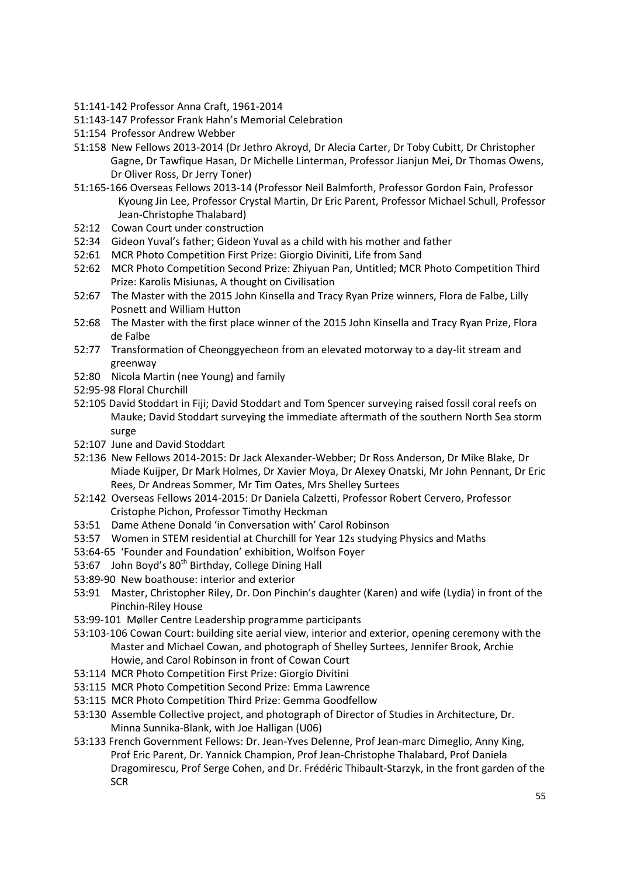- 51:141-142 Professor Anna Craft, 1961-2014
- 51:143-147 Professor Frank Hahn's Memorial Celebration
- 51:154 Professor Andrew Webber
- 51:158 New Fellows 2013-2014 (Dr Jethro Akroyd, Dr Alecia Carter, Dr Toby Cubitt, Dr Christopher Gagne, Dr Tawfique Hasan, Dr Michelle Linterman, Professor Jianjun Mei, Dr Thomas Owens, Dr Oliver Ross, Dr Jerry Toner)
- 51:165-166 Overseas Fellows 2013-14 (Professor Neil Balmforth, Professor Gordon Fain, Professor Kyoung Jin Lee, Professor Crystal Martin, Dr Eric Parent, Professor Michael Schull, Professor Jean-Christophe Thalabard)
- 52:12 Cowan Court under construction
- 52:34 Gideon Yuval's father; Gideon Yuval as a child with his mother and father
- 52:61 MCR Photo Competition First Prize: Giorgio Diviniti, Life from Sand
- 52:62 MCR Photo Competition Second Prize: Zhiyuan Pan, Untitled; MCR Photo Competition Third Prize: Karolis Misiunas, A thought on Civilisation
- 52:67 The Master with the 2015 John Kinsella and Tracy Ryan Prize winners, Flora de Falbe, Lilly Posnett and William Hutton
- 52:68 The Master with the first place winner of the 2015 John Kinsella and Tracy Ryan Prize, Flora de Falbe
- 52:77 Transformation of Cheonggyecheon from an elevated motorway to a day-lit stream and greenway
- 52:80 Nicola Martin (nee Young) and family
- 52:95-98 Floral Churchill
- 52:105 David Stoddart in Fiji; David Stoddart and Tom Spencer surveying raised fossil coral reefs on Mauke; David Stoddart surveying the immediate aftermath of the southern North Sea storm surge
- 52:107 June and David Stoddart
- 52:136 New Fellows 2014-2015: Dr Jack Alexander-Webber; Dr Ross Anderson, Dr Mike Blake, Dr Miade Kuijper, Dr Mark Holmes, Dr Xavier Moya, Dr Alexey Onatski, Mr John Pennant, Dr Eric Rees, Dr Andreas Sommer, Mr Tim Oates, Mrs Shelley Surtees
- 52:142 Overseas Fellows 2014-2015: Dr Daniela Calzetti, Professor Robert Cervero, Professor Cristophe Pichon, Professor Timothy Heckman
- 53:51 Dame Athene Donald 'in Conversation with' Carol Robinson
- 53:57 Women in STEM residential at Churchill for Year 12s studying Physics and Maths
- 53:64-65 'Founder and Foundation' exhibition, Wolfson Foyer
- 53:67 John Boyd's 80<sup>th</sup> Birthday, College Dining Hall
- 53:89-90 New boathouse: interior and exterior
- 53:91 Master, Christopher Riley, Dr. Don Pinchin's daughter (Karen) and wife (Lydia) in front of the Pinchin-Riley House
- 53:99-101 Møller Centre Leadership programme participants
- 53:103-106 Cowan Court: building site aerial view, interior and exterior, opening ceremony with the Master and Michael Cowan, and photograph of Shelley Surtees, Jennifer Brook, Archie Howie, and Carol Robinson in front of Cowan Court
- 53:114 MCR Photo Competition First Prize: Giorgio Divitini
- 53:115 MCR Photo Competition Second Prize: Emma Lawrence
- 53:115 MCR Photo Competition Third Prize: Gemma Goodfellow
- 53:130 Assemble Collective project, and photograph of Director of Studies in Architecture, Dr. Minna Sunnika-Blank, with Joe Halligan (U06)
- 53:133 French Government Fellows: Dr. Jean-Yves Delenne, Prof Jean-marc Dimeglio, Anny King, Prof Eric Parent, Dr. Yannick Champion, Prof Jean-Christophe Thalabard, Prof Daniela Dragomirescu, Prof Serge Cohen, and Dr. Frédéric Thibault-Starzyk, in the front garden of the **SCR**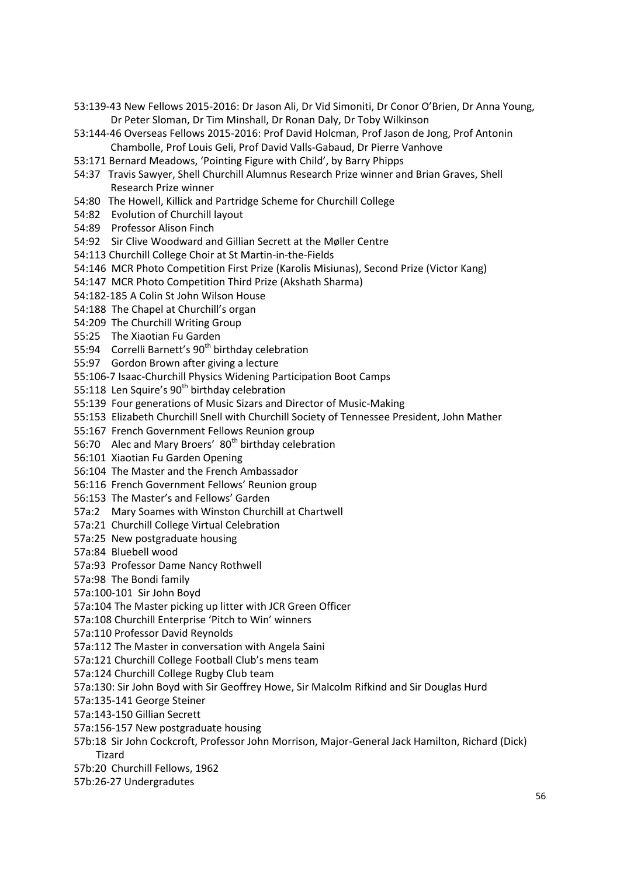- 53:139-43 New Fellows 2015-2016: Dr Jason Ali, Dr Vid Simoniti, Dr Conor O'Brien, Dr Anna Young, Dr Peter Sloman, Dr Tim Minshall, Dr Ronan Daly, Dr Toby Wilkinson
- 53:144-46 Overseas Fellows 2015-2016: Prof David Holcman, Prof Jason de Jong, Prof Antonin Chambolle, Prof Louis Geli, Prof David Valls-Gabaud, Dr Pierre Vanhove
- 53:171 Bernard Meadows, 'Pointing Figure with Child', by Barry Phipps
- 54:37 Travis Sawyer, Shell Churchill Alumnus Research Prize winner and Brian Graves, Shell Research Prize winner
- 54:80 The Howell, Killick and Partridge Scheme for Churchill College
- 54:82 Evolution of Churchill layout
- 54:89 Professor Alison Finch
- 54:92 Sir Clive Woodward and Gillian Secrett at the Møller Centre
- 54:113 Churchill College Choir at St Martin-in-the-Fields
- 54:146 MCR Photo Competition First Prize (Karolis Misiunas), Second Prize (Victor Kang)
- 54:147 MCR Photo Competition Third Prize (Akshath Sharma)
- 54:182-185 A Colin St John Wilson House
- 54:188 The Chapel at Churchill's organ
- 54:209 The Churchill Writing Group
- 55:25 The Xiaotian Fu Garden
- 55:94 Correlli Barnett's 90<sup>th</sup> birthday celebration
- 55:97 Gordon Brown after giving a lecture
- 55:106-7 Isaac-Churchill Physics Widening Participation Boot Camps
- 55:118 Len Squire's  $90<sup>th</sup>$  birthday celebration
- 55:139 Four generations of Music Sizars and Director of Music-Making
- 55:153 Elizabeth Churchill Snell with Churchill Society of Tennessee President, John Mather
- 55:167 French Government Fellows Reunion group
- 56:70 Alec and Mary Broers' 80<sup>th</sup> birthday celebration
- 56:101 Xiaotian Fu Garden Opening
- 56:104 The Master and the French Ambassador
- 56:116 French Government Fellows' Reunion group
- 56:153 The Master's and Fellows' Garden
- 57a:2 Mary Soames with Winston Churchill at Chartwell
- 57a:21 Churchill College Virtual Celebration
- 57a:25 New postgraduate housing
- 57a:84 Bluebell wood
- 57a:93 Professor Dame Nancy Rothwell
- 57a:98 The Bondi family
- 57a:100-101 Sir John Boyd
- 57a:104 The Master picking up litter with JCR Green Officer
- 57a:108 Churchill Enterprise 'Pitch to Win' winners
- 57a:110 Professor David Reynolds
- 57a:112 The Master in conversation with Angela Saini
- 57a:121 Churchill College Football Club's mens team
- 57a:124 Churchill College Rugby Club team
- 57a:130: Sir John Boyd with Sir Geoffrey Howe, Sir Malcolm Rifkind and Sir Douglas Hurd
- 57a:135-141 George Steiner
- 57a:143-150 Gillian Secrett
- 57a:156-157 New postgraduate housing
- 57b:18 Sir John Cockcroft, Professor John Morrison, Major-General Jack Hamilton, Richard (Dick) Tizard
- 57b:20 Churchill Fellows, 1962
- 57b:26-27 Undergradutes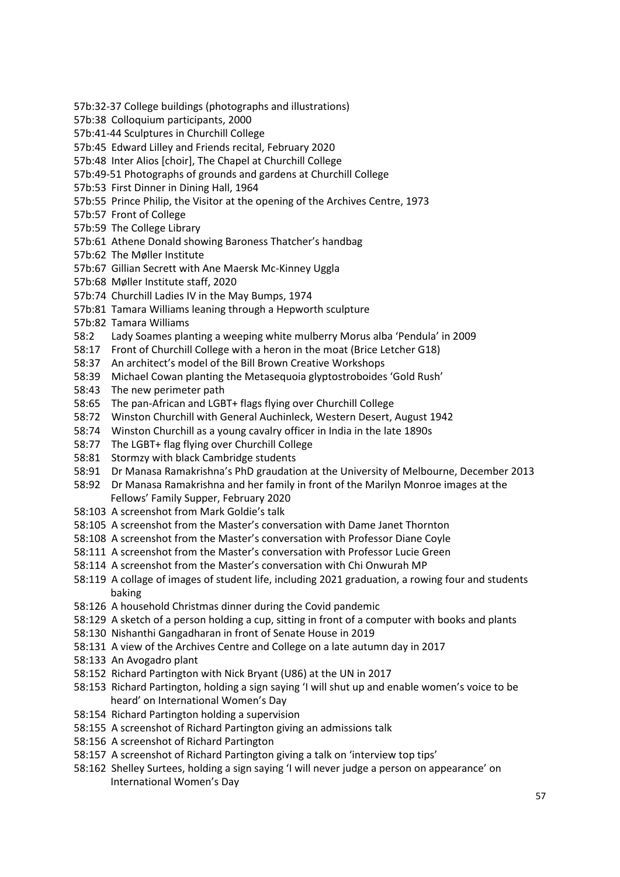- 57b:32-37 College buildings (photographs and illustrations)
- 57b:38 Colloquium participants, 2000
- 57b:41-44 Sculptures in Churchill College
- 57b:45 Edward Lilley and Friends recital, February 2020
- 57b:48 Inter Alios [choir], The Chapel at Churchill College
- 57b:49-51 Photographs of grounds and gardens at Churchill College
- 57b:53 First Dinner in Dining Hall, 1964
- 57b:55 Prince Philip, the Visitor at the opening of the Archives Centre, 1973
- 57b:57 Front of College
- 57b:59 The College Library
- 57b:61 Athene Donald showing Baroness Thatcher's handbag
- 57b:62 The Møller Institute
- 57b:67 Gillian Secrett with Ane Maersk Mc-Kinney Uggla
- 57b:68 Møller Institute staff, 2020
- 57b:74 Churchill Ladies IV in the May Bumps, 1974
- 57b:81 Tamara Williams leaning through a Hepworth sculpture
- 57b:82 Tamara Williams
- 58:2 Lady Soames planting a weeping white mulberry Morus alba 'Pendula' in 2009
- 58:17 Front of Churchill College with a heron in the moat (Brice Letcher G18)
- 58:37 An architect's model of the Bill Brown Creative Workshops
- 58:39 Michael Cowan planting the Metasequoia glyptostroboides 'Gold Rush'
- 58:43 The new perimeter path
- 58:65 The pan-African and LGBT+ flags flying over Churchill College
- 58:72 Winston Churchill with General Auchinleck, Western Desert, August 1942
- 58:74 Winston Churchill as a young cavalry officer in India in the late 1890s
- 58:77 The LGBT+ flag flying over Churchill College
- 58:81 Stormzy with black Cambridge students
- 58:91 Dr Manasa Ramakrishna's PhD graudation at the University of Melbourne, December 2013
- 58:92 Dr Manasa Ramakrishna and her family in front of the Marilyn Monroe images at the Fellows' Family Supper, February 2020
- 58:103 A screenshot from Mark Goldie's talk
- 58:105 A screenshot from the Master's conversation with Dame Janet Thornton
- 58:108 A screenshot from the Master's conversation with Professor Diane Coyle
- 58:111 A screenshot from the Master's conversation with Professor Lucie Green
- 58:114 A screenshot from the Master's conversation with Chi Onwurah MP
- 58:119 A collage of images of student life, including 2021 graduation, a rowing four and students baking
- 58:126 A household Christmas dinner during the Covid pandemic
- 58:129 A sketch of a person holding a cup, sitting in front of a computer with books and plants
- 58:130 Nishanthi Gangadharan in front of Senate House in 2019
- 58:131 A view of the Archives Centre and College on a late autumn day in 2017
- 58:133 An Avogadro plant
- 58:152 Richard Partington with Nick Bryant (U86) at the UN in 2017
- 58:153 Richard Partington, holding a sign saying 'I will shut up and enable women's voice to be heard' on International Women's Day
- 58:154 Richard Partington holding a supervision
- 58:155 A screenshot of Richard Partington giving an admissions talk
- 58:156 A screenshot of Richard Partington
- 58:157 A screenshot of Richard Partington giving a talk on 'interview top tips'
- 58:162 Shelley Surtees, holding a sign saying 'I will never judge a person on appearance' on International Women's Day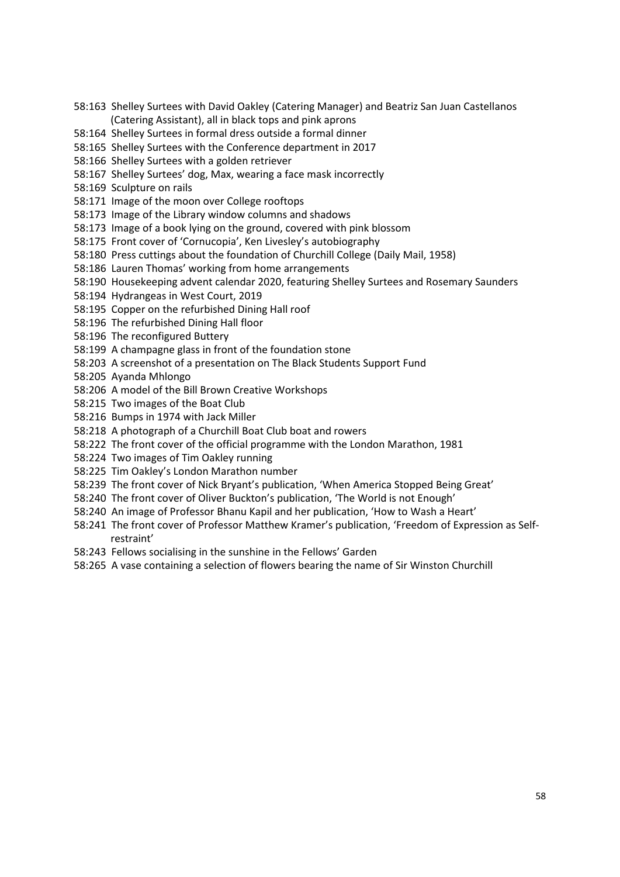- 58:163 Shelley Surtees with David Oakley (Catering Manager) and Beatriz San Juan Castellanos (Catering Assistant), all in black tops and pink aprons
- 58:164 Shelley Surtees in formal dress outside a formal dinner
- 58:165 Shelley Surtees with the Conference department in 2017
- 58:166 Shelley Surtees with a golden retriever
- 58:167 Shelley Surtees' dog, Max, wearing a face mask incorrectly
- 58:169 Sculpture on rails
- 58:171 Image of the moon over College rooftops
- 58:173 Image of the Library window columns and shadows
- 58:173 Image of a book lying on the ground, covered with pink blossom
- 58:175 Front cover of 'Cornucopia', Ken Livesley's autobiography
- 58:180 Press cuttings about the foundation of Churchill College (Daily Mail, 1958)
- 58:186 Lauren Thomas' working from home arrangements
- 58:190 Housekeeping advent calendar 2020, featuring Shelley Surtees and Rosemary Saunders
- 58:194 Hydrangeas in West Court, 2019
- 58:195 Copper on the refurbished Dining Hall roof
- 58:196 The refurbished Dining Hall floor
- 58:196 The reconfigured Buttery
- 58:199 A champagne glass in front of the foundation stone
- 58:203 A screenshot of a presentation on The Black Students Support Fund
- 58:205 Ayanda Mhlongo
- 58:206 A model of the Bill Brown Creative Workshops
- 58:215 Two images of the Boat Club
- 58:216 Bumps in 1974 with Jack Miller
- 58:218 A photograph of a Churchill Boat Club boat and rowers
- 58:222 The front cover of the official programme with the London Marathon, 1981
- 58:224 Two images of Tim Oakley running
- 58:225 Tim Oakley's London Marathon number
- 58:239 The front cover of Nick Bryant's publication, 'When America Stopped Being Great'
- 58:240 The front cover of Oliver Buckton's publication, 'The World is not Enough'
- 58:240 An image of Professor Bhanu Kapil and her publication, 'How to Wash a Heart'
- 58:241 The front cover of Professor Matthew Kramer's publication, 'Freedom of Expression as Selfrestraint'
- 58:243 Fellows socialising in the sunshine in the Fellows' Garden
- 58:265 A vase containing a selection of flowers bearing the name of Sir Winston Churchill